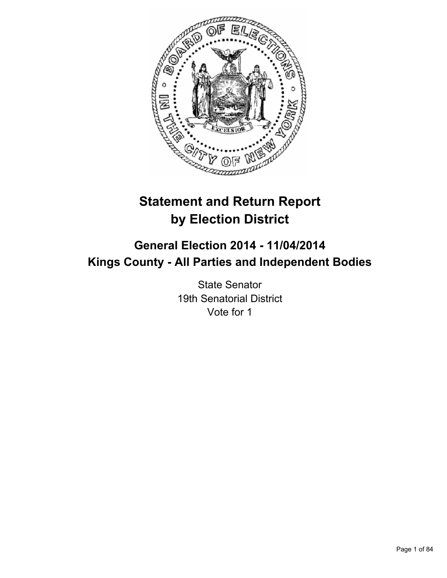

# **Statement and Return Report by Election District**

# **General Election 2014 - 11/04/2014 Kings County - All Parties and Independent Bodies**

State Senator 19th Senatorial District Vote for 1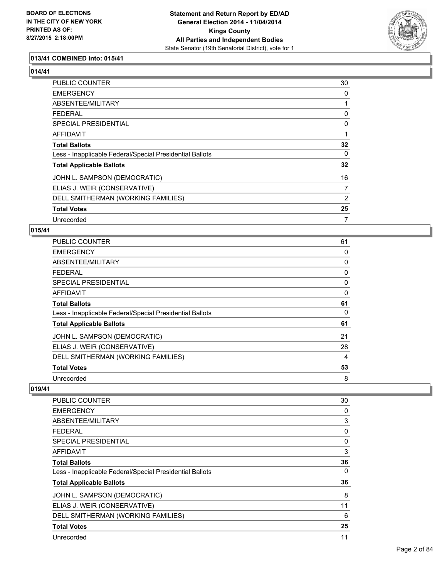

# **013/41 COMBINED into: 015/41**

**014/41** 

| <b>PUBLIC COUNTER</b>                                    | 30 |
|----------------------------------------------------------|----|
| <b>EMERGENCY</b>                                         | 0  |
| ABSENTEE/MILITARY                                        | 1  |
| <b>FEDERAL</b>                                           | 0  |
| <b>SPECIAL PRESIDENTIAL</b>                              | 0  |
| AFFIDAVIT                                                |    |
| <b>Total Ballots</b>                                     | 32 |
| Less - Inapplicable Federal/Special Presidential Ballots | 0  |
| <b>Total Applicable Ballots</b>                          | 32 |
| JOHN L. SAMPSON (DEMOCRATIC)                             | 16 |
| ELIAS J. WEIR (CONSERVATIVE)                             | 7  |
| DELL SMITHERMAN (WORKING FAMILIES)                       | 2  |
| <b>Total Votes</b>                                       | 25 |
| Unrecorded                                               | 7  |

#### **015/41**

| PUBLIC COUNTER                                           | 61 |
|----------------------------------------------------------|----|
| <b>EMERGENCY</b>                                         | 0  |
| ABSENTEE/MILITARY                                        | 0  |
| <b>FEDERAL</b>                                           | 0  |
| <b>SPECIAL PRESIDENTIAL</b>                              | 0  |
| AFFIDAVIT                                                | 0  |
| <b>Total Ballots</b>                                     | 61 |
| Less - Inapplicable Federal/Special Presidential Ballots | 0  |
| <b>Total Applicable Ballots</b>                          | 61 |
| JOHN L. SAMPSON (DEMOCRATIC)                             | 21 |
| ELIAS J. WEIR (CONSERVATIVE)                             | 28 |
| DELL SMITHERMAN (WORKING FAMILIES)                       | 4  |
| <b>Total Votes</b>                                       | 53 |
| Unrecorded                                               | 8  |

| <b>PUBLIC COUNTER</b>                                    | 30 |
|----------------------------------------------------------|----|
| <b>EMERGENCY</b>                                         | 0  |
| ABSENTEE/MILITARY                                        | 3  |
| <b>FEDERAL</b>                                           | 0  |
| SPECIAL PRESIDENTIAL                                     | 0  |
| AFFIDAVIT                                                | 3  |
| <b>Total Ballots</b>                                     | 36 |
| Less - Inapplicable Federal/Special Presidential Ballots | 0  |
| <b>Total Applicable Ballots</b>                          | 36 |
| JOHN L. SAMPSON (DEMOCRATIC)                             | 8  |
| ELIAS J. WEIR (CONSERVATIVE)                             | 11 |
| DELL SMITHERMAN (WORKING FAMILIES)                       | 6  |
| <b>Total Votes</b>                                       | 25 |
| Unrecorded                                               | 11 |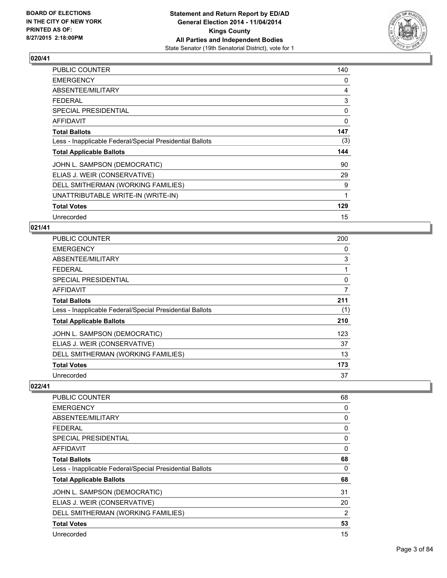

| PUBLIC COUNTER                                           | 140 |
|----------------------------------------------------------|-----|
| <b>EMERGENCY</b>                                         | 0   |
| ABSENTEE/MILITARY                                        | 4   |
| <b>FEDERAL</b>                                           | 3   |
| <b>SPECIAL PRESIDENTIAL</b>                              | 0   |
| <b>AFFIDAVIT</b>                                         | 0   |
| <b>Total Ballots</b>                                     | 147 |
| Less - Inapplicable Federal/Special Presidential Ballots | (3) |
| <b>Total Applicable Ballots</b>                          | 144 |
| JOHN L. SAMPSON (DEMOCRATIC)                             | 90  |
| ELIAS J. WEIR (CONSERVATIVE)                             | 29  |
| DELL SMITHERMAN (WORKING FAMILIES)                       | 9   |
| UNATTRIBUTABLE WRITE-IN (WRITE-IN)                       | 1   |
| <b>Total Votes</b>                                       | 129 |
| Unrecorded                                               | 15  |

## **021/41**

| <b>PUBLIC COUNTER</b>                                    | 200 |
|----------------------------------------------------------|-----|
| <b>EMERGENCY</b>                                         | 0   |
| ABSENTEE/MILITARY                                        | 3   |
| <b>FEDERAL</b>                                           | 1   |
| <b>SPECIAL PRESIDENTIAL</b>                              | 0   |
| AFFIDAVIT                                                | 7   |
| <b>Total Ballots</b>                                     | 211 |
| Less - Inapplicable Federal/Special Presidential Ballots | (1) |
| <b>Total Applicable Ballots</b>                          | 210 |
| JOHN L. SAMPSON (DEMOCRATIC)                             | 123 |
| ELIAS J. WEIR (CONSERVATIVE)                             | 37  |
| DELL SMITHERMAN (WORKING FAMILIES)                       | 13  |
| <b>Total Votes</b>                                       | 173 |
| Unrecorded                                               | 37  |

| <b>PUBLIC COUNTER</b>                                    | 68          |
|----------------------------------------------------------|-------------|
| <b>EMERGENCY</b>                                         | 0           |
| ABSENTEE/MILITARY                                        | 0           |
| FEDERAL                                                  | 0           |
| SPECIAL PRESIDENTIAL                                     | 0           |
| AFFIDAVIT                                                | $\mathbf 0$ |
| <b>Total Ballots</b>                                     | 68          |
| Less - Inapplicable Federal/Special Presidential Ballots | 0           |
| <b>Total Applicable Ballots</b>                          | 68          |
| JOHN L. SAMPSON (DEMOCRATIC)                             | 31          |
| ELIAS J. WEIR (CONSERVATIVE)                             | 20          |
| DELL SMITHERMAN (WORKING FAMILIES)                       | 2           |
| <b>Total Votes</b>                                       | 53          |
| Unrecorded                                               | 15          |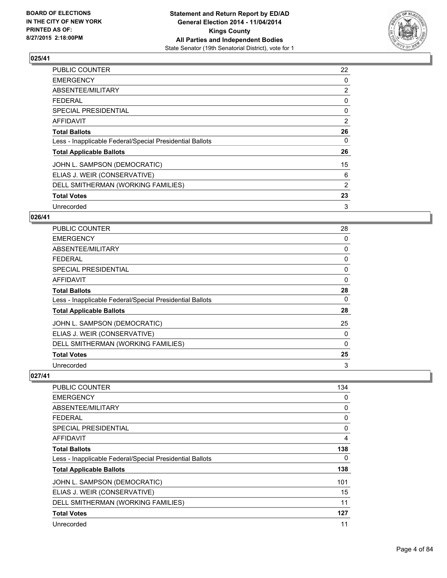

| <b>PUBLIC COUNTER</b>                                    | 22             |
|----------------------------------------------------------|----------------|
| <b>EMERGENCY</b>                                         | 0              |
| ABSENTEE/MILITARY                                        | $\overline{2}$ |
| <b>FEDERAL</b>                                           | 0              |
| <b>SPECIAL PRESIDENTIAL</b>                              | 0              |
| AFFIDAVIT                                                | 2              |
| <b>Total Ballots</b>                                     | 26             |
| Less - Inapplicable Federal/Special Presidential Ballots | 0              |
| <b>Total Applicable Ballots</b>                          | 26             |
| JOHN L. SAMPSON (DEMOCRATIC)                             | 15             |
| ELIAS J. WEIR (CONSERVATIVE)                             | 6              |
| DELL SMITHERMAN (WORKING FAMILIES)                       | 2              |
| <b>Total Votes</b>                                       | 23             |
| Unrecorded                                               | 3              |

## **026/41**

| PUBLIC COUNTER                                           | 28       |
|----------------------------------------------------------|----------|
| <b>EMERGENCY</b>                                         | 0        |
| ABSENTEE/MILITARY                                        | 0        |
| <b>FEDERAL</b>                                           | 0        |
| SPECIAL PRESIDENTIAL                                     | 0        |
| <b>AFFIDAVIT</b>                                         | 0        |
| <b>Total Ballots</b>                                     | 28       |
| Less - Inapplicable Federal/Special Presidential Ballots | 0        |
| <b>Total Applicable Ballots</b>                          | 28       |
| JOHN L. SAMPSON (DEMOCRATIC)                             | 25       |
| ELIAS J. WEIR (CONSERVATIVE)                             | 0        |
| DELL SMITHERMAN (WORKING FAMILIES)                       | $\Omega$ |
| <b>Total Votes</b>                                       | 25       |
| Unrecorded                                               | 3        |

| <b>PUBLIC COUNTER</b>                                    | 134 |
|----------------------------------------------------------|-----|
| <b>EMERGENCY</b>                                         | 0   |
| ABSENTEE/MILITARY                                        | 0   |
| <b>FEDERAL</b>                                           | 0   |
| SPECIAL PRESIDENTIAL                                     | 0   |
| AFFIDAVIT                                                | 4   |
| <b>Total Ballots</b>                                     | 138 |
| Less - Inapplicable Federal/Special Presidential Ballots | 0   |
| <b>Total Applicable Ballots</b>                          | 138 |
| JOHN L. SAMPSON (DEMOCRATIC)                             | 101 |
| ELIAS J. WEIR (CONSERVATIVE)                             | 15  |
| DELL SMITHERMAN (WORKING FAMILIES)                       | 11  |
| <b>Total Votes</b>                                       | 127 |
| Unrecorded                                               | 11  |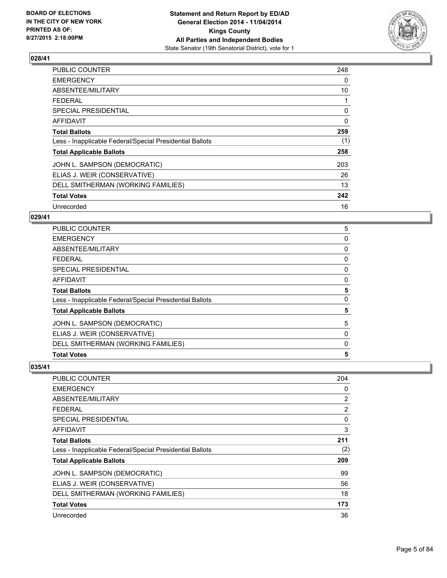

| <b>PUBLIC COUNTER</b>                                    | 248 |
|----------------------------------------------------------|-----|
| <b>EMERGENCY</b>                                         | 0   |
| ABSENTEE/MILITARY                                        | 10  |
| <b>FEDERAL</b>                                           |     |
| SPECIAL PRESIDENTIAL                                     | 0   |
| <b>AFFIDAVIT</b>                                         | 0   |
| <b>Total Ballots</b>                                     | 259 |
| Less - Inapplicable Federal/Special Presidential Ballots | (1) |
| <b>Total Applicable Ballots</b>                          | 258 |
| JOHN L. SAMPSON (DEMOCRATIC)                             | 203 |
| ELIAS J. WEIR (CONSERVATIVE)                             | 26  |
| DELL SMITHERMAN (WORKING FAMILIES)                       | 13  |
| <b>Total Votes</b>                                       | 242 |
| Unrecorded                                               | 16  |

## **029/41**

| DELL SMITHERMAN (WORKING FAMILIES)<br><b>Total Votes</b> | 0<br>5 |
|----------------------------------------------------------|--------|
| ELIAS J. WEIR (CONSERVATIVE)                             | 0      |
|                                                          |        |
| JOHN L. SAMPSON (DEMOCRATIC)                             | 5      |
| <b>Total Applicable Ballots</b>                          | 5      |
| Less - Inapplicable Federal/Special Presidential Ballots | 0      |
| <b>Total Ballots</b>                                     | 5      |
| <b>AFFIDAVIT</b>                                         | 0      |
| <b>SPECIAL PRESIDENTIAL</b>                              | 0      |
| <b>FEDERAL</b>                                           | 0      |
| ABSENTEE/MILITARY                                        | 0      |
| <b>EMERGENCY</b>                                         | 0      |
| <b>PUBLIC COUNTER</b>                                    | 5      |

| PUBLIC COUNTER                                           | 204            |
|----------------------------------------------------------|----------------|
| <b>EMERGENCY</b>                                         | 0              |
| ABSENTEE/MILITARY                                        | $\overline{2}$ |
| FEDERAL                                                  | 2              |
| <b>SPECIAL PRESIDENTIAL</b>                              | 0              |
| AFFIDAVIT                                                | 3              |
| <b>Total Ballots</b>                                     | 211            |
| Less - Inapplicable Federal/Special Presidential Ballots | (2)            |
| <b>Total Applicable Ballots</b>                          | 209            |
| JOHN L. SAMPSON (DEMOCRATIC)                             | 99             |
| ELIAS J. WEIR (CONSERVATIVE)                             | 56             |
| DELL SMITHERMAN (WORKING FAMILIES)                       | 18             |
| <b>Total Votes</b>                                       | 173            |
| Unrecorded                                               | 36             |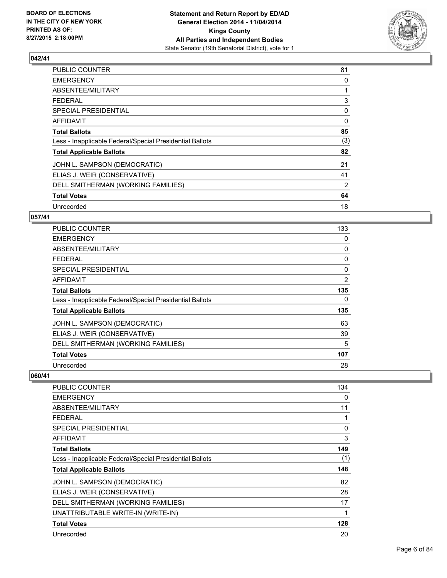

| <b>PUBLIC COUNTER</b>                                    | 81  |
|----------------------------------------------------------|-----|
| <b>EMERGENCY</b>                                         | 0   |
| ABSENTEE/MILITARY                                        |     |
| FEDERAL                                                  | 3   |
| <b>SPECIAL PRESIDENTIAL</b>                              | 0   |
| AFFIDAVIT                                                | 0   |
| <b>Total Ballots</b>                                     | 85  |
| Less - Inapplicable Federal/Special Presidential Ballots | (3) |
| <b>Total Applicable Ballots</b>                          | 82  |
| JOHN L. SAMPSON (DEMOCRATIC)                             | 21  |
| ELIAS J. WEIR (CONSERVATIVE)                             | 41  |
| DELL SMITHERMAN (WORKING FAMILIES)                       | 2   |
| <b>Total Votes</b>                                       | 64  |
| Unrecorded                                               | 18  |

## **057/41**

| <b>PUBLIC COUNTER</b>                                    | 133            |
|----------------------------------------------------------|----------------|
| <b>EMERGENCY</b>                                         | 0              |
| ABSENTEE/MILITARY                                        | 0              |
| <b>FEDERAL</b>                                           | 0              |
| <b>SPECIAL PRESIDENTIAL</b>                              | 0              |
| <b>AFFIDAVIT</b>                                         | $\overline{2}$ |
| <b>Total Ballots</b>                                     | 135            |
| Less - Inapplicable Federal/Special Presidential Ballots | 0              |
| <b>Total Applicable Ballots</b>                          | 135            |
| JOHN L. SAMPSON (DEMOCRATIC)                             | 63             |
| ELIAS J. WEIR (CONSERVATIVE)                             | 39             |
| DELL SMITHERMAN (WORKING FAMILIES)                       | 5              |
| <b>Total Votes</b>                                       | 107            |
| Unrecorded                                               | 28             |

| <b>PUBLIC COUNTER</b>                                    | 134         |
|----------------------------------------------------------|-------------|
| <b>EMERGENCY</b>                                         | 0           |
| ABSENTEE/MILITARY                                        | 11          |
| <b>FEDERAL</b>                                           | 1           |
| <b>SPECIAL PRESIDENTIAL</b>                              | 0           |
| <b>AFFIDAVIT</b>                                         | 3           |
| <b>Total Ballots</b>                                     | 149         |
| Less - Inapplicable Federal/Special Presidential Ballots | (1)         |
| <b>Total Applicable Ballots</b>                          | 148         |
| JOHN L. SAMPSON (DEMOCRATIC)                             | 82          |
| ELIAS J. WEIR (CONSERVATIVE)                             | 28          |
| DELL SMITHERMAN (WORKING FAMILIES)                       | 17          |
| UNATTRIBUTABLE WRITE-IN (WRITE-IN)                       | $\mathbf 1$ |
| <b>Total Votes</b>                                       | 128         |
| Unrecorded                                               | 20          |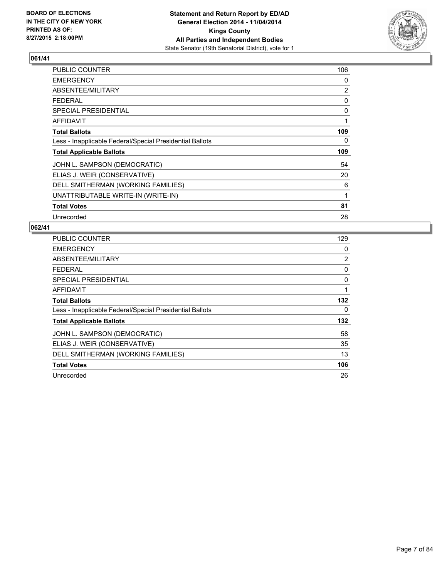

| <b>PUBLIC COUNTER</b>                                    | 106            |
|----------------------------------------------------------|----------------|
| <b>EMERGENCY</b>                                         | 0              |
| ABSENTEE/MILITARY                                        | $\overline{2}$ |
| <b>FEDERAL</b>                                           | 0              |
| <b>SPECIAL PRESIDENTIAL</b>                              | 0              |
| <b>AFFIDAVIT</b>                                         | 1              |
| <b>Total Ballots</b>                                     | 109            |
| Less - Inapplicable Federal/Special Presidential Ballots | 0              |
| <b>Total Applicable Ballots</b>                          | 109            |
| JOHN L. SAMPSON (DEMOCRATIC)                             | 54             |
| ELIAS J. WEIR (CONSERVATIVE)                             | 20             |
| DELL SMITHERMAN (WORKING FAMILIES)                       | 6              |
| UNATTRIBUTABLE WRITE-IN (WRITE-IN)                       | 1              |
| <b>Total Votes</b>                                       | 81             |
| Unrecorded                                               | 28             |

| <b>PUBLIC COUNTER</b>                                    | 129            |
|----------------------------------------------------------|----------------|
| <b>EMERGENCY</b>                                         | 0              |
| ABSENTEE/MILITARY                                        | $\overline{2}$ |
| FEDERAL                                                  | 0              |
| <b>SPECIAL PRESIDENTIAL</b>                              | 0              |
| <b>AFFIDAVIT</b>                                         | 1              |
| <b>Total Ballots</b>                                     | 132            |
| Less - Inapplicable Federal/Special Presidential Ballots | 0              |
| <b>Total Applicable Ballots</b>                          | 132            |
| JOHN L. SAMPSON (DEMOCRATIC)                             | 58             |
| ELIAS J. WEIR (CONSERVATIVE)                             | 35             |
| DELL SMITHERMAN (WORKING FAMILIES)                       | 13             |
| <b>Total Votes</b>                                       | 106            |
| Unrecorded                                               | 26             |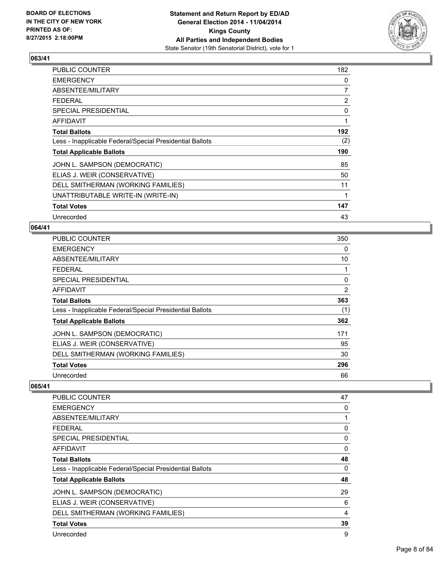

| PUBLIC COUNTER                                           | 182            |
|----------------------------------------------------------|----------------|
| <b>EMERGENCY</b>                                         | 0              |
| ABSENTEE/MILITARY                                        | 7              |
| <b>FEDERAL</b>                                           | $\overline{2}$ |
| <b>SPECIAL PRESIDENTIAL</b>                              | 0              |
| <b>AFFIDAVIT</b>                                         | 1              |
| <b>Total Ballots</b>                                     | 192            |
| Less - Inapplicable Federal/Special Presidential Ballots | (2)            |
| <b>Total Applicable Ballots</b>                          | 190            |
| JOHN L. SAMPSON (DEMOCRATIC)                             | 85             |
| ELIAS J. WEIR (CONSERVATIVE)                             | 50             |
| DELL SMITHERMAN (WORKING FAMILIES)                       | 11             |
| UNATTRIBUTABLE WRITE-IN (WRITE-IN)                       | 1              |
| <b>Total Votes</b>                                       | 147            |
| Unrecorded                                               | 43             |

#### **064/41**

| <b>PUBLIC COUNTER</b>                                    | 350 |
|----------------------------------------------------------|-----|
| <b>EMERGENCY</b>                                         | 0   |
| ABSENTEE/MILITARY                                        | 10  |
| <b>FEDERAL</b>                                           |     |
| <b>SPECIAL PRESIDENTIAL</b>                              | 0   |
| AFFIDAVIT                                                | 2   |
| <b>Total Ballots</b>                                     | 363 |
| Less - Inapplicable Federal/Special Presidential Ballots | (1) |
| <b>Total Applicable Ballots</b>                          | 362 |
| JOHN L. SAMPSON (DEMOCRATIC)                             | 171 |
| ELIAS J. WEIR (CONSERVATIVE)                             | 95  |
| DELL SMITHERMAN (WORKING FAMILIES)                       | 30  |
| <b>Total Votes</b>                                       | 296 |
| Unrecorded                                               | 66  |

| PUBLIC COUNTER                                           | 47 |
|----------------------------------------------------------|----|
| <b>EMERGENCY</b>                                         | 0  |
| ABSENTEE/MILITARY                                        | 1  |
| <b>FEDERAL</b>                                           | 0  |
| <b>SPECIAL PRESIDENTIAL</b>                              | 0  |
| <b>AFFIDAVIT</b>                                         | 0  |
| <b>Total Ballots</b>                                     | 48 |
| Less - Inapplicable Federal/Special Presidential Ballots | 0  |
| <b>Total Applicable Ballots</b>                          | 48 |
| JOHN L. SAMPSON (DEMOCRATIC)                             | 29 |
| ELIAS J. WEIR (CONSERVATIVE)                             | 6  |
| DELL SMITHERMAN (WORKING FAMILIES)                       | 4  |
| <b>Total Votes</b>                                       | 39 |
| Unrecorded                                               | 9  |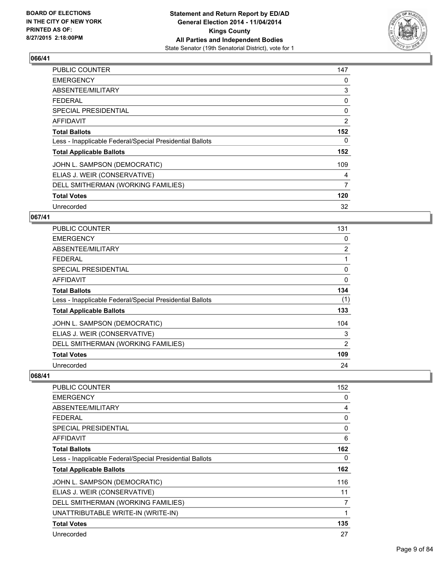

| PUBLIC COUNTER                                           | 147 |
|----------------------------------------------------------|-----|
| <b>EMERGENCY</b>                                         | 0   |
| ABSENTEE/MILITARY                                        | 3   |
| <b>FEDERAL</b>                                           | 0   |
| SPECIAL PRESIDENTIAL                                     | 0   |
| AFFIDAVIT                                                | 2   |
| <b>Total Ballots</b>                                     | 152 |
| Less - Inapplicable Federal/Special Presidential Ballots | 0   |
| <b>Total Applicable Ballots</b>                          | 152 |
| JOHN L. SAMPSON (DEMOCRATIC)                             | 109 |
| ELIAS J. WEIR (CONSERVATIVE)                             | 4   |
| DELL SMITHERMAN (WORKING FAMILIES)                       | 7   |
| <b>Total Votes</b>                                       | 120 |
| Unrecorded                                               | 32  |

## **067/41**

| PUBLIC COUNTER                                           | 131            |
|----------------------------------------------------------|----------------|
| <b>EMERGENCY</b>                                         | 0              |
| ABSENTEE/MILITARY                                        | $\overline{2}$ |
| <b>FEDERAL</b>                                           |                |
| <b>SPECIAL PRESIDENTIAL</b>                              | 0              |
| <b>AFFIDAVIT</b>                                         | 0              |
| <b>Total Ballots</b>                                     | 134            |
| Less - Inapplicable Federal/Special Presidential Ballots | (1)            |
| <b>Total Applicable Ballots</b>                          | 133            |
| JOHN L. SAMPSON (DEMOCRATIC)                             | 104            |
| ELIAS J. WEIR (CONSERVATIVE)                             | 3              |
| DELL SMITHERMAN (WORKING FAMILIES)                       | 2              |
| <b>Total Votes</b>                                       | 109            |
| Unrecorded                                               | 24             |

| PUBLIC COUNTER                                           | 152 |
|----------------------------------------------------------|-----|
| <b>EMERGENCY</b>                                         | 0   |
| ABSENTEE/MILITARY                                        | 4   |
| <b>FEDERAL</b>                                           | 0   |
| <b>SPECIAL PRESIDENTIAL</b>                              | 0   |
| AFFIDAVIT                                                | 6   |
| <b>Total Ballots</b>                                     | 162 |
| Less - Inapplicable Federal/Special Presidential Ballots | 0   |
| <b>Total Applicable Ballots</b>                          | 162 |
| JOHN L. SAMPSON (DEMOCRATIC)                             | 116 |
| ELIAS J. WEIR (CONSERVATIVE)                             | 11  |
| DELL SMITHERMAN (WORKING FAMILIES)                       | 7   |
| UNATTRIBUTABLE WRITE-IN (WRITE-IN)                       | 1   |
| <b>Total Votes</b>                                       | 135 |
| Unrecorded                                               | 27  |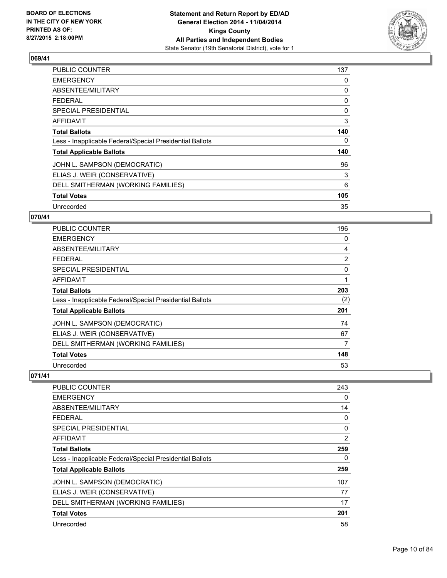

| <b>PUBLIC COUNTER</b>                                    | 137 |
|----------------------------------------------------------|-----|
| <b>EMERGENCY</b>                                         | 0   |
| ABSENTEE/MILITARY                                        | 0   |
| <b>FEDERAL</b>                                           | 0   |
| <b>SPECIAL PRESIDENTIAL</b>                              | 0   |
| <b>AFFIDAVIT</b>                                         | 3   |
| <b>Total Ballots</b>                                     | 140 |
| Less - Inapplicable Federal/Special Presidential Ballots | 0   |
| <b>Total Applicable Ballots</b>                          | 140 |
| JOHN L. SAMPSON (DEMOCRATIC)                             | 96  |
| ELIAS J. WEIR (CONSERVATIVE)                             | 3   |
| DELL SMITHERMAN (WORKING FAMILIES)                       | 6   |
| <b>Total Votes</b>                                       | 105 |
| Unrecorded                                               | 35  |

## **070/41**

| <b>PUBLIC COUNTER</b>                                    | 196            |
|----------------------------------------------------------|----------------|
| <b>EMERGENCY</b>                                         | 0              |
| ABSENTEE/MILITARY                                        | 4              |
| <b>FEDERAL</b>                                           | $\overline{2}$ |
| <b>SPECIAL PRESIDENTIAL</b>                              | $\Omega$       |
| <b>AFFIDAVIT</b>                                         | 1              |
| <b>Total Ballots</b>                                     | 203            |
| Less - Inapplicable Federal/Special Presidential Ballots | (2)            |
| <b>Total Applicable Ballots</b>                          | 201            |
| JOHN L. SAMPSON (DEMOCRATIC)                             | 74             |
| ELIAS J. WEIR (CONSERVATIVE)                             | 67             |
| DELL SMITHERMAN (WORKING FAMILIES)                       | 7              |
| <b>Total Votes</b>                                       | 148            |
| Unrecorded                                               | 53             |

| <b>PUBLIC COUNTER</b>                                    | 243 |
|----------------------------------------------------------|-----|
| <b>EMERGENCY</b>                                         | 0   |
| ABSENTEE/MILITARY                                        | 14  |
| <b>FEDERAL</b>                                           | 0   |
| <b>SPECIAL PRESIDENTIAL</b>                              | 0   |
| <b>AFFIDAVIT</b>                                         | 2   |
| <b>Total Ballots</b>                                     | 259 |
| Less - Inapplicable Federal/Special Presidential Ballots | 0   |
| <b>Total Applicable Ballots</b>                          | 259 |
| JOHN L. SAMPSON (DEMOCRATIC)                             | 107 |
| ELIAS J. WEIR (CONSERVATIVE)                             | 77  |
| DELL SMITHERMAN (WORKING FAMILIES)                       | 17  |
| <b>Total Votes</b>                                       | 201 |
| Unrecorded                                               | 58  |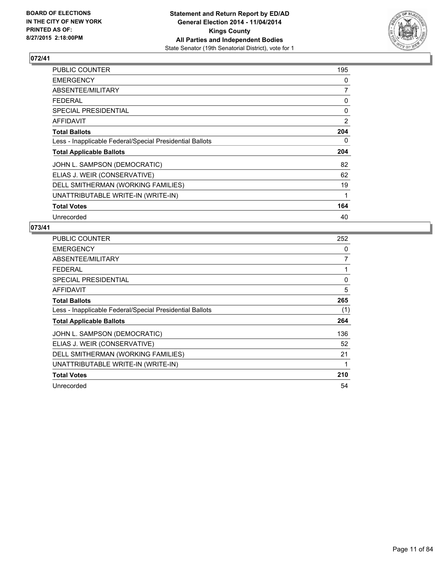

| PUBLIC COUNTER                                           | 195            |
|----------------------------------------------------------|----------------|
| <b>EMERGENCY</b>                                         | 0              |
| ABSENTEE/MILITARY                                        | 7              |
| <b>FEDERAL</b>                                           | 0              |
| <b>SPECIAL PRESIDENTIAL</b>                              | 0              |
| <b>AFFIDAVIT</b>                                         | $\overline{2}$ |
| <b>Total Ballots</b>                                     | 204            |
| Less - Inapplicable Federal/Special Presidential Ballots | 0              |
| <b>Total Applicable Ballots</b>                          | 204            |
| JOHN L. SAMPSON (DEMOCRATIC)                             | 82             |
| ELIAS J. WEIR (CONSERVATIVE)                             | 62             |
| DELL SMITHERMAN (WORKING FAMILIES)                       | 19             |
| UNATTRIBUTABLE WRITE-IN (WRITE-IN)                       | 1              |
| <b>Total Votes</b>                                       | 164            |
| Unrecorded                                               | 40             |

| <b>PUBLIC COUNTER</b>                                    | 252 |
|----------------------------------------------------------|-----|
| <b>EMERGENCY</b>                                         | 0   |
| ABSENTEE/MILITARY                                        | 7   |
| <b>FEDERAL</b>                                           |     |
| SPECIAL PRESIDENTIAL                                     | 0   |
| <b>AFFIDAVIT</b>                                         | 5   |
| <b>Total Ballots</b>                                     | 265 |
| Less - Inapplicable Federal/Special Presidential Ballots | (1) |
| <b>Total Applicable Ballots</b>                          | 264 |
| JOHN L. SAMPSON (DEMOCRATIC)                             | 136 |
| ELIAS J. WEIR (CONSERVATIVE)                             | 52  |
| DELL SMITHERMAN (WORKING FAMILIES)                       | 21  |
| UNATTRIBUTABLE WRITE-IN (WRITE-IN)                       |     |
| <b>Total Votes</b>                                       | 210 |
| Unrecorded                                               | 54  |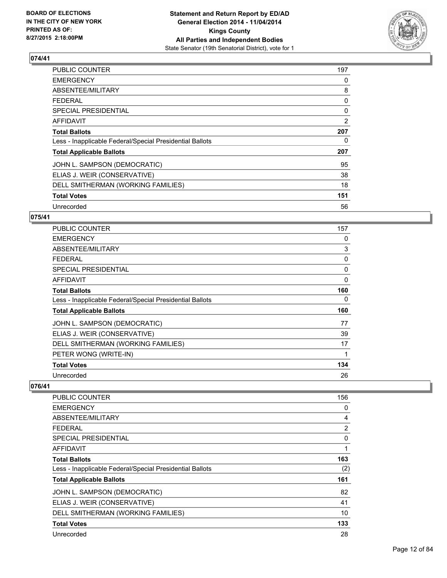

| <b>PUBLIC COUNTER</b>                                    | 197 |
|----------------------------------------------------------|-----|
| <b>EMERGENCY</b>                                         | 0   |
| ABSENTEE/MILITARY                                        | 8   |
| <b>FEDERAL</b>                                           | 0   |
| <b>SPECIAL PRESIDENTIAL</b>                              | 0   |
| <b>AFFIDAVIT</b>                                         | 2   |
| <b>Total Ballots</b>                                     | 207 |
| Less - Inapplicable Federal/Special Presidential Ballots | 0   |
| <b>Total Applicable Ballots</b>                          | 207 |
| JOHN L. SAMPSON (DEMOCRATIC)                             | 95  |
| ELIAS J. WEIR (CONSERVATIVE)                             | 38  |
| DELL SMITHERMAN (WORKING FAMILIES)                       | 18  |
| <b>Total Votes</b>                                       | 151 |
| Unrecorded                                               | 56  |

## **075/41**

| PUBLIC COUNTER                                           | 157 |
|----------------------------------------------------------|-----|
| <b>EMERGENCY</b>                                         | 0   |
| ABSENTEE/MILITARY                                        | 3   |
| <b>FEDERAL</b>                                           | 0   |
| <b>SPECIAL PRESIDENTIAL</b>                              | 0   |
| AFFIDAVIT                                                | 0   |
| <b>Total Ballots</b>                                     | 160 |
| Less - Inapplicable Federal/Special Presidential Ballots | 0   |
| <b>Total Applicable Ballots</b>                          | 160 |
| JOHN L. SAMPSON (DEMOCRATIC)                             | 77  |
| ELIAS J. WEIR (CONSERVATIVE)                             | 39  |
| DELL SMITHERMAN (WORKING FAMILIES)                       | 17  |
| PETER WONG (WRITE-IN)                                    | 1   |
| <b>Total Votes</b>                                       | 134 |
| Unrecorded                                               | 26  |

| <b>PUBLIC COUNTER</b>                                    | 156 |
|----------------------------------------------------------|-----|
| <b>EMERGENCY</b>                                         | 0   |
| ABSENTEE/MILITARY                                        | 4   |
| <b>FEDERAL</b>                                           | 2   |
| SPECIAL PRESIDENTIAL                                     | 0   |
| AFFIDAVIT                                                | 1   |
| <b>Total Ballots</b>                                     | 163 |
| Less - Inapplicable Federal/Special Presidential Ballots | (2) |
| <b>Total Applicable Ballots</b>                          | 161 |
| JOHN L. SAMPSON (DEMOCRATIC)                             | 82  |
| ELIAS J. WEIR (CONSERVATIVE)                             | 41  |
| DELL SMITHERMAN (WORKING FAMILIES)                       | 10  |
| <b>Total Votes</b>                                       | 133 |
| Unrecorded                                               | 28  |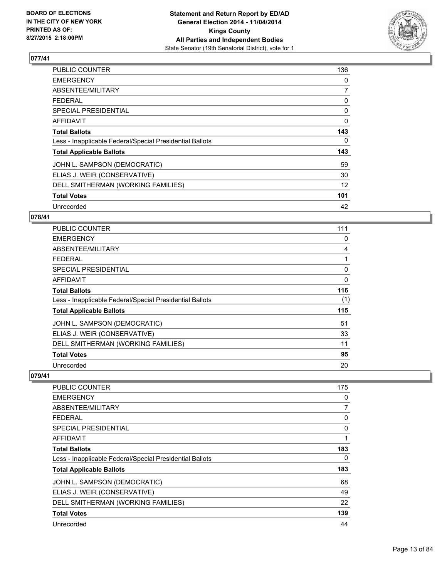

| <b>PUBLIC COUNTER</b>                                    | 136            |
|----------------------------------------------------------|----------------|
| <b>EMERGENCY</b>                                         | 0              |
| ABSENTEE/MILITARY                                        | $\overline{7}$ |
| FEDERAL                                                  | 0              |
| <b>SPECIAL PRESIDENTIAL</b>                              | 0              |
| <b>AFFIDAVIT</b>                                         | 0              |
| <b>Total Ballots</b>                                     | 143            |
| Less - Inapplicable Federal/Special Presidential Ballots | 0              |
| <b>Total Applicable Ballots</b>                          | 143            |
| JOHN L. SAMPSON (DEMOCRATIC)                             | 59             |
| ELIAS J. WEIR (CONSERVATIVE)                             | 30             |
| DELL SMITHERMAN (WORKING FAMILIES)                       | 12             |
| <b>Total Votes</b>                                       | 101            |
| Unrecorded                                               | 42             |

## **078/41**

| PUBLIC COUNTER                                           | 111 |
|----------------------------------------------------------|-----|
| <b>EMERGENCY</b>                                         | 0   |
| ABSENTEE/MILITARY                                        | 4   |
| <b>FEDERAL</b>                                           |     |
| <b>SPECIAL PRESIDENTIAL</b>                              | 0   |
| AFFIDAVIT                                                | 0   |
| <b>Total Ballots</b>                                     | 116 |
| Less - Inapplicable Federal/Special Presidential Ballots | (1) |
| <b>Total Applicable Ballots</b>                          | 115 |
| JOHN L. SAMPSON (DEMOCRATIC)                             | 51  |
| ELIAS J. WEIR (CONSERVATIVE)                             | 33  |
| DELL SMITHERMAN (WORKING FAMILIES)                       | 11  |
| <b>Total Votes</b>                                       | 95  |
| Unrecorded                                               | 20  |

| <b>PUBLIC COUNTER</b>                                    | 175 |
|----------------------------------------------------------|-----|
| <b>EMERGENCY</b>                                         | 0   |
| ABSENTEE/MILITARY                                        | 7   |
| <b>FEDERAL</b>                                           | 0   |
| <b>SPECIAL PRESIDENTIAL</b>                              | 0   |
| <b>AFFIDAVIT</b>                                         |     |
| <b>Total Ballots</b>                                     | 183 |
| Less - Inapplicable Federal/Special Presidential Ballots | 0   |
| <b>Total Applicable Ballots</b>                          | 183 |
| JOHN L. SAMPSON (DEMOCRATIC)                             | 68  |
| ELIAS J. WEIR (CONSERVATIVE)                             | 49  |
| DELL SMITHERMAN (WORKING FAMILIES)                       | 22  |
| <b>Total Votes</b>                                       | 139 |
| Unrecorded                                               | 44  |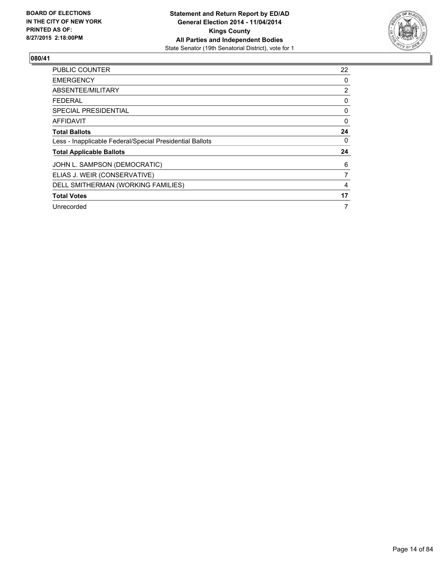

| <b>PUBLIC COUNTER</b>                                    | 22             |
|----------------------------------------------------------|----------------|
| <b>EMERGENCY</b>                                         | 0              |
| ABSENTEE/MILITARY                                        | $\overline{2}$ |
| <b>FEDERAL</b>                                           | 0              |
| SPECIAL PRESIDENTIAL                                     | 0              |
| AFFIDAVIT                                                | $\Omega$       |
| <b>Total Ballots</b>                                     | 24             |
| Less - Inapplicable Federal/Special Presidential Ballots | 0              |
| <b>Total Applicable Ballots</b>                          | 24             |
| JOHN L. SAMPSON (DEMOCRATIC)                             | 6              |
| ELIAS J. WEIR (CONSERVATIVE)                             | 7              |
| DELL SMITHERMAN (WORKING FAMILIES)                       | 4              |
| <b>Total Votes</b>                                       | 17             |
| Unrecorded                                               | 7              |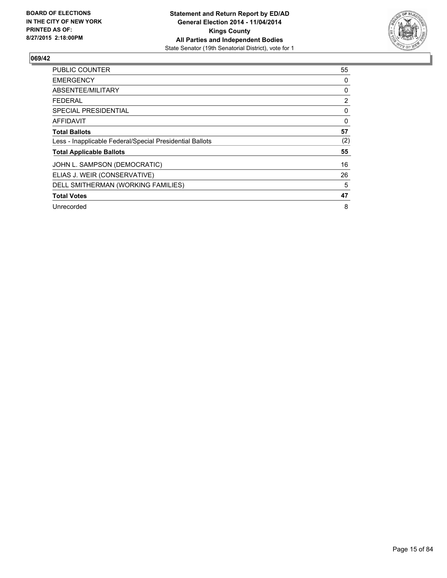

| <b>PUBLIC COUNTER</b>                                    | 55             |
|----------------------------------------------------------|----------------|
| <b>EMERGENCY</b>                                         | 0              |
| ABSENTEE/MILITARY                                        | 0              |
| <b>FEDERAL</b>                                           | $\overline{2}$ |
| SPECIAL PRESIDENTIAL                                     | 0              |
| AFFIDAVIT                                                | 0              |
| <b>Total Ballots</b>                                     | 57             |
| Less - Inapplicable Federal/Special Presidential Ballots | (2)            |
| <b>Total Applicable Ballots</b>                          | 55             |
| JOHN L. SAMPSON (DEMOCRATIC)                             | 16             |
| ELIAS J. WEIR (CONSERVATIVE)                             | 26             |
| DELL SMITHERMAN (WORKING FAMILIES)                       | 5              |
| <b>Total Votes</b>                                       | 47             |
| Unrecorded                                               | 8              |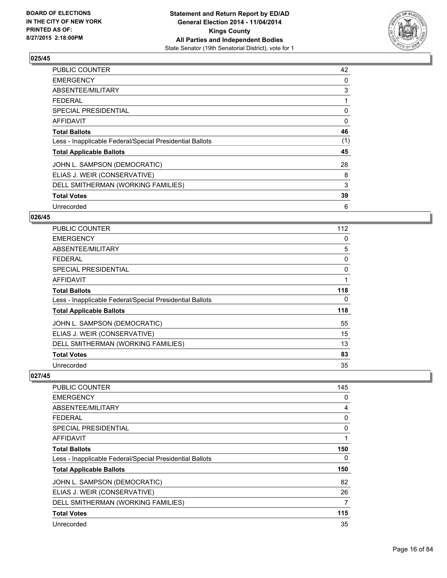

| <b>PUBLIC COUNTER</b>                                    | 42  |
|----------------------------------------------------------|-----|
| <b>EMERGENCY</b>                                         | 0   |
| ABSENTEE/MILITARY                                        | 3   |
| <b>FEDERAL</b>                                           |     |
| SPECIAL PRESIDENTIAL                                     | 0   |
| AFFIDAVIT                                                | 0   |
| <b>Total Ballots</b>                                     | 46  |
| Less - Inapplicable Federal/Special Presidential Ballots | (1) |
| <b>Total Applicable Ballots</b>                          | 45  |
| JOHN L. SAMPSON (DEMOCRATIC)                             | 28  |
| ELIAS J. WEIR (CONSERVATIVE)                             | 8   |
| DELL SMITHERMAN (WORKING FAMILIES)                       | 3   |
| <b>Total Votes</b>                                       | 39  |
| Unrecorded                                               | 6   |

## **026/45**

| PUBLIC COUNTER                                           | 112 |
|----------------------------------------------------------|-----|
| <b>EMERGENCY</b>                                         | 0   |
| ABSENTEE/MILITARY                                        | 5   |
| <b>FEDERAL</b>                                           | 0   |
| <b>SPECIAL PRESIDENTIAL</b>                              | 0   |
| <b>AFFIDAVIT</b>                                         |     |
| <b>Total Ballots</b>                                     | 118 |
| Less - Inapplicable Federal/Special Presidential Ballots | 0   |
| <b>Total Applicable Ballots</b>                          | 118 |
| JOHN L. SAMPSON (DEMOCRATIC)                             | 55  |
| ELIAS J. WEIR (CONSERVATIVE)                             | 15  |
| DELL SMITHERMAN (WORKING FAMILIES)                       | 13  |
| <b>Total Votes</b>                                       | 83  |
| Unrecorded                                               | 35  |

| <b>PUBLIC COUNTER</b>                                    | 145 |
|----------------------------------------------------------|-----|
| <b>EMERGENCY</b>                                         | 0   |
| ABSENTEE/MILITARY                                        | 4   |
| <b>FEDERAL</b>                                           | 0   |
| SPECIAL PRESIDENTIAL                                     | 0   |
| AFFIDAVIT                                                | 1   |
| <b>Total Ballots</b>                                     | 150 |
| Less - Inapplicable Federal/Special Presidential Ballots | 0   |
| <b>Total Applicable Ballots</b>                          | 150 |
| JOHN L. SAMPSON (DEMOCRATIC)                             | 82  |
| ELIAS J. WEIR (CONSERVATIVE)                             | 26  |
| DELL SMITHERMAN (WORKING FAMILIES)                       | 7   |
| <b>Total Votes</b>                                       | 115 |
| Unrecorded                                               | 35  |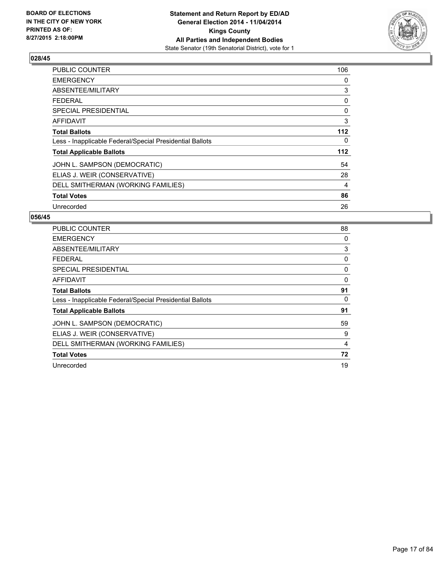

| <b>PUBLIC COUNTER</b>                                    | 106 |
|----------------------------------------------------------|-----|
| <b>EMERGENCY</b>                                         | 0   |
| ABSENTEE/MILITARY                                        | 3   |
| <b>FEDERAL</b>                                           | 0   |
| <b>SPECIAL PRESIDENTIAL</b>                              | 0   |
| AFFIDAVIT                                                | 3   |
| <b>Total Ballots</b>                                     | 112 |
| Less - Inapplicable Federal/Special Presidential Ballots | 0   |
| <b>Total Applicable Ballots</b>                          | 112 |
| JOHN L. SAMPSON (DEMOCRATIC)                             | 54  |
| ELIAS J. WEIR (CONSERVATIVE)                             | 28  |
| DELL SMITHERMAN (WORKING FAMILIES)                       | 4   |
| <b>Total Votes</b>                                       | 86  |
| Unrecorded                                               | 26  |

| PUBLIC COUNTER                                           | 88       |
|----------------------------------------------------------|----------|
| <b>EMERGENCY</b>                                         | 0        |
| ABSENTEE/MILITARY                                        | 3        |
| <b>FEDERAL</b>                                           | 0        |
| <b>SPECIAL PRESIDENTIAL</b>                              | 0        |
| <b>AFFIDAVIT</b>                                         | $\Omega$ |
| <b>Total Ballots</b>                                     | 91       |
| Less - Inapplicable Federal/Special Presidential Ballots | 0        |
| <b>Total Applicable Ballots</b>                          | 91       |
| JOHN L. SAMPSON (DEMOCRATIC)                             | 59       |
| ELIAS J. WEIR (CONSERVATIVE)                             | 9        |
| DELL SMITHERMAN (WORKING FAMILIES)                       | 4        |
| <b>Total Votes</b>                                       | 72       |
| Unrecorded                                               | 19       |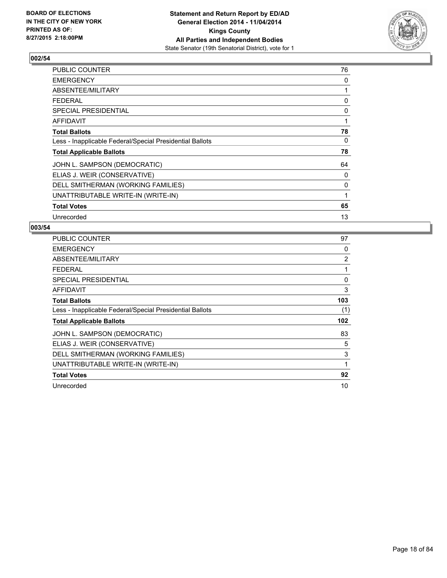

| PUBLIC COUNTER                                           | 76 |
|----------------------------------------------------------|----|
| <b>EMERGENCY</b>                                         | 0  |
| ABSENTEE/MILITARY                                        | 1  |
| <b>FEDERAL</b>                                           | 0  |
| <b>SPECIAL PRESIDENTIAL</b>                              | 0  |
| AFFIDAVIT                                                | 1  |
| <b>Total Ballots</b>                                     | 78 |
| Less - Inapplicable Federal/Special Presidential Ballots | 0  |
| <b>Total Applicable Ballots</b>                          | 78 |
| JOHN L. SAMPSON (DEMOCRATIC)                             | 64 |
| ELIAS J. WEIR (CONSERVATIVE)                             | 0  |
| DELL SMITHERMAN (WORKING FAMILIES)                       | 0  |
| UNATTRIBUTABLE WRITE-IN (WRITE-IN)                       | 1  |
| <b>Total Votes</b>                                       | 65 |
| Unrecorded                                               | 13 |

| <b>PUBLIC COUNTER</b>                                    | 97             |
|----------------------------------------------------------|----------------|
| <b>EMERGENCY</b>                                         | 0              |
| ABSENTEE/MILITARY                                        | $\overline{2}$ |
| <b>FEDERAL</b>                                           |                |
| SPECIAL PRESIDENTIAL                                     | 0              |
| AFFIDAVIT                                                | 3              |
| <b>Total Ballots</b>                                     | 103            |
| Less - Inapplicable Federal/Special Presidential Ballots | (1)            |
| <b>Total Applicable Ballots</b>                          | 102            |
| JOHN L. SAMPSON (DEMOCRATIC)                             | 83             |
| ELIAS J. WEIR (CONSERVATIVE)                             | 5              |
| DELL SMITHERMAN (WORKING FAMILIES)                       | 3              |
| UNATTRIBUTABLE WRITE-IN (WRITE-IN)                       | 1              |
| <b>Total Votes</b>                                       | 92             |
| Unrecorded                                               | 10             |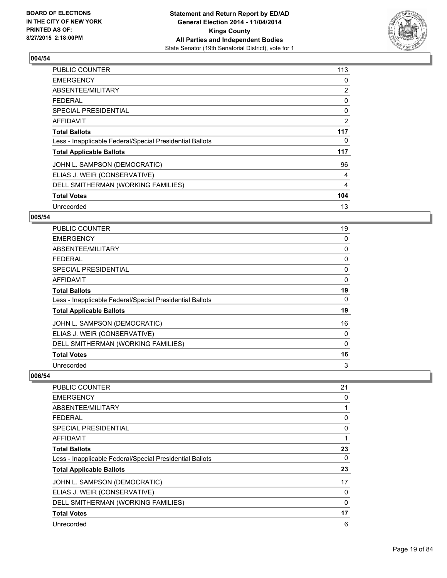

| <b>PUBLIC COUNTER</b>                                    | 113 |
|----------------------------------------------------------|-----|
| <b>EMERGENCY</b>                                         | 0   |
| ABSENTEE/MILITARY                                        | 2   |
| <b>FEDERAL</b>                                           | 0   |
| <b>SPECIAL PRESIDENTIAL</b>                              | 0   |
| AFFIDAVIT                                                | 2   |
| <b>Total Ballots</b>                                     | 117 |
| Less - Inapplicable Federal/Special Presidential Ballots | 0   |
| <b>Total Applicable Ballots</b>                          | 117 |
| JOHN L. SAMPSON (DEMOCRATIC)                             | 96  |
| ELIAS J. WEIR (CONSERVATIVE)                             | 4   |
| DELL SMITHERMAN (WORKING FAMILIES)                       | 4   |
| <b>Total Votes</b>                                       | 104 |
| Unrecorded                                               | 13  |

## **005/54**

| PUBLIC COUNTER                                           | 19 |
|----------------------------------------------------------|----|
| <b>EMERGENCY</b>                                         | 0  |
| ABSENTEE/MILITARY                                        | 0  |
| <b>FEDERAL</b>                                           | 0  |
| SPECIAL PRESIDENTIAL                                     | 0  |
| <b>AFFIDAVIT</b>                                         | 0  |
| <b>Total Ballots</b>                                     | 19 |
| Less - Inapplicable Federal/Special Presidential Ballots | 0  |
| <b>Total Applicable Ballots</b>                          | 19 |
| JOHN L. SAMPSON (DEMOCRATIC)                             | 16 |
| ELIAS J. WEIR (CONSERVATIVE)                             | 0  |
| DELL SMITHERMAN (WORKING FAMILIES)                       | 0  |
| <b>Total Votes</b>                                       | 16 |
| Unrecorded                                               | 3  |

| PUBLIC COUNTER                                           | 21           |
|----------------------------------------------------------|--------------|
| <b>EMERGENCY</b>                                         | 0            |
| ABSENTEE/MILITARY                                        | 1            |
| <b>FEDERAL</b>                                           | 0            |
| <b>SPECIAL PRESIDENTIAL</b>                              | 0            |
| AFFIDAVIT                                                | $\mathbf{1}$ |
| <b>Total Ballots</b>                                     | 23           |
| Less - Inapplicable Federal/Special Presidential Ballots | 0            |
| <b>Total Applicable Ballots</b>                          | 23           |
| JOHN L. SAMPSON (DEMOCRATIC)                             | 17           |
| ELIAS J. WEIR (CONSERVATIVE)                             | 0            |
| DELL SMITHERMAN (WORKING FAMILIES)                       | $\mathbf{0}$ |
| <b>Total Votes</b>                                       | 17           |
| Unrecorded                                               | 6            |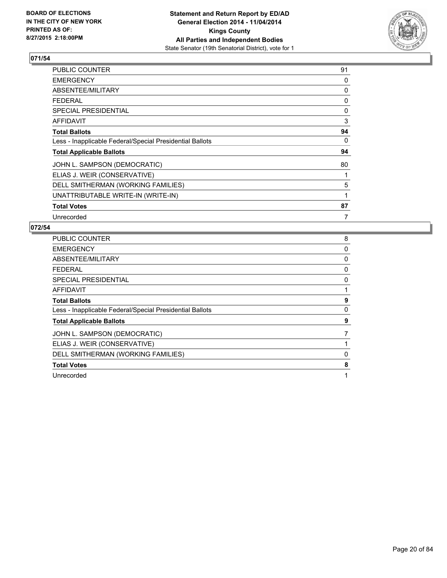

| PUBLIC COUNTER                                           | 91 |
|----------------------------------------------------------|----|
| <b>EMERGENCY</b>                                         | 0  |
| ABSENTEE/MILITARY                                        | 0  |
| <b>FEDERAL</b>                                           | 0  |
| <b>SPECIAL PRESIDENTIAL</b>                              | 0  |
| AFFIDAVIT                                                | 3  |
| <b>Total Ballots</b>                                     | 94 |
| Less - Inapplicable Federal/Special Presidential Ballots | 0  |
| <b>Total Applicable Ballots</b>                          | 94 |
| JOHN L. SAMPSON (DEMOCRATIC)                             | 80 |
| ELIAS J. WEIR (CONSERVATIVE)                             |    |
| DELL SMITHERMAN (WORKING FAMILIES)                       | 5  |
| UNATTRIBUTABLE WRITE-IN (WRITE-IN)                       | 1  |
| <b>Total Votes</b>                                       | 87 |
| Unrecorded                                               | 7  |

| <b>PUBLIC COUNTER</b>                                    | 8 |
|----------------------------------------------------------|---|
| <b>EMERGENCY</b>                                         | 0 |
| ABSENTEE/MILITARY                                        | 0 |
| <b>FEDERAL</b>                                           | 0 |
| <b>SPECIAL PRESIDENTIAL</b>                              | 0 |
| <b>AFFIDAVIT</b>                                         |   |
| <b>Total Ballots</b>                                     | 9 |
| Less - Inapplicable Federal/Special Presidential Ballots | 0 |
| <b>Total Applicable Ballots</b>                          | 9 |
| JOHN L. SAMPSON (DEMOCRATIC)                             |   |
| ELIAS J. WEIR (CONSERVATIVE)                             |   |
| DELL SMITHERMAN (WORKING FAMILIES)                       | 0 |
| <b>Total Votes</b>                                       | 8 |
| Unrecorded                                               | 1 |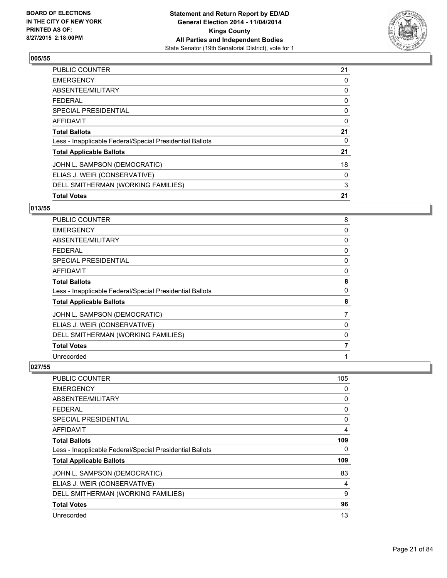

| <b>Total Votes</b>                                       | 21 |
|----------------------------------------------------------|----|
| DELL SMITHERMAN (WORKING FAMILIES)                       | 3  |
| ELIAS J. WEIR (CONSERVATIVE)                             | 0  |
| JOHN L. SAMPSON (DEMOCRATIC)                             | 18 |
| <b>Total Applicable Ballots</b>                          | 21 |
| Less - Inapplicable Federal/Special Presidential Ballots | 0  |
| <b>Total Ballots</b>                                     | 21 |
| <b>AFFIDAVIT</b>                                         | 0  |
| SPECIAL PRESIDENTIAL                                     | 0  |
| <b>FEDERAL</b>                                           | 0  |
| ABSENTEE/MILITARY                                        | 0  |
| <b>EMERGENCY</b>                                         | 0  |
| <b>PUBLIC COUNTER</b>                                    | 21 |

#### **013/55**

| PUBLIC COUNTER                                           | 8 |
|----------------------------------------------------------|---|
| <b>EMERGENCY</b>                                         | 0 |
| ABSENTEE/MILITARY                                        | 0 |
| <b>FEDERAL</b>                                           | 0 |
| <b>SPECIAL PRESIDENTIAL</b>                              | 0 |
| AFFIDAVIT                                                | 0 |
| <b>Total Ballots</b>                                     | 8 |
| Less - Inapplicable Federal/Special Presidential Ballots | 0 |
| <b>Total Applicable Ballots</b>                          | 8 |
| JOHN L. SAMPSON (DEMOCRATIC)                             | 7 |
| ELIAS J. WEIR (CONSERVATIVE)                             | 0 |
| DELL SMITHERMAN (WORKING FAMILIES)                       | 0 |
| <b>Total Votes</b>                                       | 7 |
| Unrecorded                                               |   |

| PUBLIC COUNTER                                           | 105 |
|----------------------------------------------------------|-----|
| <b>EMERGENCY</b>                                         | 0   |
| ABSENTEE/MILITARY                                        | 0   |
| <b>FEDERAL</b>                                           | 0   |
| <b>SPECIAL PRESIDENTIAL</b>                              | 0   |
| AFFIDAVIT                                                | 4   |
| <b>Total Ballots</b>                                     | 109 |
| Less - Inapplicable Federal/Special Presidential Ballots | 0   |
| <b>Total Applicable Ballots</b>                          | 109 |
| JOHN L. SAMPSON (DEMOCRATIC)                             | 83  |
| ELIAS J. WEIR (CONSERVATIVE)                             | 4   |
| DELL SMITHERMAN (WORKING FAMILIES)                       | 9   |
| <b>Total Votes</b>                                       | 96  |
| Unrecorded                                               | 13  |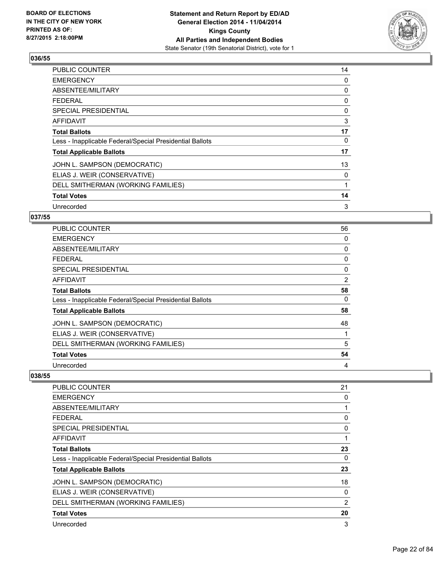

| PUBLIC COUNTER                                           | 14 |
|----------------------------------------------------------|----|
| <b>EMERGENCY</b>                                         | 0  |
| ABSENTEE/MILITARY                                        | 0  |
| <b>FEDERAL</b>                                           | 0  |
| SPECIAL PRESIDENTIAL                                     | 0  |
| AFFIDAVIT                                                | 3  |
| <b>Total Ballots</b>                                     | 17 |
| Less - Inapplicable Federal/Special Presidential Ballots | 0  |
| <b>Total Applicable Ballots</b>                          | 17 |
| JOHN L. SAMPSON (DEMOCRATIC)                             | 13 |
| ELIAS J. WEIR (CONSERVATIVE)                             | 0  |
| DELL SMITHERMAN (WORKING FAMILIES)                       |    |
| <b>Total Votes</b>                                       | 14 |
| Unrecorded                                               | 3  |

## **037/55**

| PUBLIC COUNTER                                           | 56 |
|----------------------------------------------------------|----|
| <b>EMERGENCY</b>                                         | 0  |
| ABSENTEE/MILITARY                                        | 0  |
| <b>FEDERAL</b>                                           | 0  |
| <b>SPECIAL PRESIDENTIAL</b>                              | 0  |
| <b>AFFIDAVIT</b>                                         | 2  |
| <b>Total Ballots</b>                                     | 58 |
| Less - Inapplicable Federal/Special Presidential Ballots | 0  |
| <b>Total Applicable Ballots</b>                          | 58 |
| JOHN L. SAMPSON (DEMOCRATIC)                             | 48 |
| ELIAS J. WEIR (CONSERVATIVE)                             |    |
| DELL SMITHERMAN (WORKING FAMILIES)                       | 5  |
| <b>Total Votes</b>                                       | 54 |
| Unrecorded                                               | 4  |

| <b>PUBLIC COUNTER</b>                                    | 21             |
|----------------------------------------------------------|----------------|
| <b>EMERGENCY</b>                                         | 0              |
| ABSENTEE/MILITARY                                        | 1              |
| FEDERAL                                                  | 0              |
| <b>SPECIAL PRESIDENTIAL</b>                              | 0              |
| AFFIDAVIT                                                | 1              |
| <b>Total Ballots</b>                                     | 23             |
| Less - Inapplicable Federal/Special Presidential Ballots | 0              |
| <b>Total Applicable Ballots</b>                          | 23             |
| JOHN L. SAMPSON (DEMOCRATIC)                             | 18             |
| ELIAS J. WEIR (CONSERVATIVE)                             | 0              |
| DELL SMITHERMAN (WORKING FAMILIES)                       | $\overline{2}$ |
| <b>Total Votes</b>                                       | 20             |
| Unrecorded                                               | 3              |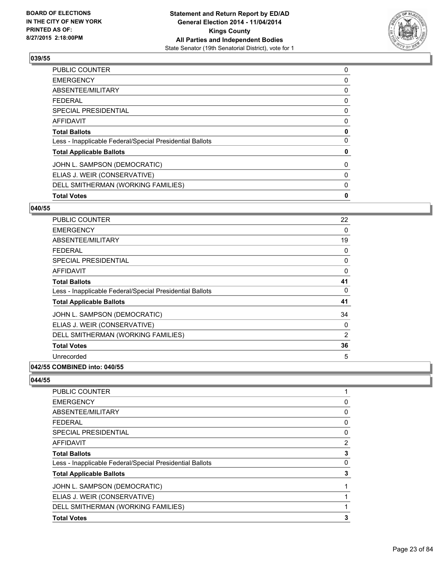

| <b>Total Votes</b>                                       | 0 |
|----------------------------------------------------------|---|
| DELL SMITHERMAN (WORKING FAMILIES)                       | 0 |
| ELIAS J. WEIR (CONSERVATIVE)                             | 0 |
| JOHN L. SAMPSON (DEMOCRATIC)                             | 0 |
| <b>Total Applicable Ballots</b>                          | 0 |
| Less - Inapplicable Federal/Special Presidential Ballots | 0 |
| <b>Total Ballots</b>                                     | 0 |
| <b>AFFIDAVIT</b>                                         | 0 |
| <b>SPECIAL PRESIDENTIAL</b>                              | 0 |
| <b>FEDERAL</b>                                           | 0 |
| ABSENTEE/MILITARY                                        | 0 |
| <b>EMERGENCY</b>                                         | 0 |
| <b>PUBLIC COUNTER</b>                                    | 0 |

#### **040/55**

| <b>PUBLIC COUNTER</b>                                    | 22 |
|----------------------------------------------------------|----|
| <b>EMERGENCY</b>                                         | 0  |
| ABSENTEE/MILITARY                                        | 19 |
| <b>FEDERAL</b>                                           | 0  |
| <b>SPECIAL PRESIDENTIAL</b>                              | 0  |
| AFFIDAVIT                                                | 0  |
| <b>Total Ballots</b>                                     | 41 |
| Less - Inapplicable Federal/Special Presidential Ballots | 0  |
| <b>Total Applicable Ballots</b>                          | 41 |
| JOHN L. SAMPSON (DEMOCRATIC)                             | 34 |
| ELIAS J. WEIR (CONSERVATIVE)                             | 0  |
| DELL SMITHERMAN (WORKING FAMILIES)                       | 2  |
| <b>Total Votes</b>                                       | 36 |
| Unrecorded                                               | 5  |
|                                                          |    |

# **042/55 COMBINED into: 040/55**

| <b>PUBLIC COUNTER</b>                                    |   |
|----------------------------------------------------------|---|
| <b>EMERGENCY</b>                                         | 0 |
| ABSENTEE/MILITARY                                        | 0 |
| <b>FEDERAL</b>                                           | 0 |
| <b>SPECIAL PRESIDENTIAL</b>                              | 0 |
| AFFIDAVIT                                                | 2 |
| <b>Total Ballots</b>                                     | 3 |
| Less - Inapplicable Federal/Special Presidential Ballots | 0 |
| <b>Total Applicable Ballots</b>                          | 3 |
| JOHN L. SAMPSON (DEMOCRATIC)                             |   |
| ELIAS J. WEIR (CONSERVATIVE)                             |   |
| DELL SMITHERMAN (WORKING FAMILIES)                       |   |
| <b>Total Votes</b>                                       | 3 |
|                                                          |   |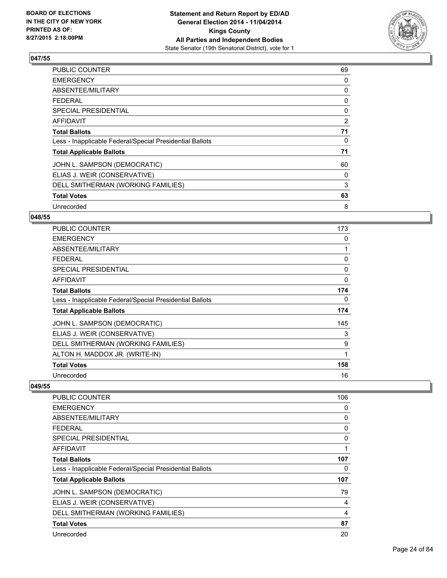

| PUBLIC COUNTER                                           | 69 |
|----------------------------------------------------------|----|
| <b>EMERGENCY</b>                                         | 0  |
| ABSENTEE/MILITARY                                        | 0  |
| <b>FEDERAL</b>                                           | 0  |
| <b>SPECIAL PRESIDENTIAL</b>                              | 0  |
| AFFIDAVIT                                                | 2  |
| <b>Total Ballots</b>                                     | 71 |
| Less - Inapplicable Federal/Special Presidential Ballots | 0  |
| <b>Total Applicable Ballots</b>                          | 71 |
| JOHN L. SAMPSON (DEMOCRATIC)                             | 60 |
| ELIAS J. WEIR (CONSERVATIVE)                             | 0  |
| DELL SMITHERMAN (WORKING FAMILIES)                       | 3  |
| <b>Total Votes</b>                                       | 63 |
| Unrecorded                                               | 8  |

## **048/55**

| <b>PUBLIC COUNTER</b>                                    | 173 |
|----------------------------------------------------------|-----|
| <b>EMERGENCY</b>                                         | 0   |
| ABSENTEE/MILITARY                                        | 1   |
| <b>FEDERAL</b>                                           | 0   |
| <b>SPECIAL PRESIDENTIAL</b>                              | 0   |
| <b>AFFIDAVIT</b>                                         | 0   |
| <b>Total Ballots</b>                                     | 174 |
| Less - Inapplicable Federal/Special Presidential Ballots | 0   |
| <b>Total Applicable Ballots</b>                          | 174 |
| JOHN L. SAMPSON (DEMOCRATIC)                             | 145 |
| ELIAS J. WEIR (CONSERVATIVE)                             | 3   |
| DELL SMITHERMAN (WORKING FAMILIES)                       | 9   |
| ALTON H. MADDOX JR. (WRITE-IN)                           | 1   |
| <b>Total Votes</b>                                       | 158 |
| Unrecorded                                               | 16  |

| <b>PUBLIC COUNTER</b>                                    | 106 |
|----------------------------------------------------------|-----|
| <b>EMERGENCY</b>                                         | 0   |
| ABSENTEE/MILITARY                                        | 0   |
| <b>FEDERAL</b>                                           | 0   |
| SPECIAL PRESIDENTIAL                                     | 0   |
| AFFIDAVIT                                                |     |
| <b>Total Ballots</b>                                     | 107 |
| Less - Inapplicable Federal/Special Presidential Ballots | 0   |
| <b>Total Applicable Ballots</b>                          | 107 |
| JOHN L. SAMPSON (DEMOCRATIC)                             | 79  |
| ELIAS J. WEIR (CONSERVATIVE)                             | 4   |
| DELL SMITHERMAN (WORKING FAMILIES)                       | 4   |
| <b>Total Votes</b>                                       | 87  |
| Unrecorded                                               | 20  |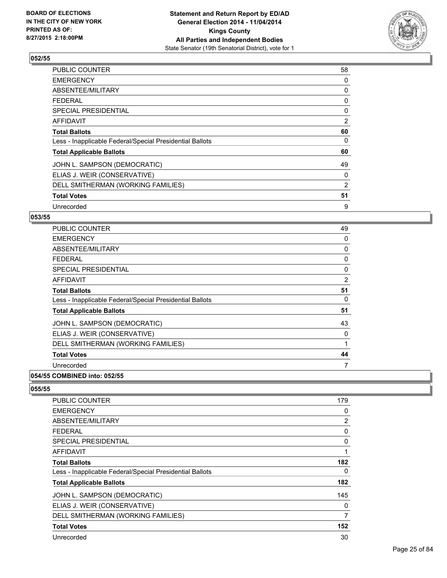

| PUBLIC COUNTER                                           | 58 |
|----------------------------------------------------------|----|
| <b>EMERGENCY</b>                                         | 0  |
| ABSENTEE/MILITARY                                        | 0  |
| FEDERAL                                                  | 0  |
| <b>SPECIAL PRESIDENTIAL</b>                              | 0  |
| <b>AFFIDAVIT</b>                                         | 2  |
| <b>Total Ballots</b>                                     | 60 |
| Less - Inapplicable Federal/Special Presidential Ballots | 0  |
| <b>Total Applicable Ballots</b>                          | 60 |
| JOHN L. SAMPSON (DEMOCRATIC)                             | 49 |
| ELIAS J. WEIR (CONSERVATIVE)                             | 0  |
| DELL SMITHERMAN (WORKING FAMILIES)                       | 2  |
| <b>Total Votes</b>                                       | 51 |
| Unrecorded                                               | 9  |

## **053/55**

| <b>PUBLIC COUNTER</b>                                    | 49             |
|----------------------------------------------------------|----------------|
| <b>EMERGENCY</b>                                         | 0              |
| ABSENTEE/MILITARY                                        | 0              |
| <b>FEDERAL</b>                                           | 0              |
| <b>SPECIAL PRESIDENTIAL</b>                              | 0              |
| AFFIDAVIT                                                | $\overline{2}$ |
| <b>Total Ballots</b>                                     | 51             |
| Less - Inapplicable Federal/Special Presidential Ballots | 0              |
| <b>Total Applicable Ballots</b>                          | 51             |
| JOHN L. SAMPSON (DEMOCRATIC)                             | 43             |
| ELIAS J. WEIR (CONSERVATIVE)                             | 0              |
| DELL SMITHERMAN (WORKING FAMILIES)                       | 1              |
| <b>Total Votes</b>                                       | 44             |
| Unrecorded                                               | 7              |
|                                                          |                |

### **054/55 COMBINED into: 052/55**

| 179            |
|----------------|
| 0              |
| $\overline{2}$ |
| 0              |
| 0              |
| 1              |
| 182            |
| 0              |
| 182            |
| 145            |
| 0              |
| 7              |
| 152            |
| 30             |
|                |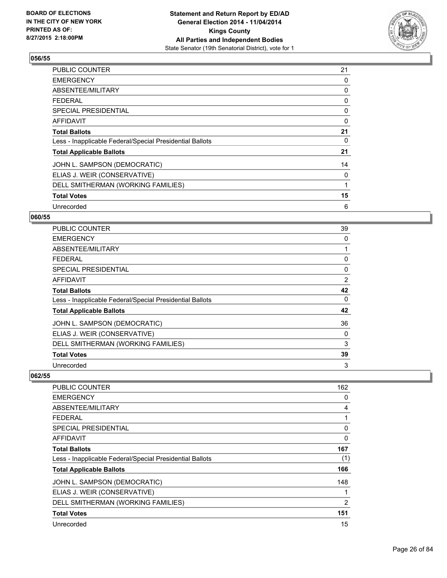

| PUBLIC COUNTER                                           | 21 |
|----------------------------------------------------------|----|
| <b>EMERGENCY</b>                                         | 0  |
| ABSENTEE/MILITARY                                        | 0  |
| <b>FEDERAL</b>                                           | 0  |
| SPECIAL PRESIDENTIAL                                     | 0  |
| <b>AFFIDAVIT</b>                                         | 0  |
| <b>Total Ballots</b>                                     | 21 |
| Less - Inapplicable Federal/Special Presidential Ballots | 0  |
| <b>Total Applicable Ballots</b>                          | 21 |
| JOHN L. SAMPSON (DEMOCRATIC)                             | 14 |
| ELIAS J. WEIR (CONSERVATIVE)                             | 0  |
| DELL SMITHERMAN (WORKING FAMILIES)                       |    |
| <b>Total Votes</b>                                       | 15 |
| Unrecorded                                               | 6  |

## **060/55**

| PUBLIC COUNTER                                           | 39 |
|----------------------------------------------------------|----|
| <b>EMERGENCY</b>                                         | 0  |
| ABSENTEE/MILITARY                                        |    |
| <b>FEDERAL</b>                                           | 0  |
| <b>SPECIAL PRESIDENTIAL</b>                              | 0  |
| AFFIDAVIT                                                | 2  |
| <b>Total Ballots</b>                                     | 42 |
| Less - Inapplicable Federal/Special Presidential Ballots | 0  |
| <b>Total Applicable Ballots</b>                          | 42 |
| JOHN L. SAMPSON (DEMOCRATIC)                             | 36 |
| ELIAS J. WEIR (CONSERVATIVE)                             | 0  |
| DELL SMITHERMAN (WORKING FAMILIES)                       | 3  |
| <b>Total Votes</b>                                       | 39 |
| Unrecorded                                               | 3  |

| <b>PUBLIC COUNTER</b>                                    | 162          |
|----------------------------------------------------------|--------------|
| <b>EMERGENCY</b>                                         | 0            |
| ABSENTEE/MILITARY                                        | 4            |
| <b>FEDERAL</b>                                           | 1            |
| <b>SPECIAL PRESIDENTIAL</b>                              | 0            |
| AFFIDAVIT                                                | 0            |
| <b>Total Ballots</b>                                     | 167          |
| Less - Inapplicable Federal/Special Presidential Ballots | (1)          |
| <b>Total Applicable Ballots</b>                          | 166          |
| JOHN L. SAMPSON (DEMOCRATIC)                             | 148          |
| ELIAS J. WEIR (CONSERVATIVE)                             | $\mathbf{1}$ |
| DELL SMITHERMAN (WORKING FAMILIES)                       | 2            |
| <b>Total Votes</b>                                       | 151          |
| Unrecorded                                               | 15           |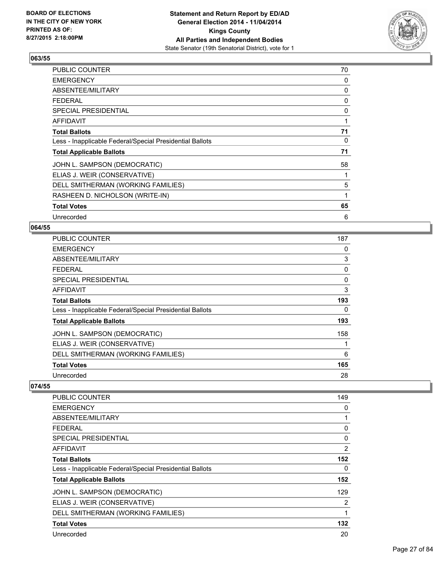

| PUBLIC COUNTER                                           | 70 |
|----------------------------------------------------------|----|
| <b>EMERGENCY</b>                                         | 0  |
| ABSENTEE/MILITARY                                        | 0  |
| <b>FEDERAL</b>                                           | 0  |
| SPECIAL PRESIDENTIAL                                     | 0  |
| <b>AFFIDAVIT</b>                                         | 1  |
| <b>Total Ballots</b>                                     | 71 |
| Less - Inapplicable Federal/Special Presidential Ballots | 0  |
| <b>Total Applicable Ballots</b>                          | 71 |
| JOHN L. SAMPSON (DEMOCRATIC)                             | 58 |
| ELIAS J. WEIR (CONSERVATIVE)                             |    |
| DELL SMITHERMAN (WORKING FAMILIES)                       | 5  |
| RASHEEN D. NICHOLSON (WRITE-IN)                          | 1  |
| <b>Total Votes</b>                                       | 65 |
| Unrecorded                                               | 6  |

#### **064/55**

| <b>PUBLIC COUNTER</b>                                    | 187 |
|----------------------------------------------------------|-----|
| <b>EMERGENCY</b>                                         | 0   |
| ABSENTEE/MILITARY                                        | 3   |
| <b>FEDERAL</b>                                           | 0   |
| SPECIAL PRESIDENTIAL                                     | 0   |
| AFFIDAVIT                                                | 3   |
| <b>Total Ballots</b>                                     | 193 |
| Less - Inapplicable Federal/Special Presidential Ballots | 0   |
| <b>Total Applicable Ballots</b>                          | 193 |
| JOHN L. SAMPSON (DEMOCRATIC)                             | 158 |
| ELIAS J. WEIR (CONSERVATIVE)                             | 1   |
| DELL SMITHERMAN (WORKING FAMILIES)                       | 6   |
| <b>Total Votes</b>                                       | 165 |
| Unrecorded                                               | 28  |

| <b>PUBLIC COUNTER</b>                                    | 149            |
|----------------------------------------------------------|----------------|
| <b>EMERGENCY</b>                                         | 0              |
| ABSENTEE/MILITARY                                        |                |
| <b>FEDERAL</b>                                           | 0              |
| SPECIAL PRESIDENTIAL                                     | $\Omega$       |
| AFFIDAVIT                                                | $\overline{2}$ |
| <b>Total Ballots</b>                                     | 152            |
| Less - Inapplicable Federal/Special Presidential Ballots | 0              |
| <b>Total Applicable Ballots</b>                          | 152            |
| JOHN L. SAMPSON (DEMOCRATIC)                             | 129            |
| ELIAS J. WEIR (CONSERVATIVE)                             | $\overline{2}$ |
| DELL SMITHERMAN (WORKING FAMILIES)                       | 1              |
| <b>Total Votes</b>                                       | 132            |
| Unrecorded                                               | 20             |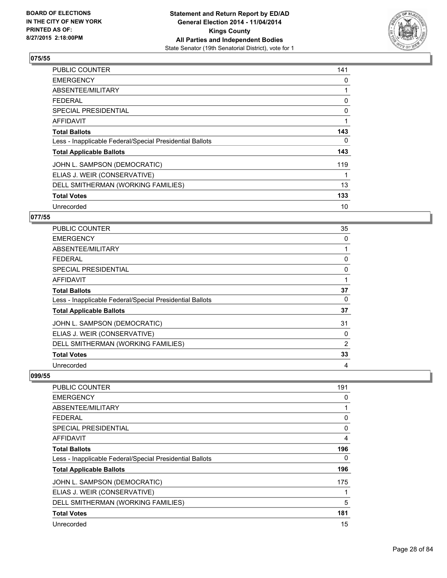

| <b>PUBLIC COUNTER</b>                                    | 141 |
|----------------------------------------------------------|-----|
| <b>EMERGENCY</b>                                         | 0   |
| ABSENTEE/MILITARY                                        | 1   |
| <b>FEDERAL</b>                                           | 0   |
| <b>SPECIAL PRESIDENTIAL</b>                              | 0   |
| AFFIDAVIT                                                | 1   |
| <b>Total Ballots</b>                                     | 143 |
| Less - Inapplicable Federal/Special Presidential Ballots | 0   |
| <b>Total Applicable Ballots</b>                          | 143 |
| JOHN L. SAMPSON (DEMOCRATIC)                             | 119 |
| ELIAS J. WEIR (CONSERVATIVE)                             | 1   |
| DELL SMITHERMAN (WORKING FAMILIES)                       | 13  |
| <b>Total Votes</b>                                       | 133 |
| Unrecorded                                               | 10  |

## **077/55**

| PUBLIC COUNTER                                           | 35 |
|----------------------------------------------------------|----|
| <b>EMERGENCY</b>                                         | 0  |
| ABSENTEE/MILITARY                                        |    |
| <b>FEDERAL</b>                                           | 0  |
| <b>SPECIAL PRESIDENTIAL</b>                              | 0  |
| AFFIDAVIT                                                |    |
| <b>Total Ballots</b>                                     | 37 |
| Less - Inapplicable Federal/Special Presidential Ballots | 0  |
| <b>Total Applicable Ballots</b>                          | 37 |
| JOHN L. SAMPSON (DEMOCRATIC)                             | 31 |
| ELIAS J. WEIR (CONSERVATIVE)                             | 0  |
| DELL SMITHERMAN (WORKING FAMILIES)                       | 2  |
| <b>Total Votes</b>                                       | 33 |
| Unrecorded                                               | 4  |

| <b>PUBLIC COUNTER</b>                                    | 191 |
|----------------------------------------------------------|-----|
| <b>EMERGENCY</b>                                         | 0   |
| ABSENTEE/MILITARY                                        |     |
| <b>FEDERAL</b>                                           | 0   |
| SPECIAL PRESIDENTIAL                                     | 0   |
| AFFIDAVIT                                                | 4   |
| <b>Total Ballots</b>                                     | 196 |
| Less - Inapplicable Federal/Special Presidential Ballots | 0   |
| <b>Total Applicable Ballots</b>                          | 196 |
| JOHN L. SAMPSON (DEMOCRATIC)                             | 175 |
| ELIAS J. WEIR (CONSERVATIVE)                             |     |
| DELL SMITHERMAN (WORKING FAMILIES)                       | 5   |
| <b>Total Votes</b>                                       | 181 |
| Unrecorded                                               | 15  |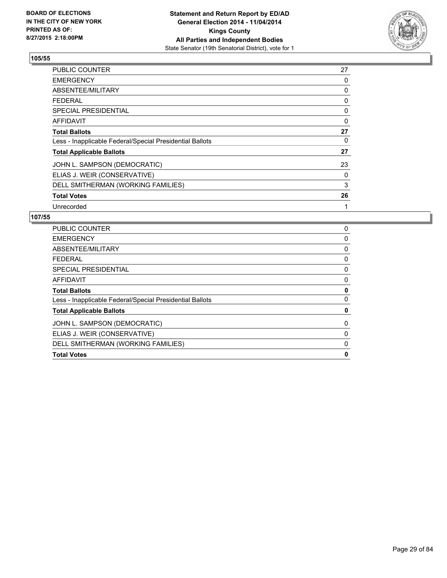

| PUBLIC COUNTER                                           | 27 |
|----------------------------------------------------------|----|
| <b>EMERGENCY</b>                                         | 0  |
| ABSENTEE/MILITARY                                        | 0  |
| <b>FEDERAL</b>                                           | 0  |
| SPECIAL PRESIDENTIAL                                     | 0  |
| AFFIDAVIT                                                | 0  |
| <b>Total Ballots</b>                                     | 27 |
| Less - Inapplicable Federal/Special Presidential Ballots | 0  |
| <b>Total Applicable Ballots</b>                          | 27 |
| JOHN L. SAMPSON (DEMOCRATIC)                             | 23 |
| ELIAS J. WEIR (CONSERVATIVE)                             | 0  |
| DELL SMITHERMAN (WORKING FAMILIES)                       | 3  |
| <b>Total Votes</b>                                       | 26 |
| Unrecorded                                               | 1  |

| <b>PUBLIC COUNTER</b>                                    | 0           |
|----------------------------------------------------------|-------------|
| <b>EMERGENCY</b>                                         | $\mathbf 0$ |
| ABSENTEE/MILITARY                                        | 0           |
| FEDERAL                                                  | 0           |
| SPECIAL PRESIDENTIAL                                     | 0           |
| AFFIDAVIT                                                | 0           |
| <b>Total Ballots</b>                                     | 0           |
| Less - Inapplicable Federal/Special Presidential Ballots | 0           |
| <b>Total Applicable Ballots</b>                          | 0           |
| JOHN L. SAMPSON (DEMOCRATIC)                             | 0           |
| ELIAS J. WEIR (CONSERVATIVE)                             | 0           |
| DELL SMITHERMAN (WORKING FAMILIES)                       | 0           |
| <b>Total Votes</b>                                       | 0           |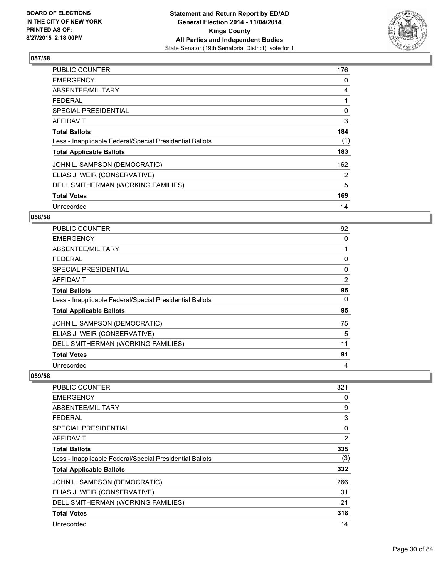

| <b>PUBLIC COUNTER</b>                                    | 176 |
|----------------------------------------------------------|-----|
| <b>EMERGENCY</b>                                         | 0   |
| ABSENTEE/MILITARY                                        | 4   |
| <b>FEDERAL</b>                                           | 1   |
| <b>SPECIAL PRESIDENTIAL</b>                              | 0   |
| <b>AFFIDAVIT</b>                                         | 3   |
| <b>Total Ballots</b>                                     | 184 |
| Less - Inapplicable Federal/Special Presidential Ballots | (1) |
| <b>Total Applicable Ballots</b>                          | 183 |
| JOHN L. SAMPSON (DEMOCRATIC)                             | 162 |
| ELIAS J. WEIR (CONSERVATIVE)                             | 2   |
| DELL SMITHERMAN (WORKING FAMILIES)                       | 5   |
| <b>Total Votes</b>                                       | 169 |
| Unrecorded                                               | 14  |

## **058/58**

| PUBLIC COUNTER                                           | 92 |
|----------------------------------------------------------|----|
| <b>EMERGENCY</b>                                         | 0  |
| ABSENTEE/MILITARY                                        |    |
| <b>FEDERAL</b>                                           | 0  |
| <b>SPECIAL PRESIDENTIAL</b>                              | 0  |
| <b>AFFIDAVIT</b>                                         | 2  |
| <b>Total Ballots</b>                                     | 95 |
| Less - Inapplicable Federal/Special Presidential Ballots | 0  |
| <b>Total Applicable Ballots</b>                          | 95 |
| JOHN L. SAMPSON (DEMOCRATIC)                             | 75 |
| ELIAS J. WEIR (CONSERVATIVE)                             | 5  |
| DELL SMITHERMAN (WORKING FAMILIES)                       | 11 |
| <b>Total Votes</b>                                       | 91 |
| Unrecorded                                               | 4  |

| <b>PUBLIC COUNTER</b>                                    | 321 |
|----------------------------------------------------------|-----|
| <b>EMERGENCY</b>                                         | 0   |
| ABSENTEE/MILITARY                                        | 9   |
| <b>FEDERAL</b>                                           | 3   |
| SPECIAL PRESIDENTIAL                                     | 0   |
| AFFIDAVIT                                                | 2   |
| <b>Total Ballots</b>                                     | 335 |
| Less - Inapplicable Federal/Special Presidential Ballots | (3) |
| <b>Total Applicable Ballots</b>                          | 332 |
| JOHN L. SAMPSON (DEMOCRATIC)                             | 266 |
| ELIAS J. WEIR (CONSERVATIVE)                             | 31  |
| DELL SMITHERMAN (WORKING FAMILIES)                       | 21  |
| <b>Total Votes</b>                                       | 318 |
| Unrecorded                                               | 14  |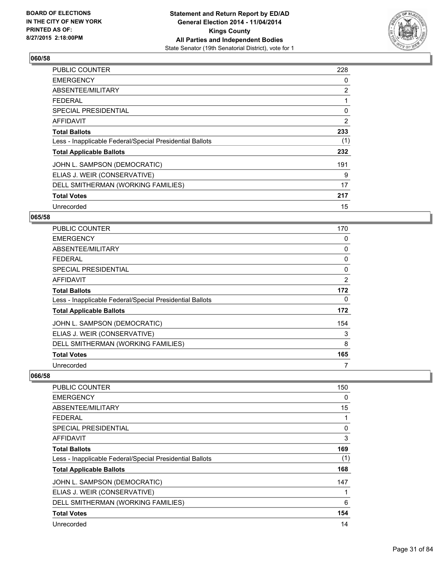

| <b>PUBLIC COUNTER</b>                                    | 228 |
|----------------------------------------------------------|-----|
| <b>EMERGENCY</b>                                         | 0   |
| ABSENTEE/MILITARY                                        | 2   |
| <b>FEDERAL</b>                                           | 1   |
| <b>SPECIAL PRESIDENTIAL</b>                              | 0   |
| <b>AFFIDAVIT</b>                                         | 2   |
| <b>Total Ballots</b>                                     | 233 |
| Less - Inapplicable Federal/Special Presidential Ballots | (1) |
| <b>Total Applicable Ballots</b>                          | 232 |
| JOHN L. SAMPSON (DEMOCRATIC)                             | 191 |
| ELIAS J. WEIR (CONSERVATIVE)                             | 9   |
| DELL SMITHERMAN (WORKING FAMILIES)                       | 17  |
| <b>Total Votes</b>                                       | 217 |
| Unrecorded                                               | 15  |

### **065/58**

| <b>PUBLIC COUNTER</b>                                    | 170 |
|----------------------------------------------------------|-----|
| <b>EMERGENCY</b>                                         | 0   |
| ABSENTEE/MILITARY                                        | 0   |
| <b>FEDERAL</b>                                           | 0   |
| <b>SPECIAL PRESIDENTIAL</b>                              | 0   |
| AFFIDAVIT                                                | 2   |
| <b>Total Ballots</b>                                     | 172 |
| Less - Inapplicable Federal/Special Presidential Ballots | 0   |
| <b>Total Applicable Ballots</b>                          | 172 |
| JOHN L. SAMPSON (DEMOCRATIC)                             | 154 |
| ELIAS J. WEIR (CONSERVATIVE)                             | 3   |
| DELL SMITHERMAN (WORKING FAMILIES)                       | 8   |
| <b>Total Votes</b>                                       | 165 |
| Unrecorded                                               | 7   |

| <b>PUBLIC COUNTER</b>                                    | 150 |
|----------------------------------------------------------|-----|
| <b>EMERGENCY</b>                                         | 0   |
| ABSENTEE/MILITARY                                        | 15  |
| <b>FEDERAL</b>                                           |     |
| SPECIAL PRESIDENTIAL                                     | 0   |
| AFFIDAVIT                                                | 3   |
| <b>Total Ballots</b>                                     | 169 |
| Less - Inapplicable Federal/Special Presidential Ballots | (1) |
| <b>Total Applicable Ballots</b>                          | 168 |
| JOHN L. SAMPSON (DEMOCRATIC)                             | 147 |
| ELIAS J. WEIR (CONSERVATIVE)                             |     |
| DELL SMITHERMAN (WORKING FAMILIES)                       | 6   |
| <b>Total Votes</b>                                       | 154 |
| Unrecorded                                               | 14  |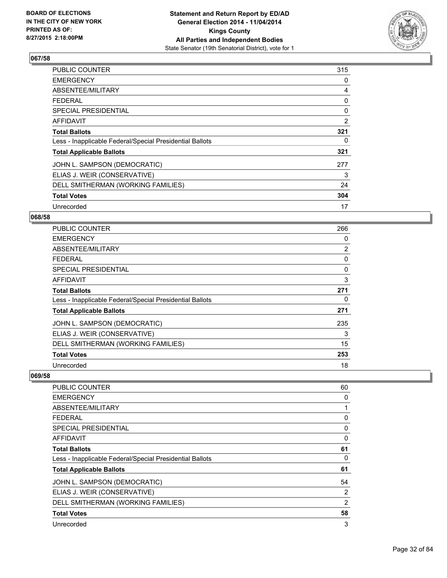

| <b>PUBLIC COUNTER</b>                                    | 315 |
|----------------------------------------------------------|-----|
| <b>EMERGENCY</b>                                         | 0   |
| ABSENTEE/MILITARY                                        | 4   |
| <b>FEDERAL</b>                                           | 0   |
| <b>SPECIAL PRESIDENTIAL</b>                              | 0   |
| <b>AFFIDAVIT</b>                                         | 2   |
| <b>Total Ballots</b>                                     | 321 |
| Less - Inapplicable Federal/Special Presidential Ballots | 0   |
| <b>Total Applicable Ballots</b>                          | 321 |
| JOHN L. SAMPSON (DEMOCRATIC)                             | 277 |
| ELIAS J. WEIR (CONSERVATIVE)                             | 3   |
| DELL SMITHERMAN (WORKING FAMILIES)                       | 24  |
| <b>Total Votes</b>                                       | 304 |
| Unrecorded                                               | 17  |

## **068/58**

| PUBLIC COUNTER                                           | 266            |
|----------------------------------------------------------|----------------|
| <b>EMERGENCY</b>                                         | 0              |
| ABSENTEE/MILITARY                                        | $\overline{2}$ |
| <b>FEDERAL</b>                                           | 0              |
| <b>SPECIAL PRESIDENTIAL</b>                              | 0              |
| AFFIDAVIT                                                | 3              |
| <b>Total Ballots</b>                                     | 271            |
| Less - Inapplicable Federal/Special Presidential Ballots | 0              |
| <b>Total Applicable Ballots</b>                          | 271            |
| JOHN L. SAMPSON (DEMOCRATIC)                             | 235            |
| ELIAS J. WEIR (CONSERVATIVE)                             | 3              |
| DELL SMITHERMAN (WORKING FAMILIES)                       | 15             |
| <b>Total Votes</b>                                       | 253            |
| Unrecorded                                               | 18             |

| <b>PUBLIC COUNTER</b>                                    | 60 |
|----------------------------------------------------------|----|
| <b>EMERGENCY</b>                                         | 0  |
| ABSENTEE/MILITARY                                        |    |
| FEDERAL                                                  | 0  |
| <b>SPECIAL PRESIDENTIAL</b>                              | 0  |
| AFFIDAVIT                                                | 0  |
| <b>Total Ballots</b>                                     | 61 |
| Less - Inapplicable Federal/Special Presidential Ballots | 0  |
| <b>Total Applicable Ballots</b>                          | 61 |
| JOHN L. SAMPSON (DEMOCRATIC)                             | 54 |
| ELIAS J. WEIR (CONSERVATIVE)                             | 2  |
| DELL SMITHERMAN (WORKING FAMILIES)                       | 2  |
| <b>Total Votes</b>                                       | 58 |
| Unrecorded                                               | 3  |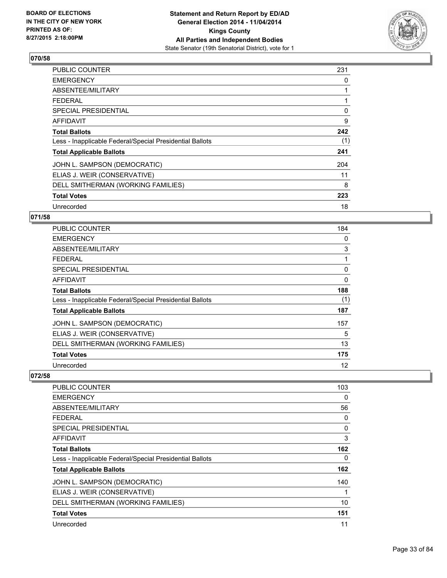

| <b>PUBLIC COUNTER</b>                                    | 231 |
|----------------------------------------------------------|-----|
| <b>EMERGENCY</b>                                         | 0   |
| ABSENTEE/MILITARY                                        |     |
| <b>FEDERAL</b>                                           |     |
| <b>SPECIAL PRESIDENTIAL</b>                              | 0   |
| <b>AFFIDAVIT</b>                                         | 9   |
| <b>Total Ballots</b>                                     | 242 |
| Less - Inapplicable Federal/Special Presidential Ballots | (1) |
| <b>Total Applicable Ballots</b>                          | 241 |
| JOHN L. SAMPSON (DEMOCRATIC)                             | 204 |
| ELIAS J. WEIR (CONSERVATIVE)                             | 11  |
| DELL SMITHERMAN (WORKING FAMILIES)                       | 8   |
| <b>Total Votes</b>                                       | 223 |
| Unrecorded                                               | 18  |

## **071/58**

| <b>PUBLIC COUNTER</b>                                    | 184      |
|----------------------------------------------------------|----------|
| <b>EMERGENCY</b>                                         | 0        |
| ABSENTEE/MILITARY                                        | 3        |
| <b>FEDERAL</b>                                           | 1        |
| <b>SPECIAL PRESIDENTIAL</b>                              | 0        |
| AFFIDAVIT                                                | $\Omega$ |
| <b>Total Ballots</b>                                     | 188      |
| Less - Inapplicable Federal/Special Presidential Ballots | (1)      |
| <b>Total Applicable Ballots</b>                          | 187      |
| JOHN L. SAMPSON (DEMOCRATIC)                             | 157      |
| ELIAS J. WEIR (CONSERVATIVE)                             | 5        |
| DELL SMITHERMAN (WORKING FAMILIES)                       | 13       |
| <b>Total Votes</b>                                       | 175      |
| Unrecorded                                               | 12       |

| <b>PUBLIC COUNTER</b>                                    | 103 |
|----------------------------------------------------------|-----|
| <b>EMERGENCY</b>                                         | 0   |
| ABSENTEE/MILITARY                                        | 56  |
| <b>FEDERAL</b>                                           | 0   |
| SPECIAL PRESIDENTIAL                                     | 0   |
| AFFIDAVIT                                                | 3   |
| <b>Total Ballots</b>                                     | 162 |
| Less - Inapplicable Federal/Special Presidential Ballots | 0   |
| <b>Total Applicable Ballots</b>                          | 162 |
| JOHN L. SAMPSON (DEMOCRATIC)                             | 140 |
| ELIAS J. WEIR (CONSERVATIVE)                             | 1   |
| DELL SMITHERMAN (WORKING FAMILIES)                       | 10  |
| <b>Total Votes</b>                                       | 151 |
| Unrecorded                                               | 11  |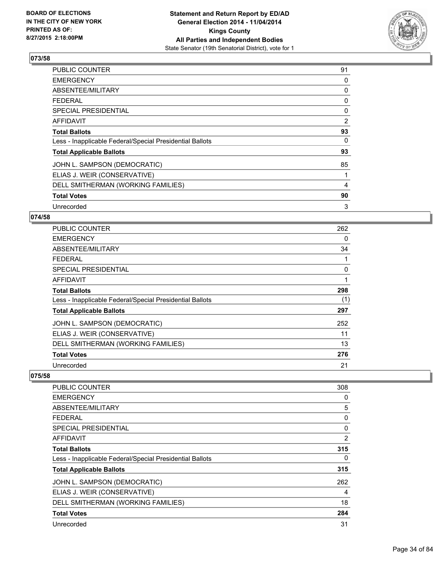

| <b>PUBLIC COUNTER</b>                                    | 91             |
|----------------------------------------------------------|----------------|
| <b>EMERGENCY</b>                                         | 0              |
| ABSENTEE/MILITARY                                        | 0              |
| <b>FEDERAL</b>                                           | 0              |
| SPECIAL PRESIDENTIAL                                     | 0              |
| AFFIDAVIT                                                | $\overline{2}$ |
| <b>Total Ballots</b>                                     | 93             |
| Less - Inapplicable Federal/Special Presidential Ballots | 0              |
| <b>Total Applicable Ballots</b>                          | 93             |
| JOHN L. SAMPSON (DEMOCRATIC)                             | 85             |
| ELIAS J. WEIR (CONSERVATIVE)                             | 1              |
| DELL SMITHERMAN (WORKING FAMILIES)                       | 4              |
| <b>Total Votes</b>                                       | 90             |
| Unrecorded                                               | 3              |

## **074/58**

| PUBLIC COUNTER                                           | 262 |
|----------------------------------------------------------|-----|
| <b>EMERGENCY</b>                                         | 0   |
| ABSENTEE/MILITARY                                        | 34  |
| <b>FEDERAL</b>                                           |     |
| <b>SPECIAL PRESIDENTIAL</b>                              | 0   |
| AFFIDAVIT                                                | 1   |
| <b>Total Ballots</b>                                     | 298 |
| Less - Inapplicable Federal/Special Presidential Ballots | (1) |
| <b>Total Applicable Ballots</b>                          | 297 |
| JOHN L. SAMPSON (DEMOCRATIC)                             | 252 |
| ELIAS J. WEIR (CONSERVATIVE)                             | 11  |
| DELL SMITHERMAN (WORKING FAMILIES)                       | 13  |
| <b>Total Votes</b>                                       | 276 |
| Unrecorded                                               | 21  |

| <b>PUBLIC COUNTER</b>                                    | 308 |
|----------------------------------------------------------|-----|
| <b>EMERGENCY</b>                                         | 0   |
| ABSENTEE/MILITARY                                        | 5   |
| <b>FEDERAL</b>                                           | 0   |
| <b>SPECIAL PRESIDENTIAL</b>                              | 0   |
| AFFIDAVIT                                                | 2   |
| <b>Total Ballots</b>                                     | 315 |
| Less - Inapplicable Federal/Special Presidential Ballots | 0   |
| <b>Total Applicable Ballots</b>                          | 315 |
| JOHN L. SAMPSON (DEMOCRATIC)                             | 262 |
| ELIAS J. WEIR (CONSERVATIVE)                             | 4   |
| DELL SMITHERMAN (WORKING FAMILIES)                       | 18  |
| <b>Total Votes</b>                                       | 284 |
| Unrecorded                                               | 31  |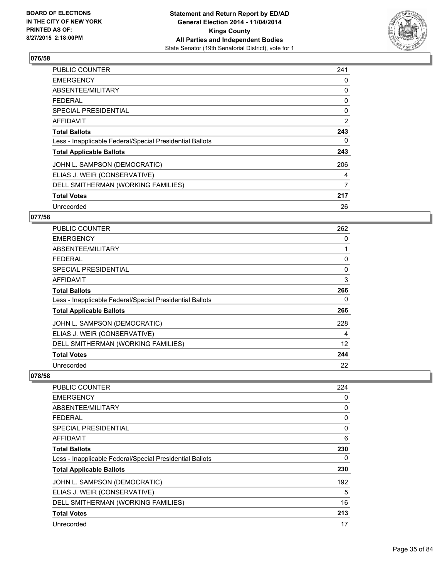

| <b>PUBLIC COUNTER</b>                                    | 241 |
|----------------------------------------------------------|-----|
| <b>EMERGENCY</b>                                         | 0   |
| ABSENTEE/MILITARY                                        | 0   |
| <b>FEDERAL</b>                                           | 0   |
| <b>SPECIAL PRESIDENTIAL</b>                              | 0   |
| <b>AFFIDAVIT</b>                                         | 2   |
| <b>Total Ballots</b>                                     | 243 |
| Less - Inapplicable Federal/Special Presidential Ballots | 0   |
| <b>Total Applicable Ballots</b>                          | 243 |
| JOHN L. SAMPSON (DEMOCRATIC)                             | 206 |
| ELIAS J. WEIR (CONSERVATIVE)                             | 4   |
| DELL SMITHERMAN (WORKING FAMILIES)                       | 7   |
| <b>Total Votes</b>                                       | 217 |
| Unrecorded                                               | 26  |

## **077/58**

| <b>PUBLIC COUNTER</b>                                    | 262      |
|----------------------------------------------------------|----------|
| <b>EMERGENCY</b>                                         | 0        |
| ABSENTEE/MILITARY                                        | 1        |
| <b>FEDERAL</b>                                           | 0        |
| <b>SPECIAL PRESIDENTIAL</b>                              | $\Omega$ |
| <b>AFFIDAVIT</b>                                         | 3        |
| <b>Total Ballots</b>                                     | 266      |
| Less - Inapplicable Federal/Special Presidential Ballots | 0        |
| <b>Total Applicable Ballots</b>                          | 266      |
| JOHN L. SAMPSON (DEMOCRATIC)                             | 228      |
| ELIAS J. WEIR (CONSERVATIVE)                             | 4        |
| DELL SMITHERMAN (WORKING FAMILIES)                       | 12       |
| <b>Total Votes</b>                                       | 244      |
| Unrecorded                                               | 22       |

| <b>PUBLIC COUNTER</b>                                    | 224 |
|----------------------------------------------------------|-----|
| <b>EMERGENCY</b>                                         | 0   |
| ABSENTEE/MILITARY                                        | 0   |
| <b>FEDERAL</b>                                           | 0   |
| SPECIAL PRESIDENTIAL                                     | 0   |
| AFFIDAVIT                                                | 6   |
| <b>Total Ballots</b>                                     | 230 |
| Less - Inapplicable Federal/Special Presidential Ballots | 0   |
| <b>Total Applicable Ballots</b>                          | 230 |
| JOHN L. SAMPSON (DEMOCRATIC)                             | 192 |
| ELIAS J. WEIR (CONSERVATIVE)                             | 5   |
| DELL SMITHERMAN (WORKING FAMILIES)                       | 16  |
| <b>Total Votes</b>                                       | 213 |
| Unrecorded                                               | 17  |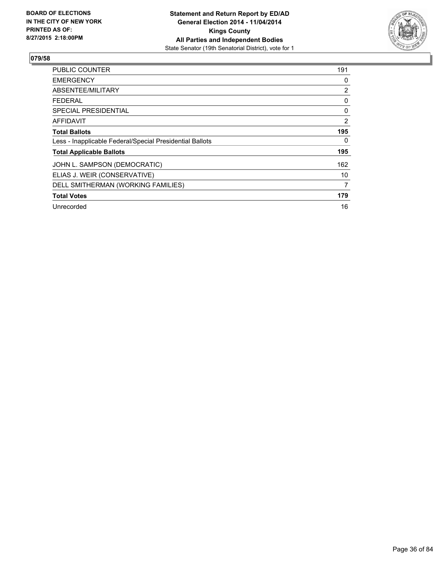

| <b>PUBLIC COUNTER</b>                                    | 191            |
|----------------------------------------------------------|----------------|
| <b>EMERGENCY</b>                                         | 0              |
| ABSENTEE/MILITARY                                        | $\overline{2}$ |
| <b>FEDERAL</b>                                           | 0              |
| SPECIAL PRESIDENTIAL                                     | 0              |
| AFFIDAVIT                                                | 2              |
| <b>Total Ballots</b>                                     | 195            |
| Less - Inapplicable Federal/Special Presidential Ballots | 0              |
| <b>Total Applicable Ballots</b>                          | 195            |
| JOHN L. SAMPSON (DEMOCRATIC)                             | 162            |
| ELIAS J. WEIR (CONSERVATIVE)                             | 10             |
| DELL SMITHERMAN (WORKING FAMILIES)                       | 7              |
| <b>Total Votes</b>                                       | 179            |
| Unrecorded                                               | 16             |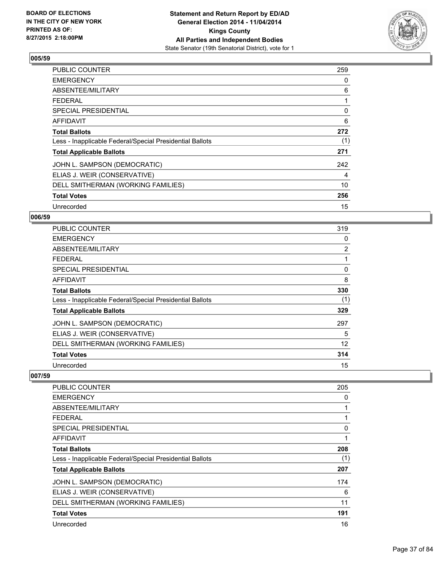

| <b>PUBLIC COUNTER</b>                                    | 259 |
|----------------------------------------------------------|-----|
| <b>EMERGENCY</b>                                         | 0   |
| ABSENTEE/MILITARY                                        | 6   |
| <b>FEDERAL</b>                                           | 1   |
| <b>SPECIAL PRESIDENTIAL</b>                              | 0   |
| AFFIDAVIT                                                | 6   |
| <b>Total Ballots</b>                                     | 272 |
| Less - Inapplicable Federal/Special Presidential Ballots | (1) |
| <b>Total Applicable Ballots</b>                          | 271 |
| JOHN L. SAMPSON (DEMOCRATIC)                             | 242 |
| ELIAS J. WEIR (CONSERVATIVE)                             | 4   |
| DELL SMITHERMAN (WORKING FAMILIES)                       | 10  |
| <b>Total Votes</b>                                       | 256 |
| Unrecorded                                               | 15  |

# **006/59**

| PUBLIC COUNTER                                           | 319            |
|----------------------------------------------------------|----------------|
| <b>EMERGENCY</b>                                         | 0              |
| ABSENTEE/MILITARY                                        | $\overline{2}$ |
| <b>FEDERAL</b>                                           |                |
| SPECIAL PRESIDENTIAL                                     | 0              |
| AFFIDAVIT                                                | 8              |
| <b>Total Ballots</b>                                     | 330            |
| Less - Inapplicable Federal/Special Presidential Ballots | (1)            |
| <b>Total Applicable Ballots</b>                          | 329            |
| JOHN L. SAMPSON (DEMOCRATIC)                             | 297            |
| ELIAS J. WEIR (CONSERVATIVE)                             | 5              |
| DELL SMITHERMAN (WORKING FAMILIES)                       | 12             |
| <b>Total Votes</b>                                       | 314            |
| Unrecorded                                               | 15             |

| <b>PUBLIC COUNTER</b>                                    | 205 |
|----------------------------------------------------------|-----|
| <b>EMERGENCY</b>                                         | 0   |
| ABSENTEE/MILITARY                                        |     |
| <b>FEDERAL</b>                                           |     |
| SPECIAL PRESIDENTIAL                                     | 0   |
| AFFIDAVIT                                                |     |
| <b>Total Ballots</b>                                     | 208 |
| Less - Inapplicable Federal/Special Presidential Ballots | (1) |
| <b>Total Applicable Ballots</b>                          | 207 |
| JOHN L. SAMPSON (DEMOCRATIC)                             | 174 |
| ELIAS J. WEIR (CONSERVATIVE)                             | 6   |
| DELL SMITHERMAN (WORKING FAMILIES)                       | 11  |
| <b>Total Votes</b>                                       | 191 |
| Unrecorded                                               | 16  |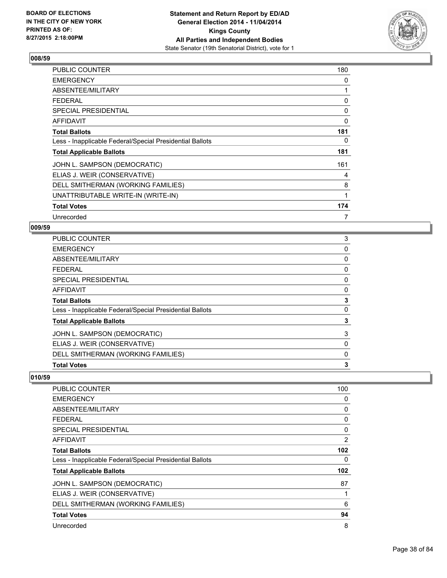

| PUBLIC COUNTER                                           | 180 |
|----------------------------------------------------------|-----|
| <b>EMERGENCY</b>                                         | 0   |
| ABSENTEE/MILITARY                                        | 1   |
| <b>FEDERAL</b>                                           | 0   |
| <b>SPECIAL PRESIDENTIAL</b>                              | 0   |
| <b>AFFIDAVIT</b>                                         | 0   |
| <b>Total Ballots</b>                                     | 181 |
| Less - Inapplicable Federal/Special Presidential Ballots | 0   |
| <b>Total Applicable Ballots</b>                          | 181 |
| JOHN L. SAMPSON (DEMOCRATIC)                             | 161 |
| ELIAS J. WEIR (CONSERVATIVE)                             | 4   |
| DELL SMITHERMAN (WORKING FAMILIES)                       | 8   |
| UNATTRIBUTABLE WRITE-IN (WRITE-IN)                       | 1   |
| <b>Total Votes</b>                                       | 174 |
| Unrecorded                                               | 7   |

## **009/59**

| PUBLIC COUNTER                                           | 3 |
|----------------------------------------------------------|---|
| <b>EMERGENCY</b>                                         | 0 |
| ABSENTEE/MILITARY                                        | 0 |
| <b>FEDERAL</b>                                           | 0 |
| <b>SPECIAL PRESIDENTIAL</b>                              | 0 |
| <b>AFFIDAVIT</b>                                         | 0 |
| <b>Total Ballots</b>                                     | 3 |
| Less - Inapplicable Federal/Special Presidential Ballots | 0 |
| <b>Total Applicable Ballots</b>                          | 3 |
| JOHN L. SAMPSON (DEMOCRATIC)                             | 3 |
| ELIAS J. WEIR (CONSERVATIVE)                             | 0 |
| DELL SMITHERMAN (WORKING FAMILIES)                       | 0 |
| <b>Total Votes</b>                                       | 3 |

| <b>PUBLIC COUNTER</b>                                    | 100            |
|----------------------------------------------------------|----------------|
| <b>EMERGENCY</b>                                         | 0              |
| ABSENTEE/MILITARY                                        | 0              |
| <b>FEDERAL</b>                                           | 0              |
| SPECIAL PRESIDENTIAL                                     | 0              |
| <b>AFFIDAVIT</b>                                         | $\overline{2}$ |
| <b>Total Ballots</b>                                     | 102            |
| Less - Inapplicable Federal/Special Presidential Ballots | 0              |
| <b>Total Applicable Ballots</b>                          | 102            |
| JOHN L. SAMPSON (DEMOCRATIC)                             | 87             |
| ELIAS J. WEIR (CONSERVATIVE)                             | 1              |
| DELL SMITHERMAN (WORKING FAMILIES)                       | 6              |
| <b>Total Votes</b>                                       | 94             |
| Unrecorded                                               | 8              |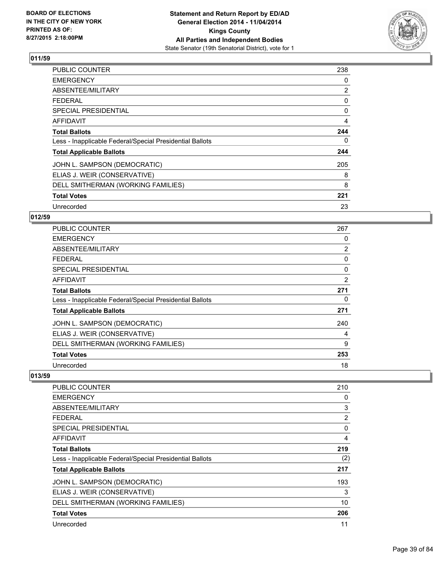

| <b>PUBLIC COUNTER</b>                                    | 238 |
|----------------------------------------------------------|-----|
| <b>EMERGENCY</b>                                         | 0   |
| ABSENTEE/MILITARY                                        | 2   |
| <b>FEDERAL</b>                                           | 0   |
| <b>SPECIAL PRESIDENTIAL</b>                              | 0   |
| <b>AFFIDAVIT</b>                                         | 4   |
| <b>Total Ballots</b>                                     | 244 |
| Less - Inapplicable Federal/Special Presidential Ballots | 0   |
| <b>Total Applicable Ballots</b>                          | 244 |
| JOHN L. SAMPSON (DEMOCRATIC)                             | 205 |
| ELIAS J. WEIR (CONSERVATIVE)                             | 8   |
| DELL SMITHERMAN (WORKING FAMILIES)                       | 8   |
| <b>Total Votes</b>                                       | 221 |
| Unrecorded                                               | 23  |

# **012/59**

| <b>PUBLIC COUNTER</b>                                    | 267            |
|----------------------------------------------------------|----------------|
| <b>EMERGENCY</b>                                         | 0              |
| ABSENTEE/MILITARY                                        | $\overline{2}$ |
| <b>FEDERAL</b>                                           | 0              |
| SPECIAL PRESIDENTIAL                                     | 0              |
| AFFIDAVIT                                                | 2              |
| <b>Total Ballots</b>                                     | 271            |
| Less - Inapplicable Federal/Special Presidential Ballots | 0              |
| <b>Total Applicable Ballots</b>                          | 271            |
| JOHN L. SAMPSON (DEMOCRATIC)                             | 240            |
| ELIAS J. WEIR (CONSERVATIVE)                             | 4              |
| DELL SMITHERMAN (WORKING FAMILIES)                       | 9              |
| <b>Total Votes</b>                                       | 253            |
| Unrecorded                                               | 18             |

| <b>PUBLIC COUNTER</b>                                    | 210 |
|----------------------------------------------------------|-----|
| <b>EMERGENCY</b>                                         | 0   |
| ABSENTEE/MILITARY                                        | 3   |
| <b>FEDERAL</b>                                           | 2   |
| SPECIAL PRESIDENTIAL                                     | 0   |
| AFFIDAVIT                                                | 4   |
| <b>Total Ballots</b>                                     | 219 |
| Less - Inapplicable Federal/Special Presidential Ballots | (2) |
| <b>Total Applicable Ballots</b>                          | 217 |
| JOHN L. SAMPSON (DEMOCRATIC)                             | 193 |
| ELIAS J. WEIR (CONSERVATIVE)                             | 3   |
| DELL SMITHERMAN (WORKING FAMILIES)                       | 10  |
| <b>Total Votes</b>                                       | 206 |
| Unrecorded                                               | 11  |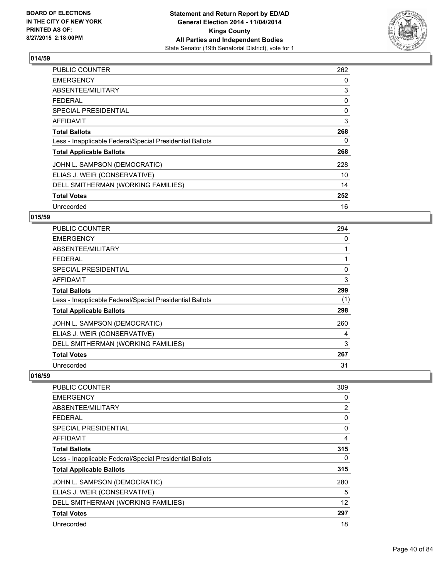

| <b>PUBLIC COUNTER</b>                                    | 262 |
|----------------------------------------------------------|-----|
| <b>EMERGENCY</b>                                         | 0   |
| ABSENTEE/MILITARY                                        | 3   |
| <b>FEDERAL</b>                                           | 0   |
| <b>SPECIAL PRESIDENTIAL</b>                              | 0   |
| <b>AFFIDAVIT</b>                                         | 3   |
| <b>Total Ballots</b>                                     | 268 |
| Less - Inapplicable Federal/Special Presidential Ballots | 0   |
| <b>Total Applicable Ballots</b>                          | 268 |
| JOHN L. SAMPSON (DEMOCRATIC)                             | 228 |
| ELIAS J. WEIR (CONSERVATIVE)                             | 10  |
| DELL SMITHERMAN (WORKING FAMILIES)                       | 14  |
| <b>Total Votes</b>                                       | 252 |
| Unrecorded                                               | 16  |

# **015/59**

| <b>PUBLIC COUNTER</b>                                    | 294 |
|----------------------------------------------------------|-----|
| <b>EMERGENCY</b>                                         | 0   |
| ABSENTEE/MILITARY                                        |     |
| <b>FEDERAL</b>                                           |     |
| <b>SPECIAL PRESIDENTIAL</b>                              | 0   |
| <b>AFFIDAVIT</b>                                         | 3   |
| <b>Total Ballots</b>                                     | 299 |
| Less - Inapplicable Federal/Special Presidential Ballots | (1) |
| <b>Total Applicable Ballots</b>                          | 298 |
| JOHN L. SAMPSON (DEMOCRATIC)                             | 260 |
| ELIAS J. WEIR (CONSERVATIVE)                             | 4   |
| DELL SMITHERMAN (WORKING FAMILIES)                       | 3   |
| <b>Total Votes</b>                                       | 267 |
| Unrecorded                                               | 31  |

| <b>PUBLIC COUNTER</b>                                    | 309            |
|----------------------------------------------------------|----------------|
| <b>EMERGENCY</b>                                         | 0              |
| ABSENTEE/MILITARY                                        | $\overline{2}$ |
| <b>FEDERAL</b>                                           | 0              |
| <b>SPECIAL PRESIDENTIAL</b>                              | 0              |
| <b>AFFIDAVIT</b>                                         | 4              |
| <b>Total Ballots</b>                                     | 315            |
| Less - Inapplicable Federal/Special Presidential Ballots | 0              |
| <b>Total Applicable Ballots</b>                          | 315            |
| JOHN L. SAMPSON (DEMOCRATIC)                             | 280            |
| ELIAS J. WEIR (CONSERVATIVE)                             | 5              |
| DELL SMITHERMAN (WORKING FAMILIES)                       | 12             |
| <b>Total Votes</b>                                       | 297            |
| Unrecorded                                               | 18             |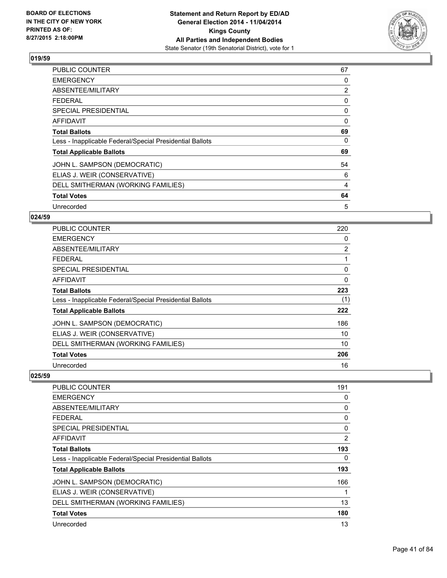

| PUBLIC COUNTER                                           | 67             |
|----------------------------------------------------------|----------------|
| <b>EMERGENCY</b>                                         | 0              |
| ABSENTEE/MILITARY                                        | $\overline{2}$ |
| <b>FEDERAL</b>                                           | 0              |
| <b>SPECIAL PRESIDENTIAL</b>                              | 0              |
| AFFIDAVIT                                                | 0              |
| <b>Total Ballots</b>                                     | 69             |
| Less - Inapplicable Federal/Special Presidential Ballots | 0              |
| <b>Total Applicable Ballots</b>                          | 69             |
| JOHN L. SAMPSON (DEMOCRATIC)                             | 54             |
| ELIAS J. WEIR (CONSERVATIVE)                             | 6              |
| DELL SMITHERMAN (WORKING FAMILIES)                       | 4              |
| <b>Total Votes</b>                                       | 64             |
| Unrecorded                                               | 5              |

# **024/59**

| PUBLIC COUNTER                                           | 220            |
|----------------------------------------------------------|----------------|
| <b>EMERGENCY</b>                                         | 0              |
| ABSENTEE/MILITARY                                        | $\overline{2}$ |
| <b>FEDERAL</b>                                           |                |
| <b>SPECIAL PRESIDENTIAL</b>                              | 0              |
| <b>AFFIDAVIT</b>                                         | 0              |
| <b>Total Ballots</b>                                     | 223            |
| Less - Inapplicable Federal/Special Presidential Ballots | (1)            |
| <b>Total Applicable Ballots</b>                          | 222            |
| JOHN L. SAMPSON (DEMOCRATIC)                             | 186            |
| ELIAS J. WEIR (CONSERVATIVE)                             | 10             |
| DELL SMITHERMAN (WORKING FAMILIES)                       | 10             |
| <b>Total Votes</b>                                       | 206            |
| Unrecorded                                               | 16             |

| <b>PUBLIC COUNTER</b>                                    | 191 |
|----------------------------------------------------------|-----|
| <b>EMERGENCY</b>                                         | 0   |
| ABSENTEE/MILITARY                                        | 0   |
| <b>FEDERAL</b>                                           | 0   |
| SPECIAL PRESIDENTIAL                                     | 0   |
| AFFIDAVIT                                                | 2   |
| <b>Total Ballots</b>                                     | 193 |
| Less - Inapplicable Federal/Special Presidential Ballots | 0   |
| <b>Total Applicable Ballots</b>                          | 193 |
| JOHN L. SAMPSON (DEMOCRATIC)                             | 166 |
| ELIAS J. WEIR (CONSERVATIVE)                             | 1   |
| DELL SMITHERMAN (WORKING FAMILIES)                       | 13  |
| <b>Total Votes</b>                                       | 180 |
| Unrecorded                                               | 13  |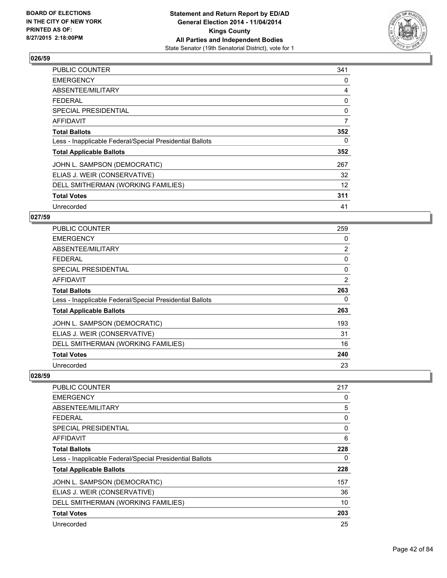

| <b>PUBLIC COUNTER</b>                                    | 341 |
|----------------------------------------------------------|-----|
| <b>EMERGENCY</b>                                         | 0   |
| ABSENTEE/MILITARY                                        | 4   |
| <b>FEDERAL</b>                                           | 0   |
| <b>SPECIAL PRESIDENTIAL</b>                              | 0   |
| <b>AFFIDAVIT</b>                                         | 7   |
| <b>Total Ballots</b>                                     | 352 |
| Less - Inapplicable Federal/Special Presidential Ballots | 0   |
| <b>Total Applicable Ballots</b>                          | 352 |
| JOHN L. SAMPSON (DEMOCRATIC)                             | 267 |
| ELIAS J. WEIR (CONSERVATIVE)                             | 32  |
| DELL SMITHERMAN (WORKING FAMILIES)                       | 12  |
| <b>Total Votes</b>                                       | 311 |
| Unrecorded                                               | 41  |

# **027/59**

| <b>PUBLIC COUNTER</b>                                    | 259            |
|----------------------------------------------------------|----------------|
| <b>EMERGENCY</b>                                         | 0              |
| ABSENTEE/MILITARY                                        | $\overline{2}$ |
| <b>FEDERAL</b>                                           | 0              |
| <b>SPECIAL PRESIDENTIAL</b>                              | 0              |
| AFFIDAVIT                                                | $\overline{2}$ |
| <b>Total Ballots</b>                                     | 263            |
| Less - Inapplicable Federal/Special Presidential Ballots | 0              |
| <b>Total Applicable Ballots</b>                          | 263            |
| JOHN L. SAMPSON (DEMOCRATIC)                             | 193            |
| ELIAS J. WEIR (CONSERVATIVE)                             | 31             |
| DELL SMITHERMAN (WORKING FAMILIES)                       | 16             |
| <b>Total Votes</b>                                       | 240            |
| Unrecorded                                               | 23             |

| <b>PUBLIC COUNTER</b>                                    | 217 |
|----------------------------------------------------------|-----|
| <b>EMERGENCY</b>                                         | 0   |
| ABSENTEE/MILITARY                                        | 5   |
| <b>FEDERAL</b>                                           | 0   |
| <b>SPECIAL PRESIDENTIAL</b>                              | 0   |
| <b>AFFIDAVIT</b>                                         | 6   |
| <b>Total Ballots</b>                                     | 228 |
| Less - Inapplicable Federal/Special Presidential Ballots | 0   |
| <b>Total Applicable Ballots</b>                          | 228 |
| JOHN L. SAMPSON (DEMOCRATIC)                             | 157 |
| ELIAS J. WEIR (CONSERVATIVE)                             | 36  |
| DELL SMITHERMAN (WORKING FAMILIES)                       | 10  |
| <b>Total Votes</b>                                       | 203 |
| Unrecorded                                               | 25  |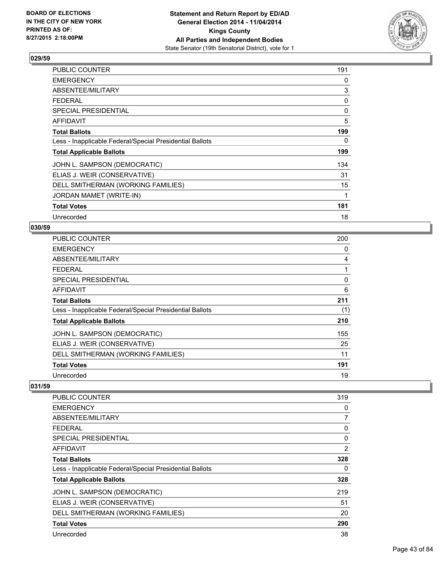

| PUBLIC COUNTER                                           | 191 |
|----------------------------------------------------------|-----|
| <b>EMERGENCY</b>                                         | 0   |
| ABSENTEE/MILITARY                                        | 3   |
| <b>FEDERAL</b>                                           | 0   |
| <b>SPECIAL PRESIDENTIAL</b>                              | 0   |
| AFFIDAVIT                                                | 5   |
| <b>Total Ballots</b>                                     | 199 |
| Less - Inapplicable Federal/Special Presidential Ballots | 0   |
| <b>Total Applicable Ballots</b>                          | 199 |
| JOHN L. SAMPSON (DEMOCRATIC)                             | 134 |
| ELIAS J. WEIR (CONSERVATIVE)                             | 31  |
| DELL SMITHERMAN (WORKING FAMILIES)                       | 15  |
| JORDAN MAMET (WRITE-IN)                                  | 1   |
| <b>Total Votes</b>                                       | 181 |
| Unrecorded                                               | 18  |

#### **030/59**

| <b>PUBLIC COUNTER</b>                                    | 200 |
|----------------------------------------------------------|-----|
| <b>EMERGENCY</b>                                         | 0   |
| ABSENTEE/MILITARY                                        | 4   |
| <b>FEDERAL</b>                                           |     |
| SPECIAL PRESIDENTIAL                                     | 0   |
| <b>AFFIDAVIT</b>                                         | 6   |
| <b>Total Ballots</b>                                     | 211 |
| Less - Inapplicable Federal/Special Presidential Ballots | (1) |
| <b>Total Applicable Ballots</b>                          | 210 |
| JOHN L. SAMPSON (DEMOCRATIC)                             | 155 |
| ELIAS J. WEIR (CONSERVATIVE)                             | 25  |
| DELL SMITHERMAN (WORKING FAMILIES)                       | 11  |
| <b>Total Votes</b>                                       | 191 |
| Unrecorded                                               | 19  |

| <b>PUBLIC COUNTER</b>                                    | 319            |
|----------------------------------------------------------|----------------|
| <b>EMERGENCY</b>                                         | 0              |
| ABSENTEE/MILITARY                                        | 7              |
| <b>FEDERAL</b>                                           | 0              |
| SPECIAL PRESIDENTIAL                                     | $\Omega$       |
| AFFIDAVIT                                                | $\overline{2}$ |
| <b>Total Ballots</b>                                     | 328            |
| Less - Inapplicable Federal/Special Presidential Ballots | 0              |
| <b>Total Applicable Ballots</b>                          | 328            |
| JOHN L. SAMPSON (DEMOCRATIC)                             | 219            |
| ELIAS J. WEIR (CONSERVATIVE)                             | 51             |
| DELL SMITHERMAN (WORKING FAMILIES)                       | 20             |
| <b>Total Votes</b>                                       | 290            |
| Unrecorded                                               | 38             |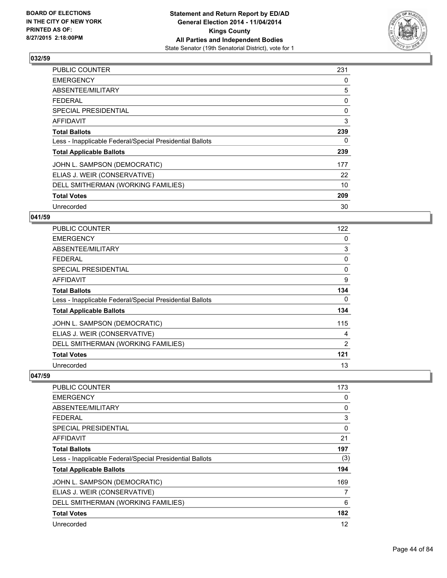

| <b>PUBLIC COUNTER</b>                                    | 231 |
|----------------------------------------------------------|-----|
| <b>EMERGENCY</b>                                         | 0   |
| ABSENTEE/MILITARY                                        | 5   |
| <b>FEDERAL</b>                                           | 0   |
| <b>SPECIAL PRESIDENTIAL</b>                              | 0   |
| AFFIDAVIT                                                | 3   |
| <b>Total Ballots</b>                                     | 239 |
| Less - Inapplicable Federal/Special Presidential Ballots | 0   |
| <b>Total Applicable Ballots</b>                          | 239 |
| JOHN L. SAMPSON (DEMOCRATIC)                             | 177 |
| ELIAS J. WEIR (CONSERVATIVE)                             | 22  |
| DELL SMITHERMAN (WORKING FAMILIES)                       | 10  |
| <b>Total Votes</b>                                       | 209 |
| Unrecorded                                               | 30  |

# **041/59**

| PUBLIC COUNTER                                           | 122 |
|----------------------------------------------------------|-----|
| <b>EMERGENCY</b>                                         | 0   |
| ABSENTEE/MILITARY                                        | 3   |
| <b>FEDERAL</b>                                           | 0   |
| <b>SPECIAL PRESIDENTIAL</b>                              | 0   |
| AFFIDAVIT                                                | 9   |
| <b>Total Ballots</b>                                     | 134 |
| Less - Inapplicable Federal/Special Presidential Ballots | 0   |
| <b>Total Applicable Ballots</b>                          | 134 |
| JOHN L. SAMPSON (DEMOCRATIC)                             | 115 |
| ELIAS J. WEIR (CONSERVATIVE)                             | 4   |
| DELL SMITHERMAN (WORKING FAMILIES)                       | 2   |
| <b>Total Votes</b>                                       | 121 |
| Unrecorded                                               | 13  |

| <b>PUBLIC COUNTER</b>                                    | 173 |
|----------------------------------------------------------|-----|
| <b>EMERGENCY</b>                                         | 0   |
| ABSENTEE/MILITARY                                        | 0   |
| <b>FEDERAL</b>                                           | 3   |
| <b>SPECIAL PRESIDENTIAL</b>                              | 0   |
| AFFIDAVIT                                                | 21  |
| <b>Total Ballots</b>                                     | 197 |
| Less - Inapplicable Federal/Special Presidential Ballots | (3) |
| <b>Total Applicable Ballots</b>                          | 194 |
| JOHN L. SAMPSON (DEMOCRATIC)                             | 169 |
| ELIAS J. WEIR (CONSERVATIVE)                             | 7   |
| DELL SMITHERMAN (WORKING FAMILIES)                       | 6   |
| <b>Total Votes</b>                                       | 182 |
| Unrecorded                                               | 12  |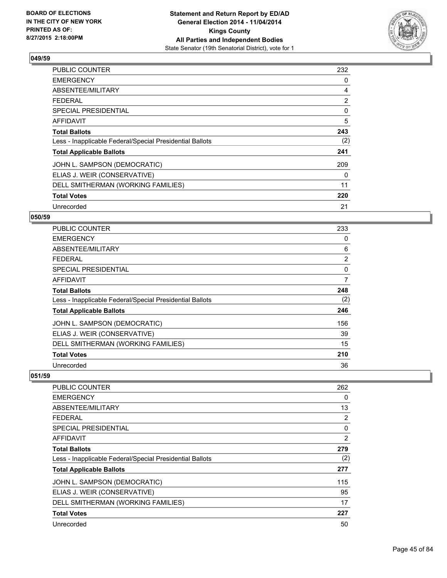

| <b>PUBLIC COUNTER</b>                                    | 232 |
|----------------------------------------------------------|-----|
| <b>EMERGENCY</b>                                         | 0   |
| ABSENTEE/MILITARY                                        | 4   |
| <b>FEDERAL</b>                                           | 2   |
| <b>SPECIAL PRESIDENTIAL</b>                              | 0   |
| AFFIDAVIT                                                | 5   |
| <b>Total Ballots</b>                                     | 243 |
| Less - Inapplicable Federal/Special Presidential Ballots | (2) |
| <b>Total Applicable Ballots</b>                          | 241 |
| JOHN L. SAMPSON (DEMOCRATIC)                             | 209 |
| ELIAS J. WEIR (CONSERVATIVE)                             | 0   |
| DELL SMITHERMAN (WORKING FAMILIES)                       | 11  |
| <b>Total Votes</b>                                       | 220 |
| Unrecorded                                               | 21  |

# **050/59**

| PUBLIC COUNTER                                           | 233            |
|----------------------------------------------------------|----------------|
| <b>EMERGENCY</b>                                         | 0              |
| ABSENTEE/MILITARY                                        | 6              |
| <b>FEDERAL</b>                                           | $\overline{2}$ |
| <b>SPECIAL PRESIDENTIAL</b>                              | 0              |
| AFFIDAVIT                                                | 7              |
| <b>Total Ballots</b>                                     | 248            |
| Less - Inapplicable Federal/Special Presidential Ballots | (2)            |
| <b>Total Applicable Ballots</b>                          | 246            |
| JOHN L. SAMPSON (DEMOCRATIC)                             | 156            |
| ELIAS J. WEIR (CONSERVATIVE)                             | 39             |
| DELL SMITHERMAN (WORKING FAMILIES)                       | 15             |
| <b>Total Votes</b>                                       | 210            |
| Unrecorded                                               | 36             |

| PUBLIC COUNTER                                           | 262 |
|----------------------------------------------------------|-----|
| <b>EMERGENCY</b>                                         | 0   |
| ABSENTEE/MILITARY                                        | 13  |
| <b>FEDERAL</b>                                           | 2   |
| SPECIAL PRESIDENTIAL                                     | 0   |
| AFFIDAVIT                                                | 2   |
| <b>Total Ballots</b>                                     | 279 |
| Less - Inapplicable Federal/Special Presidential Ballots | (2) |
| <b>Total Applicable Ballots</b>                          | 277 |
| JOHN L. SAMPSON (DEMOCRATIC)                             | 115 |
| ELIAS J. WEIR (CONSERVATIVE)                             | 95  |
| DELL SMITHERMAN (WORKING FAMILIES)                       | 17  |
| <b>Total Votes</b>                                       | 227 |
| Unrecorded                                               | 50  |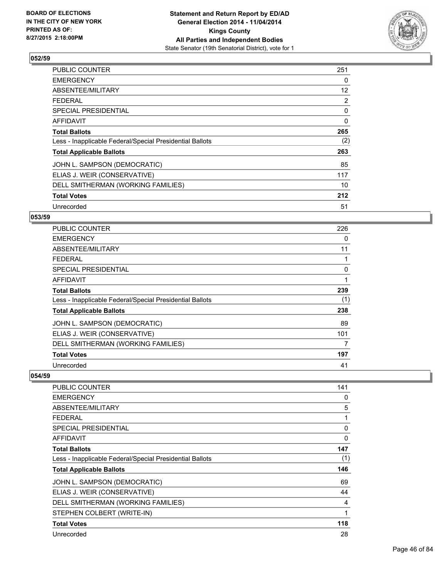

| <b>PUBLIC COUNTER</b>                                    | 251 |
|----------------------------------------------------------|-----|
| <b>EMERGENCY</b>                                         | 0   |
| ABSENTEE/MILITARY                                        | 12  |
| <b>FEDERAL</b>                                           | 2   |
| <b>SPECIAL PRESIDENTIAL</b>                              | 0   |
| AFFIDAVIT                                                | 0   |
| <b>Total Ballots</b>                                     | 265 |
| Less - Inapplicable Federal/Special Presidential Ballots | (2) |
| <b>Total Applicable Ballots</b>                          | 263 |
| JOHN L. SAMPSON (DEMOCRATIC)                             | 85  |
| ELIAS J. WEIR (CONSERVATIVE)                             | 117 |
| DELL SMITHERMAN (WORKING FAMILIES)                       | 10  |
| <b>Total Votes</b>                                       | 212 |
| Unrecorded                                               | 51  |

# **053/59**

| PUBLIC COUNTER                                           | 226 |
|----------------------------------------------------------|-----|
| <b>EMERGENCY</b>                                         | 0   |
| ABSENTEE/MILITARY                                        | 11  |
| <b>FEDERAL</b>                                           |     |
| SPECIAL PRESIDENTIAL                                     | 0   |
| <b>AFFIDAVIT</b>                                         |     |
| <b>Total Ballots</b>                                     | 239 |
| Less - Inapplicable Federal/Special Presidential Ballots | (1) |
| <b>Total Applicable Ballots</b>                          | 238 |
| JOHN L. SAMPSON (DEMOCRATIC)                             | 89  |
| ELIAS J. WEIR (CONSERVATIVE)                             | 101 |
| DELL SMITHERMAN (WORKING FAMILIES)                       | 7   |
| <b>Total Votes</b>                                       | 197 |
| Unrecorded                                               | 41  |

| PUBLIC COUNTER                                           | 141      |
|----------------------------------------------------------|----------|
| <b>EMERGENCY</b>                                         | 0        |
| ABSENTEE/MILITARY                                        | 5        |
| <b>FEDERAL</b>                                           | 1        |
| <b>SPECIAL PRESIDENTIAL</b>                              | $\Omega$ |
| AFFIDAVIT                                                | 0        |
| <b>Total Ballots</b>                                     | 147      |
| Less - Inapplicable Federal/Special Presidential Ballots | (1)      |
| <b>Total Applicable Ballots</b>                          | 146      |
| JOHN L. SAMPSON (DEMOCRATIC)                             | 69       |
| ELIAS J. WEIR (CONSERVATIVE)                             | 44       |
| DELL SMITHERMAN (WORKING FAMILIES)                       | 4        |
| STEPHEN COLBERT (WRITE-IN)                               | 1        |
| <b>Total Votes</b>                                       | 118      |
| Unrecorded                                               | 28       |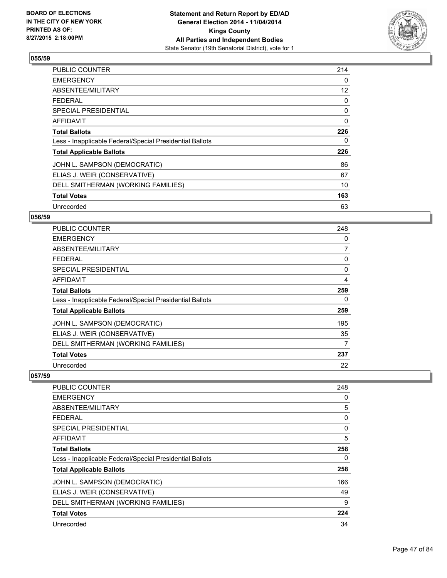

| <b>PUBLIC COUNTER</b>                                    | 214 |
|----------------------------------------------------------|-----|
| <b>EMERGENCY</b>                                         | 0   |
| ABSENTEE/MILITARY                                        | 12  |
| <b>FEDERAL</b>                                           | 0   |
| <b>SPECIAL PRESIDENTIAL</b>                              | 0   |
| AFFIDAVIT                                                | 0   |
| <b>Total Ballots</b>                                     | 226 |
| Less - Inapplicable Federal/Special Presidential Ballots | 0   |
| <b>Total Applicable Ballots</b>                          | 226 |
| JOHN L. SAMPSON (DEMOCRATIC)                             | 86  |
| ELIAS J. WEIR (CONSERVATIVE)                             | 67  |
| DELL SMITHERMAN (WORKING FAMILIES)                       | 10  |
| <b>Total Votes</b>                                       | 163 |
| Unrecorded                                               | 63  |

# **056/59**

| PUBLIC COUNTER                                           | 248            |
|----------------------------------------------------------|----------------|
| <b>EMERGENCY</b>                                         | 0              |
| ABSENTEE/MILITARY                                        | $\overline{7}$ |
| <b>FEDERAL</b>                                           | 0              |
| <b>SPECIAL PRESIDENTIAL</b>                              | 0              |
| AFFIDAVIT                                                | 4              |
| <b>Total Ballots</b>                                     | 259            |
| Less - Inapplicable Federal/Special Presidential Ballots | 0              |
| <b>Total Applicable Ballots</b>                          | 259            |
| JOHN L. SAMPSON (DEMOCRATIC)                             | 195            |
| ELIAS J. WEIR (CONSERVATIVE)                             | 35             |
| DELL SMITHERMAN (WORKING FAMILIES)                       | 7              |
| <b>Total Votes</b>                                       | 237            |
| Unrecorded                                               | 22             |

| <b>PUBLIC COUNTER</b>                                    | 248 |
|----------------------------------------------------------|-----|
| <b>EMERGENCY</b>                                         | 0   |
| ABSENTEE/MILITARY                                        | 5   |
| FEDERAL                                                  | 0   |
| <b>SPECIAL PRESIDENTIAL</b>                              | 0   |
| AFFIDAVIT                                                | 5   |
| <b>Total Ballots</b>                                     | 258 |
| Less - Inapplicable Federal/Special Presidential Ballots | 0   |
| <b>Total Applicable Ballots</b>                          | 258 |
| JOHN L. SAMPSON (DEMOCRATIC)                             | 166 |
| ELIAS J. WEIR (CONSERVATIVE)                             | 49  |
| DELL SMITHERMAN (WORKING FAMILIES)                       | 9   |
| <b>Total Votes</b>                                       | 224 |
| Unrecorded                                               | 34  |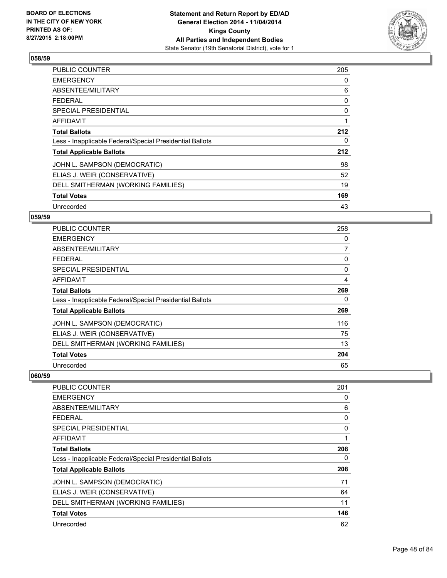

| PUBLIC COUNTER                                           | 205 |
|----------------------------------------------------------|-----|
| <b>EMERGENCY</b>                                         | 0   |
| ABSENTEE/MILITARY                                        | 6   |
| <b>FEDERAL</b>                                           | 0   |
| <b>SPECIAL PRESIDENTIAL</b>                              | 0   |
| AFFIDAVIT                                                | 1   |
| <b>Total Ballots</b>                                     | 212 |
| Less - Inapplicable Federal/Special Presidential Ballots | 0   |
| <b>Total Applicable Ballots</b>                          | 212 |
| JOHN L. SAMPSON (DEMOCRATIC)                             | 98  |
| ELIAS J. WEIR (CONSERVATIVE)                             | 52  |
| DELL SMITHERMAN (WORKING FAMILIES)                       | 19  |
| <b>Total Votes</b>                                       | 169 |
| Unrecorded                                               | 43  |

# **059/59**

| <b>PUBLIC COUNTER</b>                                    | 258            |
|----------------------------------------------------------|----------------|
| <b>EMERGENCY</b>                                         | 0              |
| ABSENTEE/MILITARY                                        | $\overline{7}$ |
| <b>FEDERAL</b>                                           | 0              |
| <b>SPECIAL PRESIDENTIAL</b>                              | 0              |
| AFFIDAVIT                                                | 4              |
| <b>Total Ballots</b>                                     | 269            |
| Less - Inapplicable Federal/Special Presidential Ballots | 0              |
| <b>Total Applicable Ballots</b>                          | 269            |
| JOHN L. SAMPSON (DEMOCRATIC)                             | 116            |
| ELIAS J. WEIR (CONSERVATIVE)                             | 75             |
| DELL SMITHERMAN (WORKING FAMILIES)                       | 13             |
| <b>Total Votes</b>                                       | 204            |
| Unrecorded                                               | 65             |

| <b>PUBLIC COUNTER</b>                                    | 201 |
|----------------------------------------------------------|-----|
| <b>EMERGENCY</b>                                         | 0   |
| ABSENTEE/MILITARY                                        | 6   |
| FEDERAL                                                  | 0   |
| <b>SPECIAL PRESIDENTIAL</b>                              | 0   |
| AFFIDAVIT                                                | 1   |
| <b>Total Ballots</b>                                     | 208 |
| Less - Inapplicable Federal/Special Presidential Ballots | 0   |
| <b>Total Applicable Ballots</b>                          | 208 |
| JOHN L. SAMPSON (DEMOCRATIC)                             | 71  |
| ELIAS J. WEIR (CONSERVATIVE)                             | 64  |
| DELL SMITHERMAN (WORKING FAMILIES)                       | 11  |
| <b>Total Votes</b>                                       | 146 |
| Unrecorded                                               | 62  |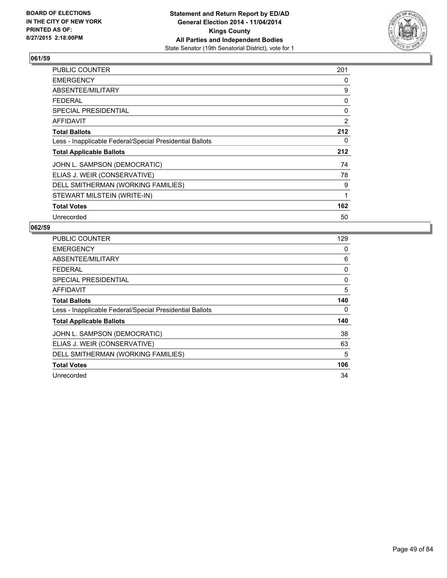

| <b>PUBLIC COUNTER</b>                                    | 201 |
|----------------------------------------------------------|-----|
| <b>EMERGENCY</b>                                         | 0   |
| ABSENTEE/MILITARY                                        | 9   |
| <b>FEDERAL</b>                                           | 0   |
| <b>SPECIAL PRESIDENTIAL</b>                              | 0   |
| <b>AFFIDAVIT</b>                                         | 2   |
| <b>Total Ballots</b>                                     | 212 |
| Less - Inapplicable Federal/Special Presidential Ballots | 0   |
| <b>Total Applicable Ballots</b>                          | 212 |
| JOHN L. SAMPSON (DEMOCRATIC)                             | 74  |
| ELIAS J. WEIR (CONSERVATIVE)                             | 78  |
| DELL SMITHERMAN (WORKING FAMILIES)                       | 9   |
| STEWART MILSTEIN (WRITE-IN)                              | 1   |
| <b>Total Votes</b>                                       | 162 |
| Unrecorded                                               | 50  |

| <b>PUBLIC COUNTER</b>                                    | 129 |
|----------------------------------------------------------|-----|
| <b>EMERGENCY</b>                                         | 0   |
| ABSENTEE/MILITARY                                        | 6   |
| FEDERAL                                                  | 0   |
| <b>SPECIAL PRESIDENTIAL</b>                              | 0   |
| <b>AFFIDAVIT</b>                                         | 5   |
| <b>Total Ballots</b>                                     | 140 |
| Less - Inapplicable Federal/Special Presidential Ballots | 0   |
| <b>Total Applicable Ballots</b>                          | 140 |
| JOHN L. SAMPSON (DEMOCRATIC)                             | 38  |
| ELIAS J. WEIR (CONSERVATIVE)                             | 63  |
| DELL SMITHERMAN (WORKING FAMILIES)                       | 5   |
| <b>Total Votes</b>                                       | 106 |
| Unrecorded                                               | 34  |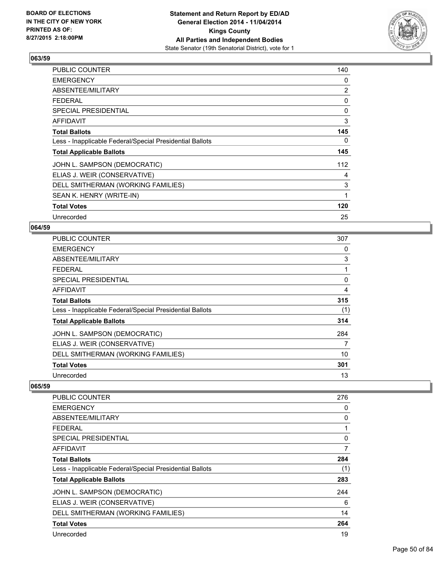

| PUBLIC COUNTER                                           | 140 |
|----------------------------------------------------------|-----|
| <b>EMERGENCY</b>                                         | 0   |
| ABSENTEE/MILITARY                                        | 2   |
| <b>FEDERAL</b>                                           | 0   |
| <b>SPECIAL PRESIDENTIAL</b>                              | 0   |
| <b>AFFIDAVIT</b>                                         | 3   |
| <b>Total Ballots</b>                                     | 145 |
| Less - Inapplicable Federal/Special Presidential Ballots | 0   |
| <b>Total Applicable Ballots</b>                          | 145 |
| JOHN L. SAMPSON (DEMOCRATIC)                             | 112 |
| ELIAS J. WEIR (CONSERVATIVE)                             | 4   |
| DELL SMITHERMAN (WORKING FAMILIES)                       | 3   |
| SEAN K. HENRY (WRITE-IN)                                 | 1   |
| <b>Total Votes</b>                                       | 120 |
| Unrecorded                                               | 25  |

## **064/59**

| <b>PUBLIC COUNTER</b>                                    | 307 |
|----------------------------------------------------------|-----|
| <b>EMERGENCY</b>                                         | 0   |
| ABSENTEE/MILITARY                                        | 3   |
| <b>FEDERAL</b>                                           | 1   |
| <b>SPECIAL PRESIDENTIAL</b>                              | 0   |
| AFFIDAVIT                                                | 4   |
| <b>Total Ballots</b>                                     | 315 |
| Less - Inapplicable Federal/Special Presidential Ballots | (1) |
| <b>Total Applicable Ballots</b>                          | 314 |
| JOHN L. SAMPSON (DEMOCRATIC)                             | 284 |
| ELIAS J. WEIR (CONSERVATIVE)                             | 7   |
| DELL SMITHERMAN (WORKING FAMILIES)                       | 10  |
| <b>Total Votes</b>                                       | 301 |
| Unrecorded                                               | 13  |

| PUBLIC COUNTER                                           | 276 |
|----------------------------------------------------------|-----|
| <b>EMERGENCY</b>                                         | 0   |
| ABSENTEE/MILITARY                                        | 0   |
| <b>FEDERAL</b>                                           | 1   |
| SPECIAL PRESIDENTIAL                                     | 0   |
| <b>AFFIDAVIT</b>                                         | 7   |
| <b>Total Ballots</b>                                     | 284 |
| Less - Inapplicable Federal/Special Presidential Ballots | (1) |
| <b>Total Applicable Ballots</b>                          | 283 |
| JOHN L. SAMPSON (DEMOCRATIC)                             | 244 |
| ELIAS J. WEIR (CONSERVATIVE)                             | 6   |
| DELL SMITHERMAN (WORKING FAMILIES)                       | 14  |
| <b>Total Votes</b>                                       | 264 |
| Unrecorded                                               | 19  |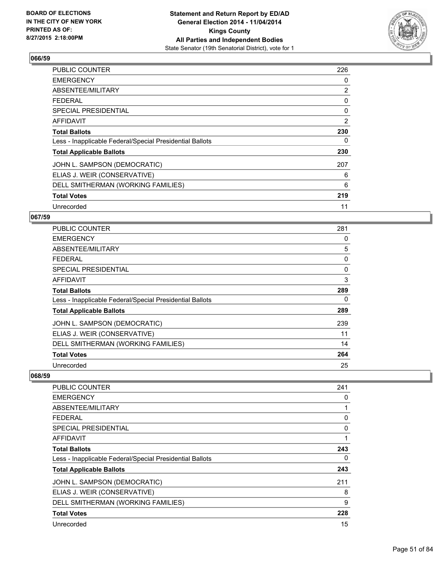

| <b>PUBLIC COUNTER</b>                                    | 226 |
|----------------------------------------------------------|-----|
| <b>EMERGENCY</b>                                         | 0   |
| ABSENTEE/MILITARY                                        | 2   |
| <b>FEDERAL</b>                                           | 0   |
| <b>SPECIAL PRESIDENTIAL</b>                              | 0   |
| AFFIDAVIT                                                | 2   |
| <b>Total Ballots</b>                                     | 230 |
| Less - Inapplicable Federal/Special Presidential Ballots | 0   |
| <b>Total Applicable Ballots</b>                          | 230 |
| JOHN L. SAMPSON (DEMOCRATIC)                             | 207 |
| ELIAS J. WEIR (CONSERVATIVE)                             | 6   |
| DELL SMITHERMAN (WORKING FAMILIES)                       | 6   |
| <b>Total Votes</b>                                       | 219 |
| Unrecorded                                               | 11  |

# **067/59**

| <b>PUBLIC COUNTER</b>                                    | 281 |
|----------------------------------------------------------|-----|
| <b>EMERGENCY</b>                                         | 0   |
| ABSENTEE/MILITARY                                        | 5   |
| <b>FEDERAL</b>                                           | 0   |
| <b>SPECIAL PRESIDENTIAL</b>                              | 0   |
| <b>AFFIDAVIT</b>                                         | 3   |
| <b>Total Ballots</b>                                     | 289 |
| Less - Inapplicable Federal/Special Presidential Ballots | 0   |
| <b>Total Applicable Ballots</b>                          | 289 |
| JOHN L. SAMPSON (DEMOCRATIC)                             | 239 |
| ELIAS J. WEIR (CONSERVATIVE)                             | 11  |
| DELL SMITHERMAN (WORKING FAMILIES)                       | 14  |
| <b>Total Votes</b>                                       | 264 |
| Unrecorded                                               | 25  |

| <b>PUBLIC COUNTER</b>                                    | 241 |
|----------------------------------------------------------|-----|
| <b>EMERGENCY</b>                                         | 0   |
| ABSENTEE/MILITARY                                        | 1   |
| <b>FEDERAL</b>                                           | 0   |
| SPECIAL PRESIDENTIAL                                     | 0   |
| AFFIDAVIT                                                | 1   |
| <b>Total Ballots</b>                                     | 243 |
| Less - Inapplicable Federal/Special Presidential Ballots | 0   |
| <b>Total Applicable Ballots</b>                          | 243 |
| JOHN L. SAMPSON (DEMOCRATIC)                             | 211 |
| ELIAS J. WEIR (CONSERVATIVE)                             | 8   |
| DELL SMITHERMAN (WORKING FAMILIES)                       | 9   |
| <b>Total Votes</b>                                       | 228 |
| Unrecorded                                               | 15  |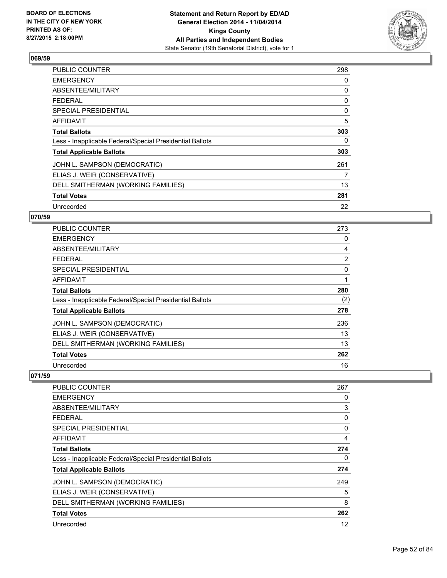

| <b>PUBLIC COUNTER</b>                                    | 298 |
|----------------------------------------------------------|-----|
| <b>EMERGENCY</b>                                         | 0   |
| ABSENTEE/MILITARY                                        | 0   |
| <b>FEDERAL</b>                                           | 0   |
| <b>SPECIAL PRESIDENTIAL</b>                              | 0   |
| <b>AFFIDAVIT</b>                                         | 5   |
| <b>Total Ballots</b>                                     | 303 |
| Less - Inapplicable Federal/Special Presidential Ballots | 0   |
| <b>Total Applicable Ballots</b>                          | 303 |
| JOHN L. SAMPSON (DEMOCRATIC)                             | 261 |
| ELIAS J. WEIR (CONSERVATIVE)                             | 7   |
| DELL SMITHERMAN (WORKING FAMILIES)                       | 13  |
| <b>Total Votes</b>                                       | 281 |
| Unrecorded                                               | 22  |

# **070/59**

| <b>PUBLIC COUNTER</b>                                    | 273 |
|----------------------------------------------------------|-----|
| <b>EMERGENCY</b>                                         | 0   |
| ABSENTEE/MILITARY                                        | 4   |
| <b>FEDERAL</b>                                           | 2   |
| <b>SPECIAL PRESIDENTIAL</b>                              | 0   |
| AFFIDAVIT                                                | 1   |
| <b>Total Ballots</b>                                     | 280 |
| Less - Inapplicable Federal/Special Presidential Ballots | (2) |
| <b>Total Applicable Ballots</b>                          | 278 |
| JOHN L. SAMPSON (DEMOCRATIC)                             | 236 |
| ELIAS J. WEIR (CONSERVATIVE)                             | 13  |
| DELL SMITHERMAN (WORKING FAMILIES)                       | 13  |
| <b>Total Votes</b>                                       | 262 |
| Unrecorded                                               | 16  |

| 267 |
|-----|
| 0   |
| 3   |
| 0   |
| 0   |
| 4   |
| 274 |
| 0   |
| 274 |
| 249 |
| 5   |
| 8   |
| 262 |
| 12  |
|     |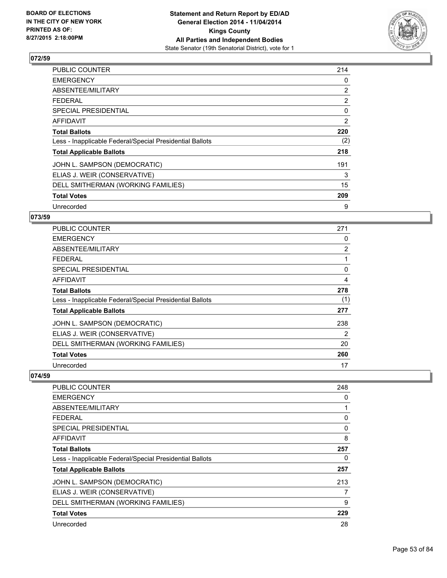

| PUBLIC COUNTER                                           | 214 |
|----------------------------------------------------------|-----|
| <b>EMERGENCY</b>                                         | 0   |
| ABSENTEE/MILITARY                                        | 2   |
| <b>FEDERAL</b>                                           | 2   |
| SPECIAL PRESIDENTIAL                                     | 0   |
| AFFIDAVIT                                                | 2   |
| <b>Total Ballots</b>                                     | 220 |
| Less - Inapplicable Federal/Special Presidential Ballots | (2) |
| <b>Total Applicable Ballots</b>                          | 218 |
| JOHN L. SAMPSON (DEMOCRATIC)                             | 191 |
| ELIAS J. WEIR (CONSERVATIVE)                             | 3   |
| DELL SMITHERMAN (WORKING FAMILIES)                       | 15  |
| <b>Total Votes</b>                                       | 209 |
| Unrecorded                                               | 9   |

# **073/59**

| <b>PUBLIC COUNTER</b>                                    | 271            |
|----------------------------------------------------------|----------------|
| <b>EMERGENCY</b>                                         | 0              |
| ABSENTEE/MILITARY                                        | $\overline{2}$ |
| <b>FEDERAL</b>                                           |                |
| <b>SPECIAL PRESIDENTIAL</b>                              | 0              |
| <b>AFFIDAVIT</b>                                         | 4              |
| <b>Total Ballots</b>                                     | 278            |
| Less - Inapplicable Federal/Special Presidential Ballots | (1)            |
| <b>Total Applicable Ballots</b>                          | 277            |
| JOHN L. SAMPSON (DEMOCRATIC)                             | 238            |
| ELIAS J. WEIR (CONSERVATIVE)                             | 2              |
| DELL SMITHERMAN (WORKING FAMILIES)                       | 20             |
| <b>Total Votes</b>                                       | 260            |
| Unrecorded                                               | 17             |

| <b>PUBLIC COUNTER</b>                                    | 248 |
|----------------------------------------------------------|-----|
| <b>EMERGENCY</b>                                         | 0   |
| ABSENTEE/MILITARY                                        |     |
| <b>FEDERAL</b>                                           | 0   |
| <b>SPECIAL PRESIDENTIAL</b>                              | 0   |
| AFFIDAVIT                                                | 8   |
| <b>Total Ballots</b>                                     | 257 |
| Less - Inapplicable Federal/Special Presidential Ballots | 0   |
| <b>Total Applicable Ballots</b>                          | 257 |
| JOHN L. SAMPSON (DEMOCRATIC)                             | 213 |
| ELIAS J. WEIR (CONSERVATIVE)                             | 7   |
| DELL SMITHERMAN (WORKING FAMILIES)                       | 9   |
| <b>Total Votes</b>                                       | 229 |
| Unrecorded                                               | 28  |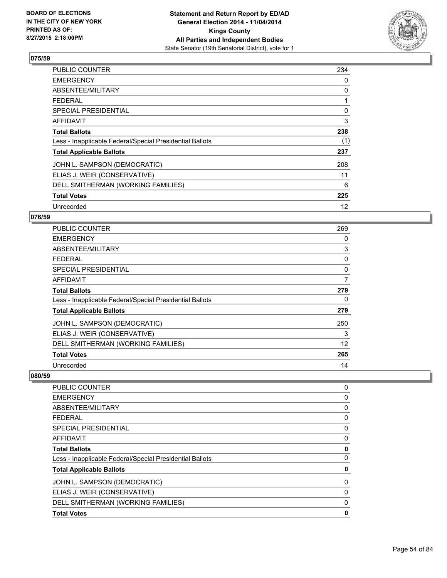

| <b>PUBLIC COUNTER</b>                                    | 234 |
|----------------------------------------------------------|-----|
| <b>EMERGENCY</b>                                         | 0   |
| ABSENTEE/MILITARY                                        | 0   |
| <b>FEDERAL</b>                                           | 1   |
| <b>SPECIAL PRESIDENTIAL</b>                              | 0   |
| <b>AFFIDAVIT</b>                                         | 3   |
| <b>Total Ballots</b>                                     | 238 |
| Less - Inapplicable Federal/Special Presidential Ballots | (1) |
| <b>Total Applicable Ballots</b>                          | 237 |
| JOHN L. SAMPSON (DEMOCRATIC)                             | 208 |
| ELIAS J. WEIR (CONSERVATIVE)                             | 11  |
| DELL SMITHERMAN (WORKING FAMILIES)                       | 6   |
| <b>Total Votes</b>                                       | 225 |
| Unrecorded                                               | 12  |

# **076/59**

| PUBLIC COUNTER                                           | 269 |
|----------------------------------------------------------|-----|
| <b>EMERGENCY</b>                                         | 0   |
| ABSENTEE/MILITARY                                        | 3   |
| <b>FEDERAL</b>                                           | 0   |
| <b>SPECIAL PRESIDENTIAL</b>                              | 0   |
| AFFIDAVIT                                                | 7   |
| <b>Total Ballots</b>                                     | 279 |
| Less - Inapplicable Federal/Special Presidential Ballots | 0   |
| <b>Total Applicable Ballots</b>                          | 279 |
| JOHN L. SAMPSON (DEMOCRATIC)                             | 250 |
| ELIAS J. WEIR (CONSERVATIVE)                             | 3   |
| DELL SMITHERMAN (WORKING FAMILIES)                       | 12  |
| <b>Total Votes</b>                                       | 265 |
| Unrecorded                                               | 14  |

| <b>PUBLIC COUNTER</b>                                    | 0 |
|----------------------------------------------------------|---|
| <b>EMERGENCY</b>                                         | 0 |
| ABSENTEE/MILITARY                                        | 0 |
| <b>FEDERAL</b>                                           | 0 |
| <b>SPECIAL PRESIDENTIAL</b>                              | 0 |
| <b>AFFIDAVIT</b>                                         | 0 |
| <b>Total Ballots</b>                                     | 0 |
| Less - Inapplicable Federal/Special Presidential Ballots | 0 |
| <b>Total Applicable Ballots</b>                          | 0 |
| JOHN L. SAMPSON (DEMOCRATIC)                             | 0 |
| ELIAS J. WEIR (CONSERVATIVE)                             | 0 |
| DELL SMITHERMAN (WORKING FAMILIES)                       | 0 |
| <b>Total Votes</b>                                       | 0 |
|                                                          |   |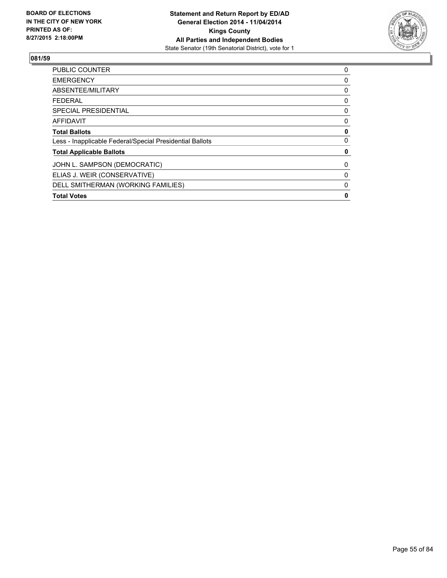

| <b>Total Votes</b>                                       | 0 |
|----------------------------------------------------------|---|
| DELL SMITHERMAN (WORKING FAMILIES)                       | 0 |
| ELIAS J. WEIR (CONSERVATIVE)                             | 0 |
| JOHN L. SAMPSON (DEMOCRATIC)                             | 0 |
| <b>Total Applicable Ballots</b>                          | 0 |
| Less - Inapplicable Federal/Special Presidential Ballots | 0 |
| <b>Total Ballots</b>                                     | 0 |
| AFFIDAVIT                                                | 0 |
| <b>SPECIAL PRESIDENTIAL</b>                              | 0 |
| <b>FEDERAL</b>                                           | 0 |
| ABSENTEE/MILITARY                                        | 0 |
| <b>EMERGENCY</b>                                         | 0 |
| <b>PUBLIC COUNTER</b>                                    | 0 |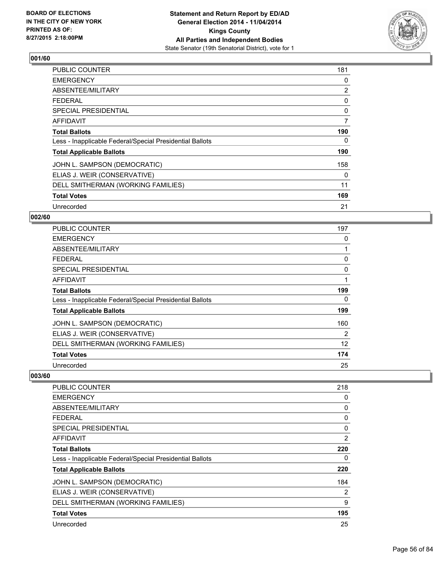

| <b>PUBLIC COUNTER</b>                                    | 181 |
|----------------------------------------------------------|-----|
| <b>EMERGENCY</b>                                         | 0   |
| ABSENTEE/MILITARY                                        | 2   |
| <b>FEDERAL</b>                                           | 0   |
| <b>SPECIAL PRESIDENTIAL</b>                              | 0   |
| AFFIDAVIT                                                | 7   |
| <b>Total Ballots</b>                                     | 190 |
| Less - Inapplicable Federal/Special Presidential Ballots | 0   |
| <b>Total Applicable Ballots</b>                          | 190 |
| JOHN L. SAMPSON (DEMOCRATIC)                             | 158 |
| ELIAS J. WEIR (CONSERVATIVE)                             | 0   |
| DELL SMITHERMAN (WORKING FAMILIES)                       | 11  |
| <b>Total Votes</b>                                       | 169 |
| Unrecorded                                               | 21  |

# **002/60**

| PUBLIC COUNTER                                           | 197 |
|----------------------------------------------------------|-----|
| <b>EMERGENCY</b>                                         | 0   |
| ABSENTEE/MILITARY                                        | 1   |
| <b>FEDERAL</b>                                           | 0   |
| <b>SPECIAL PRESIDENTIAL</b>                              | 0   |
| <b>AFFIDAVIT</b>                                         | 1   |
| <b>Total Ballots</b>                                     | 199 |
| Less - Inapplicable Federal/Special Presidential Ballots | 0   |
| <b>Total Applicable Ballots</b>                          | 199 |
| JOHN L. SAMPSON (DEMOCRATIC)                             | 160 |
| ELIAS J. WEIR (CONSERVATIVE)                             | 2   |
| DELL SMITHERMAN (WORKING FAMILIES)                       | 12  |
| <b>Total Votes</b>                                       | 174 |
| Unrecorded                                               | 25  |

| <b>PUBLIC COUNTER</b>                                    | 218 |
|----------------------------------------------------------|-----|
| <b>EMERGENCY</b>                                         | 0   |
| ABSENTEE/MILITARY                                        | 0   |
| <b>FEDERAL</b>                                           | 0   |
| <b>SPECIAL PRESIDENTIAL</b>                              | 0   |
| AFFIDAVIT                                                | 2   |
| <b>Total Ballots</b>                                     | 220 |
| Less - Inapplicable Federal/Special Presidential Ballots | 0   |
| <b>Total Applicable Ballots</b>                          | 220 |
| JOHN L. SAMPSON (DEMOCRATIC)                             | 184 |
| ELIAS J. WEIR (CONSERVATIVE)                             | 2   |
| DELL SMITHERMAN (WORKING FAMILIES)                       | 9   |
| <b>Total Votes</b>                                       | 195 |
| Unrecorded                                               | 25  |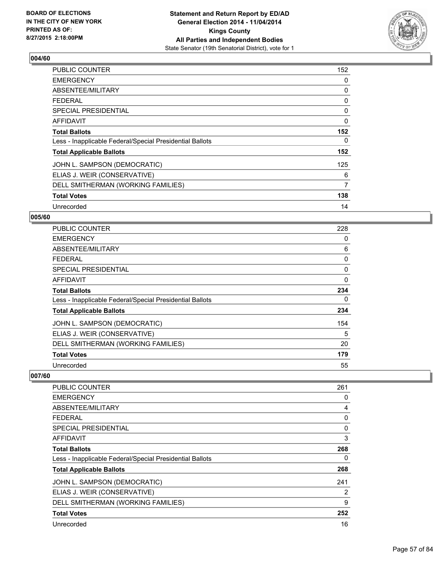

| <b>PUBLIC COUNTER</b>                                    | 152 |
|----------------------------------------------------------|-----|
| <b>EMERGENCY</b>                                         | 0   |
| ABSENTEE/MILITARY                                        | 0   |
| <b>FEDERAL</b>                                           | 0   |
| <b>SPECIAL PRESIDENTIAL</b>                              | 0   |
| <b>AFFIDAVIT</b>                                         | 0   |
| <b>Total Ballots</b>                                     | 152 |
| Less - Inapplicable Federal/Special Presidential Ballots | 0   |
| <b>Total Applicable Ballots</b>                          | 152 |
| JOHN L. SAMPSON (DEMOCRATIC)                             | 125 |
| ELIAS J. WEIR (CONSERVATIVE)                             | 6   |
| DELL SMITHERMAN (WORKING FAMILIES)                       | 7   |
| <b>Total Votes</b>                                       | 138 |
| Unrecorded                                               | 14  |

# **005/60**

| <b>PUBLIC COUNTER</b>                                    | 228      |
|----------------------------------------------------------|----------|
| <b>EMERGENCY</b>                                         | 0        |
| ABSENTEE/MILITARY                                        | 6        |
| <b>FEDERAL</b>                                           | 0        |
| <b>SPECIAL PRESIDENTIAL</b>                              | 0        |
| <b>AFFIDAVIT</b>                                         | $\Omega$ |
| <b>Total Ballots</b>                                     | 234      |
| Less - Inapplicable Federal/Special Presidential Ballots | 0        |
| <b>Total Applicable Ballots</b>                          | 234      |
| JOHN L. SAMPSON (DEMOCRATIC)                             | 154      |
| ELIAS J. WEIR (CONSERVATIVE)                             | 5        |
| DELL SMITHERMAN (WORKING FAMILIES)                       | 20       |
| <b>Total Votes</b>                                       | 179      |
| Unrecorded                                               | 55       |

| <b>PUBLIC COUNTER</b>                                    | 261 |
|----------------------------------------------------------|-----|
| <b>EMERGENCY</b>                                         | 0   |
| ABSENTEE/MILITARY                                        | 4   |
| <b>FEDERAL</b>                                           | 0   |
| SPECIAL PRESIDENTIAL                                     | 0   |
| AFFIDAVIT                                                | 3   |
| <b>Total Ballots</b>                                     | 268 |
| Less - Inapplicable Federal/Special Presidential Ballots | 0   |
| <b>Total Applicable Ballots</b>                          | 268 |
| JOHN L. SAMPSON (DEMOCRATIC)                             | 241 |
| ELIAS J. WEIR (CONSERVATIVE)                             | 2   |
| DELL SMITHERMAN (WORKING FAMILIES)                       | 9   |
| <b>Total Votes</b>                                       | 252 |
| Unrecorded                                               | 16  |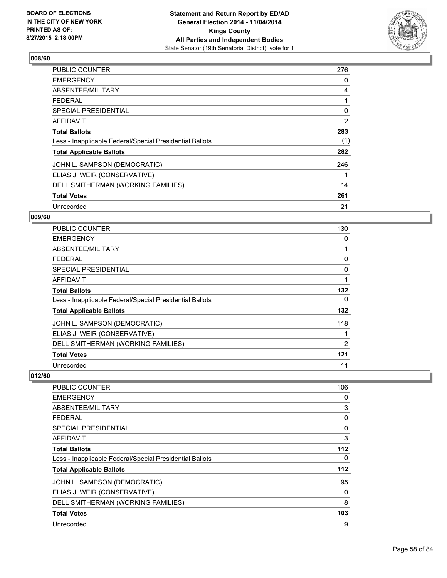

| <b>PUBLIC COUNTER</b>                                    | 276 |
|----------------------------------------------------------|-----|
| <b>EMERGENCY</b>                                         | 0   |
| ABSENTEE/MILITARY                                        | 4   |
| <b>FEDERAL</b>                                           | 1   |
| <b>SPECIAL PRESIDENTIAL</b>                              | 0   |
| <b>AFFIDAVIT</b>                                         | 2   |
| <b>Total Ballots</b>                                     | 283 |
| Less - Inapplicable Federal/Special Presidential Ballots | (1) |
| <b>Total Applicable Ballots</b>                          | 282 |
| JOHN L. SAMPSON (DEMOCRATIC)                             | 246 |
| ELIAS J. WEIR (CONSERVATIVE)                             | 1   |
| DELL SMITHERMAN (WORKING FAMILIES)                       | 14  |
| <b>Total Votes</b>                                       | 261 |
| Unrecorded                                               | 21  |

# **009/60**

| PUBLIC COUNTER                                           | 130            |
|----------------------------------------------------------|----------------|
| <b>EMERGENCY</b>                                         | 0              |
| ABSENTEE/MILITARY                                        | 1              |
| <b>FEDERAL</b>                                           | 0              |
| <b>SPECIAL PRESIDENTIAL</b>                              | 0              |
| <b>AFFIDAVIT</b>                                         | 1              |
| <b>Total Ballots</b>                                     | 132            |
| Less - Inapplicable Federal/Special Presidential Ballots | 0              |
| <b>Total Applicable Ballots</b>                          | 132            |
| JOHN L. SAMPSON (DEMOCRATIC)                             | 118            |
| ELIAS J. WEIR (CONSERVATIVE)                             |                |
| DELL SMITHERMAN (WORKING FAMILIES)                       | $\overline{2}$ |
| <b>Total Votes</b>                                       | 121            |
| Unrecorded                                               | 11             |

| <b>PUBLIC COUNTER</b>                                    | 106 |
|----------------------------------------------------------|-----|
| <b>EMERGENCY</b>                                         | 0   |
| ABSENTEE/MILITARY                                        | 3   |
| FEDERAL                                                  | 0   |
| <b>SPECIAL PRESIDENTIAL</b>                              | 0   |
| AFFIDAVIT                                                | 3   |
| <b>Total Ballots</b>                                     | 112 |
| Less - Inapplicable Federal/Special Presidential Ballots | 0   |
| <b>Total Applicable Ballots</b>                          | 112 |
| JOHN L. SAMPSON (DEMOCRATIC)                             | 95  |
| ELIAS J. WEIR (CONSERVATIVE)                             | 0   |
| DELL SMITHERMAN (WORKING FAMILIES)                       | 8   |
| <b>Total Votes</b>                                       | 103 |
| Unrecorded                                               | 9   |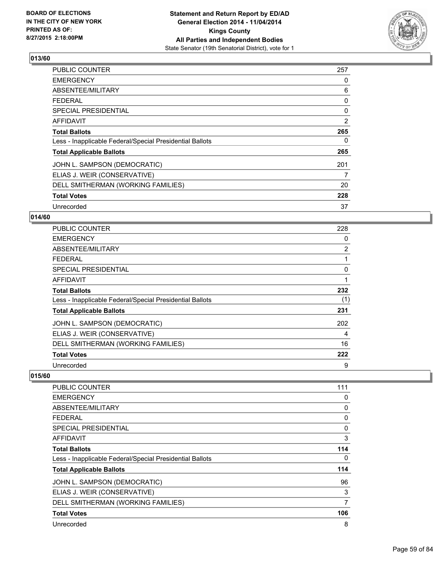

| <b>PUBLIC COUNTER</b>                                    | 257 |
|----------------------------------------------------------|-----|
| <b>EMERGENCY</b>                                         | 0   |
| ABSENTEE/MILITARY                                        | 6   |
| <b>FEDERAL</b>                                           | 0   |
| <b>SPECIAL PRESIDENTIAL</b>                              | 0   |
| AFFIDAVIT                                                | 2   |
| <b>Total Ballots</b>                                     | 265 |
| Less - Inapplicable Federal/Special Presidential Ballots | 0   |
| <b>Total Applicable Ballots</b>                          | 265 |
| JOHN L. SAMPSON (DEMOCRATIC)                             | 201 |
| ELIAS J. WEIR (CONSERVATIVE)                             | 7   |
| DELL SMITHERMAN (WORKING FAMILIES)                       | 20  |
| <b>Total Votes</b>                                       | 228 |
| Unrecorded                                               | 37  |

# **014/60**

| PUBLIC COUNTER                                           | 228            |
|----------------------------------------------------------|----------------|
| <b>EMERGENCY</b>                                         | 0              |
| ABSENTEE/MILITARY                                        | $\overline{2}$ |
| <b>FEDERAL</b>                                           |                |
| <b>SPECIAL PRESIDENTIAL</b>                              | 0              |
| AFFIDAVIT                                                | 1              |
| <b>Total Ballots</b>                                     | 232            |
| Less - Inapplicable Federal/Special Presidential Ballots | (1)            |
| <b>Total Applicable Ballots</b>                          | 231            |
| JOHN L. SAMPSON (DEMOCRATIC)                             | 202            |
| ELIAS J. WEIR (CONSERVATIVE)                             | 4              |
| DELL SMITHERMAN (WORKING FAMILIES)                       | 16             |
| <b>Total Votes</b>                                       | 222            |
| Unrecorded                                               | 9              |

| <b>PUBLIC COUNTER</b>                                    | 111 |
|----------------------------------------------------------|-----|
| <b>EMERGENCY</b>                                         | 0   |
| ABSENTEE/MILITARY                                        | 0   |
| <b>FEDERAL</b>                                           | 0   |
| SPECIAL PRESIDENTIAL                                     | 0   |
| AFFIDAVIT                                                | 3   |
| <b>Total Ballots</b>                                     | 114 |
| Less - Inapplicable Federal/Special Presidential Ballots | 0   |
| <b>Total Applicable Ballots</b>                          | 114 |
| JOHN L. SAMPSON (DEMOCRATIC)                             | 96  |
| ELIAS J. WEIR (CONSERVATIVE)                             | 3   |
| DELL SMITHERMAN (WORKING FAMILIES)                       | 7   |
| <b>Total Votes</b>                                       | 106 |
| Unrecorded                                               | 8   |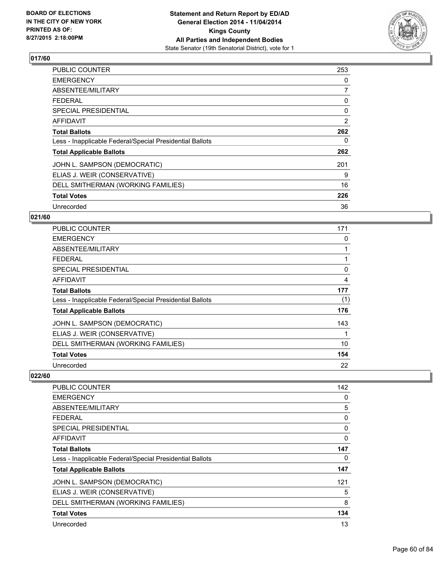

| <b>PUBLIC COUNTER</b>                                    | 253 |
|----------------------------------------------------------|-----|
| <b>EMERGENCY</b>                                         | 0   |
| ABSENTEE/MILITARY                                        | 7   |
| <b>FEDERAL</b>                                           | 0   |
| <b>SPECIAL PRESIDENTIAL</b>                              | 0   |
| <b>AFFIDAVIT</b>                                         | 2   |
| <b>Total Ballots</b>                                     | 262 |
| Less - Inapplicable Federal/Special Presidential Ballots | 0   |
| <b>Total Applicable Ballots</b>                          | 262 |
| JOHN L. SAMPSON (DEMOCRATIC)                             | 201 |
| ELIAS J. WEIR (CONSERVATIVE)                             | 9   |
| DELL SMITHERMAN (WORKING FAMILIES)                       | 16  |
| <b>Total Votes</b>                                       | 226 |
| Unrecorded                                               | 36  |

# **021/60**

| PUBLIC COUNTER                                           | 171 |
|----------------------------------------------------------|-----|
| <b>EMERGENCY</b>                                         | 0   |
| ABSENTEE/MILITARY                                        |     |
| <b>FEDERAL</b>                                           |     |
| <b>SPECIAL PRESIDENTIAL</b>                              | 0   |
| <b>AFFIDAVIT</b>                                         | 4   |
| <b>Total Ballots</b>                                     | 177 |
| Less - Inapplicable Federal/Special Presidential Ballots | (1) |
| <b>Total Applicable Ballots</b>                          | 176 |
| JOHN L. SAMPSON (DEMOCRATIC)                             | 143 |
| ELIAS J. WEIR (CONSERVATIVE)                             |     |
| DELL SMITHERMAN (WORKING FAMILIES)                       | 10  |
| <b>Total Votes</b>                                       | 154 |
| Unrecorded                                               | 22  |

| PUBLIC COUNTER                                           | 142 |
|----------------------------------------------------------|-----|
| <b>EMERGENCY</b>                                         | 0   |
| ABSENTEE/MILITARY                                        | 5   |
| <b>FEDERAL</b>                                           | 0   |
| SPECIAL PRESIDENTIAL                                     | 0   |
| AFFIDAVIT                                                | 0   |
| <b>Total Ballots</b>                                     | 147 |
| Less - Inapplicable Federal/Special Presidential Ballots | 0   |
| <b>Total Applicable Ballots</b>                          | 147 |
| JOHN L. SAMPSON (DEMOCRATIC)                             | 121 |
| ELIAS J. WEIR (CONSERVATIVE)                             | 5   |
| DELL SMITHERMAN (WORKING FAMILIES)                       | 8   |
| <b>Total Votes</b>                                       | 134 |
| Unrecorded                                               | 13  |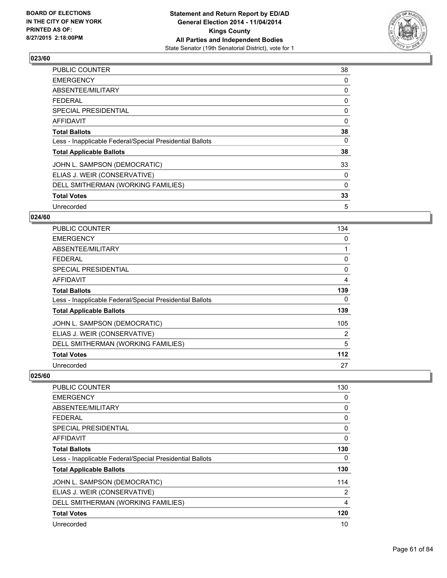

| <b>PUBLIC COUNTER</b>                                    | 38 |
|----------------------------------------------------------|----|
| <b>EMERGENCY</b>                                         | 0  |
| ABSENTEE/MILITARY                                        | 0  |
| <b>FEDERAL</b>                                           | 0  |
| <b>SPECIAL PRESIDENTIAL</b>                              | 0  |
| <b>AFFIDAVIT</b>                                         | 0  |
| <b>Total Ballots</b>                                     | 38 |
| Less - Inapplicable Federal/Special Presidential Ballots | 0  |
| <b>Total Applicable Ballots</b>                          | 38 |
| JOHN L. SAMPSON (DEMOCRATIC)                             | 33 |
| ELIAS J. WEIR (CONSERVATIVE)                             | 0  |
| DELL SMITHERMAN (WORKING FAMILIES)                       | 0  |
| <b>Total Votes</b>                                       | 33 |
| Unrecorded                                               | 5  |

# **024/60**

| PUBLIC COUNTER                                           | 134 |
|----------------------------------------------------------|-----|
| <b>EMERGENCY</b>                                         | 0   |
| ABSENTEE/MILITARY                                        | 1   |
| <b>FEDERAL</b>                                           | 0   |
| <b>SPECIAL PRESIDENTIAL</b>                              | 0   |
| <b>AFFIDAVIT</b>                                         | 4   |
| <b>Total Ballots</b>                                     | 139 |
| Less - Inapplicable Federal/Special Presidential Ballots | 0   |
| <b>Total Applicable Ballots</b>                          | 139 |
| JOHN L. SAMPSON (DEMOCRATIC)                             | 105 |
| ELIAS J. WEIR (CONSERVATIVE)                             | 2   |
| DELL SMITHERMAN (WORKING FAMILIES)                       | 5   |
| <b>Total Votes</b>                                       | 112 |
| Unrecorded                                               | 27  |

| <b>PUBLIC COUNTER</b>                                    | 130 |
|----------------------------------------------------------|-----|
| <b>EMERGENCY</b>                                         | 0   |
| ABSENTEE/MILITARY                                        | 0   |
| <b>FEDERAL</b>                                           | 0   |
| <b>SPECIAL PRESIDENTIAL</b>                              | 0   |
| AFFIDAVIT                                                | 0   |
| <b>Total Ballots</b>                                     | 130 |
| Less - Inapplicable Federal/Special Presidential Ballots | 0   |
| <b>Total Applicable Ballots</b>                          | 130 |
| JOHN L. SAMPSON (DEMOCRATIC)                             | 114 |
| ELIAS J. WEIR (CONSERVATIVE)                             | 2   |
| DELL SMITHERMAN (WORKING FAMILIES)                       | 4   |
| <b>Total Votes</b>                                       | 120 |
| Unrecorded                                               | 10  |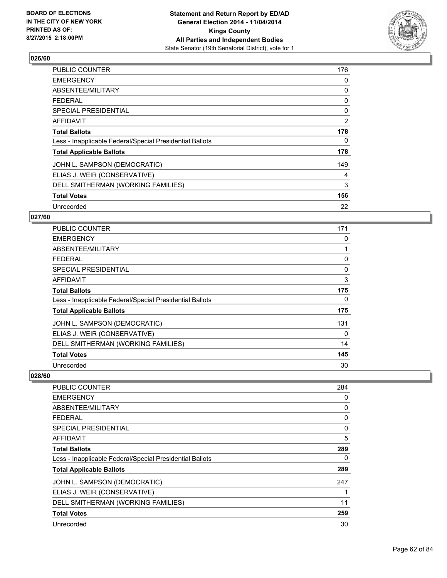

| <b>PUBLIC COUNTER</b>                                    | 176 |
|----------------------------------------------------------|-----|
| <b>EMERGENCY</b>                                         | 0   |
| ABSENTEE/MILITARY                                        | 0   |
| <b>FEDERAL</b>                                           | 0   |
| <b>SPECIAL PRESIDENTIAL</b>                              | 0   |
| AFFIDAVIT                                                | 2   |
| <b>Total Ballots</b>                                     | 178 |
| Less - Inapplicable Federal/Special Presidential Ballots | 0   |
| <b>Total Applicable Ballots</b>                          | 178 |
| JOHN L. SAMPSON (DEMOCRATIC)                             | 149 |
| ELIAS J. WEIR (CONSERVATIVE)                             | 4   |
| DELL SMITHERMAN (WORKING FAMILIES)                       | 3   |
| <b>Total Votes</b>                                       | 156 |
| Unrecorded                                               | 22  |

# **027/60**

| PUBLIC COUNTER                                           | 171 |
|----------------------------------------------------------|-----|
| <b>EMERGENCY</b>                                         | 0   |
| ABSENTEE/MILITARY                                        | 1   |
| <b>FEDERAL</b>                                           | 0   |
| <b>SPECIAL PRESIDENTIAL</b>                              | 0   |
| <b>AFFIDAVIT</b>                                         | 3   |
| <b>Total Ballots</b>                                     | 175 |
| Less - Inapplicable Federal/Special Presidential Ballots | 0   |
| <b>Total Applicable Ballots</b>                          | 175 |
| JOHN L. SAMPSON (DEMOCRATIC)                             | 131 |
| ELIAS J. WEIR (CONSERVATIVE)                             | 0   |
| DELL SMITHERMAN (WORKING FAMILIES)                       | 14  |
| <b>Total Votes</b>                                       | 145 |
| Unrecorded                                               | 30  |

| <b>PUBLIC COUNTER</b>                                    | 284 |
|----------------------------------------------------------|-----|
| <b>EMERGENCY</b>                                         | 0   |
| ABSENTEE/MILITARY                                        | 0   |
| <b>FEDERAL</b>                                           | 0   |
| SPECIAL PRESIDENTIAL                                     | 0   |
| AFFIDAVIT                                                | 5   |
| <b>Total Ballots</b>                                     | 289 |
| Less - Inapplicable Federal/Special Presidential Ballots | 0   |
| <b>Total Applicable Ballots</b>                          | 289 |
| JOHN L. SAMPSON (DEMOCRATIC)                             | 247 |
| ELIAS J. WEIR (CONSERVATIVE)                             |     |
| DELL SMITHERMAN (WORKING FAMILIES)                       | 11  |
| <b>Total Votes</b>                                       | 259 |
| Unrecorded                                               | 30  |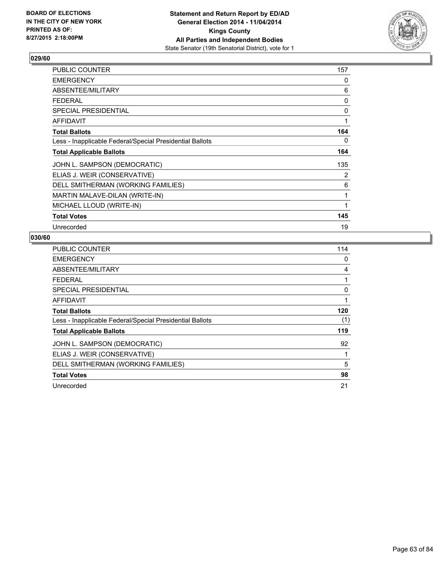

| PUBLIC COUNTER                                           | 157 |
|----------------------------------------------------------|-----|
| <b>EMERGENCY</b>                                         | 0   |
| ABSENTEE/MILITARY                                        | 6   |
| <b>FEDERAL</b>                                           | 0   |
| <b>SPECIAL PRESIDENTIAL</b>                              | 0   |
| <b>AFFIDAVIT</b>                                         | 1   |
| <b>Total Ballots</b>                                     | 164 |
| Less - Inapplicable Federal/Special Presidential Ballots | 0   |
| <b>Total Applicable Ballots</b>                          | 164 |
| JOHN L. SAMPSON (DEMOCRATIC)                             | 135 |
| ELIAS J. WEIR (CONSERVATIVE)                             | 2   |
| DELL SMITHERMAN (WORKING FAMILIES)                       | 6   |
| MARTIN MALAVE-DILAN (WRITE-IN)                           | 1   |
| MICHAEL LLOUD (WRITE-IN)                                 | 1   |
| <b>Total Votes</b>                                       | 145 |
| Unrecorded                                               | 19  |

| <b>PUBLIC COUNTER</b>                                    | 114 |
|----------------------------------------------------------|-----|
| <b>EMERGENCY</b>                                         | 0   |
| ABSENTEE/MILITARY                                        | 4   |
| <b>FEDERAL</b>                                           | 1   |
| <b>SPECIAL PRESIDENTIAL</b>                              | 0   |
| <b>AFFIDAVIT</b>                                         | 1   |
| <b>Total Ballots</b>                                     | 120 |
| Less - Inapplicable Federal/Special Presidential Ballots | (1) |
| <b>Total Applicable Ballots</b>                          | 119 |
| JOHN L. SAMPSON (DEMOCRATIC)                             | 92  |
| ELIAS J. WEIR (CONSERVATIVE)                             | 1   |
| DELL SMITHERMAN (WORKING FAMILIES)                       | 5   |
| <b>Total Votes</b>                                       | 98  |
| Unrecorded                                               | 21  |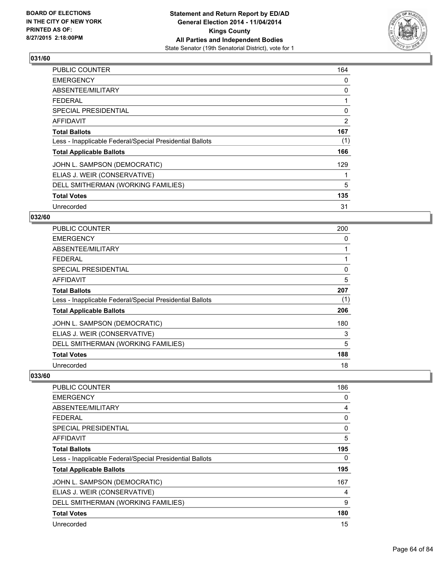

| PUBLIC COUNTER                                           | 164 |
|----------------------------------------------------------|-----|
| <b>EMERGENCY</b>                                         | 0   |
| ABSENTEE/MILITARY                                        | 0   |
| <b>FEDERAL</b>                                           | 1   |
| <b>SPECIAL PRESIDENTIAL</b>                              | 0   |
| AFFIDAVIT                                                | 2   |
| <b>Total Ballots</b>                                     | 167 |
| Less - Inapplicable Federal/Special Presidential Ballots | (1) |
| <b>Total Applicable Ballots</b>                          | 166 |
| JOHN L. SAMPSON (DEMOCRATIC)                             | 129 |
| ELIAS J. WEIR (CONSERVATIVE)                             | 1   |
| DELL SMITHERMAN (WORKING FAMILIES)                       | 5   |
| <b>Total Votes</b>                                       | 135 |
| Unrecorded                                               | 31  |

# **032/60**

| <b>PUBLIC COUNTER</b>                                    | 200 |
|----------------------------------------------------------|-----|
| <b>EMERGENCY</b>                                         | 0   |
| ABSENTEE/MILITARY                                        |     |
| <b>FEDERAL</b>                                           |     |
| <b>SPECIAL PRESIDENTIAL</b>                              | 0   |
| AFFIDAVIT                                                | 5   |
| <b>Total Ballots</b>                                     | 207 |
| Less - Inapplicable Federal/Special Presidential Ballots | (1) |
| <b>Total Applicable Ballots</b>                          | 206 |
| JOHN L. SAMPSON (DEMOCRATIC)                             | 180 |
| ELIAS J. WEIR (CONSERVATIVE)                             | 3   |
| DELL SMITHERMAN (WORKING FAMILIES)                       | 5   |
| <b>Total Votes</b>                                       | 188 |
| Unrecorded                                               | 18  |

| <b>PUBLIC COUNTER</b>                                    | 186 |
|----------------------------------------------------------|-----|
| <b>EMERGENCY</b>                                         | 0   |
| ABSENTEE/MILITARY                                        | 4   |
| <b>FEDERAL</b>                                           | 0   |
| SPECIAL PRESIDENTIAL                                     | 0   |
| AFFIDAVIT                                                | 5   |
| <b>Total Ballots</b>                                     | 195 |
| Less - Inapplicable Federal/Special Presidential Ballots | 0   |
| <b>Total Applicable Ballots</b>                          | 195 |
| JOHN L. SAMPSON (DEMOCRATIC)                             | 167 |
| ELIAS J. WEIR (CONSERVATIVE)                             | 4   |
| DELL SMITHERMAN (WORKING FAMILIES)                       | 9   |
| <b>Total Votes</b>                                       | 180 |
| Unrecorded                                               | 15  |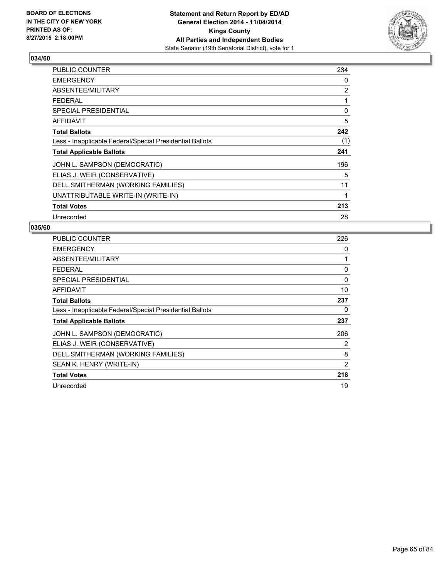

| <b>PUBLIC COUNTER</b>                                    | 234 |
|----------------------------------------------------------|-----|
| <b>EMERGENCY</b>                                         | 0   |
| ABSENTEE/MILITARY                                        | 2   |
| <b>FEDERAL</b>                                           | 1   |
| <b>SPECIAL PRESIDENTIAL</b>                              | 0   |
| AFFIDAVIT                                                | 5   |
| <b>Total Ballots</b>                                     | 242 |
| Less - Inapplicable Federal/Special Presidential Ballots | (1) |
| <b>Total Applicable Ballots</b>                          | 241 |
| JOHN L. SAMPSON (DEMOCRATIC)                             | 196 |
| ELIAS J. WEIR (CONSERVATIVE)                             | 5   |
| DELL SMITHERMAN (WORKING FAMILIES)                       | 11  |
| UNATTRIBUTABLE WRITE-IN (WRITE-IN)                       | 1   |
| <b>Total Votes</b>                                       | 213 |
| Unrecorded                                               | 28  |

| PUBLIC COUNTER                                           | 226 |
|----------------------------------------------------------|-----|
| <b>EMERGENCY</b>                                         | 0   |
| ABSENTEE/MILITARY                                        | 1   |
| <b>FEDERAL</b>                                           | 0   |
| <b>SPECIAL PRESIDENTIAL</b>                              | 0   |
| AFFIDAVIT                                                | 10  |
| <b>Total Ballots</b>                                     | 237 |
| Less - Inapplicable Federal/Special Presidential Ballots | 0   |
| <b>Total Applicable Ballots</b>                          | 237 |
| JOHN L. SAMPSON (DEMOCRATIC)                             | 206 |
| ELIAS J. WEIR (CONSERVATIVE)                             | 2   |
| DELL SMITHERMAN (WORKING FAMILIES)                       | 8   |
| SEAN K. HENRY (WRITE-IN)                                 | 2   |
| <b>Total Votes</b>                                       | 218 |
| Unrecorded                                               | 19  |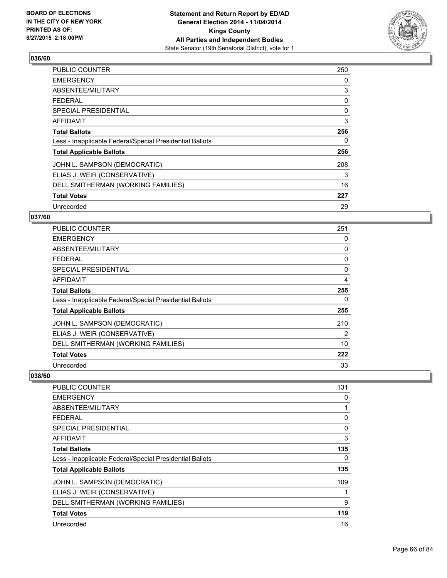

| <b>PUBLIC COUNTER</b>                                    | 250 |
|----------------------------------------------------------|-----|
| <b>EMERGENCY</b>                                         | 0   |
| ABSENTEE/MILITARY                                        | 3   |
| <b>FEDERAL</b>                                           | 0   |
| <b>SPECIAL PRESIDENTIAL</b>                              | 0   |
| AFFIDAVIT                                                | 3   |
| <b>Total Ballots</b>                                     | 256 |
| Less - Inapplicable Federal/Special Presidential Ballots | 0   |
| <b>Total Applicable Ballots</b>                          | 256 |
| JOHN L. SAMPSON (DEMOCRATIC)                             | 208 |
| ELIAS J. WEIR (CONSERVATIVE)                             | 3   |
| DELL SMITHERMAN (WORKING FAMILIES)                       | 16  |
| <b>Total Votes</b>                                       | 227 |
| Unrecorded                                               | 29  |

# **037/60**

| PUBLIC COUNTER                                           | 251 |
|----------------------------------------------------------|-----|
| <b>EMERGENCY</b>                                         | 0   |
| ABSENTEE/MILITARY                                        | 0   |
| <b>FEDERAL</b>                                           | 0   |
| <b>SPECIAL PRESIDENTIAL</b>                              | 0   |
| AFFIDAVIT                                                | 4   |
| <b>Total Ballots</b>                                     | 255 |
| Less - Inapplicable Federal/Special Presidential Ballots | 0   |
| <b>Total Applicable Ballots</b>                          | 255 |
| JOHN L. SAMPSON (DEMOCRATIC)                             | 210 |
| ELIAS J. WEIR (CONSERVATIVE)                             | 2   |
| DELL SMITHERMAN (WORKING FAMILIES)                       | 10  |
| <b>Total Votes</b>                                       | 222 |
| Unrecorded                                               | 33  |

| <b>PUBLIC COUNTER</b>                                    | 131 |
|----------------------------------------------------------|-----|
| <b>EMERGENCY</b>                                         | 0   |
| ABSENTEE/MILITARY                                        |     |
| <b>FEDERAL</b>                                           | 0   |
| SPECIAL PRESIDENTIAL                                     | 0   |
| AFFIDAVIT                                                | 3   |
| <b>Total Ballots</b>                                     | 135 |
| Less - Inapplicable Federal/Special Presidential Ballots | 0   |
| <b>Total Applicable Ballots</b>                          | 135 |
| JOHN L. SAMPSON (DEMOCRATIC)                             | 109 |
| ELIAS J. WEIR (CONSERVATIVE)                             |     |
| DELL SMITHERMAN (WORKING FAMILIES)                       | 9   |
| <b>Total Votes</b>                                       | 119 |
| Unrecorded                                               | 16  |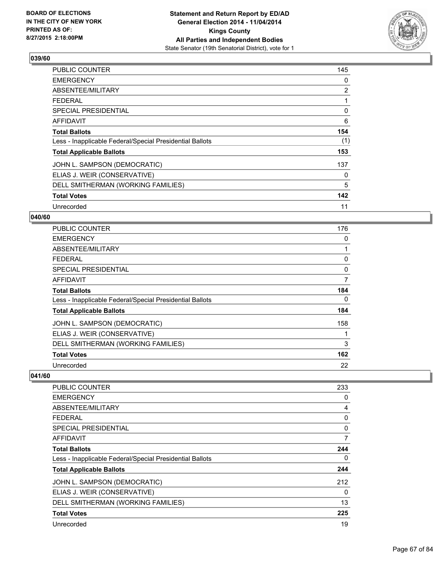

| <b>PUBLIC COUNTER</b>                                    | 145 |
|----------------------------------------------------------|-----|
| <b>EMERGENCY</b>                                         | 0   |
| ABSENTEE/MILITARY                                        | 2   |
| <b>FEDERAL</b>                                           | 1   |
| <b>SPECIAL PRESIDENTIAL</b>                              | 0   |
| AFFIDAVIT                                                | 6   |
| <b>Total Ballots</b>                                     | 154 |
| Less - Inapplicable Federal/Special Presidential Ballots | (1) |
| <b>Total Applicable Ballots</b>                          | 153 |
| JOHN L. SAMPSON (DEMOCRATIC)                             | 137 |
| ELIAS J. WEIR (CONSERVATIVE)                             | 0   |
| DELL SMITHERMAN (WORKING FAMILIES)                       | 5   |
| <b>Total Votes</b>                                       | 142 |
| Unrecorded                                               | 11  |

# **040/60**

| PUBLIC COUNTER                                           | 176 |
|----------------------------------------------------------|-----|
| <b>EMERGENCY</b>                                         | 0   |
| ABSENTEE/MILITARY                                        | 1   |
| <b>FEDERAL</b>                                           | 0   |
| <b>SPECIAL PRESIDENTIAL</b>                              | 0   |
| <b>AFFIDAVIT</b>                                         | 7   |
| <b>Total Ballots</b>                                     | 184 |
| Less - Inapplicable Federal/Special Presidential Ballots | 0   |
| <b>Total Applicable Ballots</b>                          | 184 |
| JOHN L. SAMPSON (DEMOCRATIC)                             | 158 |
| ELIAS J. WEIR (CONSERVATIVE)                             |     |
| DELL SMITHERMAN (WORKING FAMILIES)                       | 3   |
| <b>Total Votes</b>                                       | 162 |
| Unrecorded                                               | 22  |

| <b>PUBLIC COUNTER</b>                                    | 233 |
|----------------------------------------------------------|-----|
| <b>EMERGENCY</b>                                         | 0   |
| ABSENTEE/MILITARY                                        | 4   |
| <b>FEDERAL</b>                                           | 0   |
| SPECIAL PRESIDENTIAL                                     | 0   |
| AFFIDAVIT                                                | 7   |
| <b>Total Ballots</b>                                     | 244 |
| Less - Inapplicable Federal/Special Presidential Ballots | 0   |
| <b>Total Applicable Ballots</b>                          | 244 |
| JOHN L. SAMPSON (DEMOCRATIC)                             | 212 |
| ELIAS J. WEIR (CONSERVATIVE)                             | 0   |
| DELL SMITHERMAN (WORKING FAMILIES)                       | 13  |
| <b>Total Votes</b>                                       | 225 |
| Unrecorded                                               | 19  |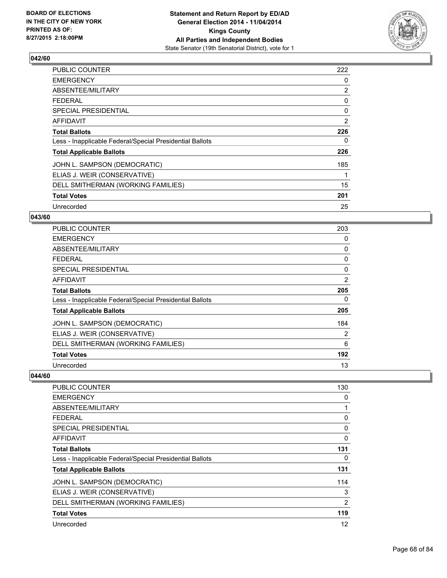

| <b>PUBLIC COUNTER</b>                                    | 222 |
|----------------------------------------------------------|-----|
| <b>EMERGENCY</b>                                         | 0   |
| ABSENTEE/MILITARY                                        | 2   |
| <b>FEDERAL</b>                                           | 0   |
| <b>SPECIAL PRESIDENTIAL</b>                              | 0   |
| AFFIDAVIT                                                | 2   |
| <b>Total Ballots</b>                                     | 226 |
| Less - Inapplicable Federal/Special Presidential Ballots | 0   |
| <b>Total Applicable Ballots</b>                          | 226 |
| JOHN L. SAMPSON (DEMOCRATIC)                             | 185 |
| ELIAS J. WEIR (CONSERVATIVE)                             | 1   |
| DELL SMITHERMAN (WORKING FAMILIES)                       | 15  |
| <b>Total Votes</b>                                       | 201 |
| Unrecorded                                               | 25  |

#### **043/60**

| <b>PUBLIC COUNTER</b>                                    | 203      |
|----------------------------------------------------------|----------|
| <b>EMERGENCY</b>                                         | 0        |
| ABSENTEE/MILITARY                                        | 0        |
| <b>FEDERAL</b>                                           | 0        |
| <b>SPECIAL PRESIDENTIAL</b>                              | $\Omega$ |
| <b>AFFIDAVIT</b>                                         | 2        |
| <b>Total Ballots</b>                                     | 205      |
| Less - Inapplicable Federal/Special Presidential Ballots | 0        |
| <b>Total Applicable Ballots</b>                          | 205      |
| JOHN L. SAMPSON (DEMOCRATIC)                             | 184      |
| ELIAS J. WEIR (CONSERVATIVE)                             | 2        |
| DELL SMITHERMAN (WORKING FAMILIES)                       | 6        |
| <b>Total Votes</b>                                       | 192      |
| Unrecorded                                               | 13       |

| <b>PUBLIC COUNTER</b>                                    | 130            |
|----------------------------------------------------------|----------------|
| <b>EMERGENCY</b>                                         | 0              |
| ABSENTEE/MILITARY                                        | 1              |
| <b>FEDERAL</b>                                           | 0              |
| SPECIAL PRESIDENTIAL                                     | 0              |
| AFFIDAVIT                                                | 0              |
| <b>Total Ballots</b>                                     | 131            |
| Less - Inapplicable Federal/Special Presidential Ballots | 0              |
| <b>Total Applicable Ballots</b>                          | 131            |
| JOHN L. SAMPSON (DEMOCRATIC)                             | 114            |
| ELIAS J. WEIR (CONSERVATIVE)                             | 3              |
| DELL SMITHERMAN (WORKING FAMILIES)                       | $\overline{2}$ |
| <b>Total Votes</b>                                       | 119            |
| Unrecorded                                               | 12             |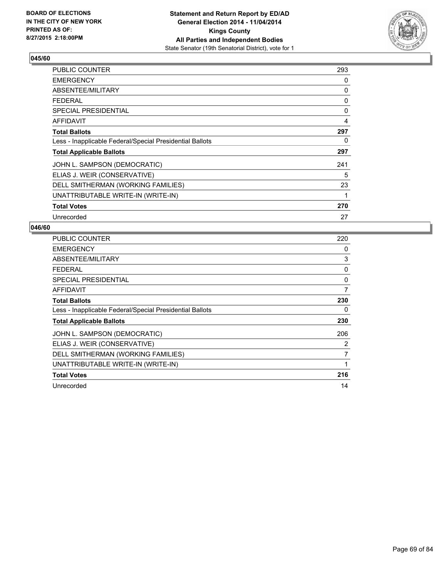

| <b>PUBLIC COUNTER</b>                                    | 293 |
|----------------------------------------------------------|-----|
| <b>EMERGENCY</b>                                         | 0   |
| ABSENTEE/MILITARY                                        | 0   |
| <b>FEDERAL</b>                                           | 0   |
| <b>SPECIAL PRESIDENTIAL</b>                              | 0   |
| <b>AFFIDAVIT</b>                                         | 4   |
| <b>Total Ballots</b>                                     | 297 |
| Less - Inapplicable Federal/Special Presidential Ballots | 0   |
| <b>Total Applicable Ballots</b>                          | 297 |
| JOHN L. SAMPSON (DEMOCRATIC)                             | 241 |
| ELIAS J. WEIR (CONSERVATIVE)                             | 5   |
| DELL SMITHERMAN (WORKING FAMILIES)                       | 23  |
| UNATTRIBUTABLE WRITE-IN (WRITE-IN)                       | 1   |
| <b>Total Votes</b>                                       | 270 |
| Unrecorded                                               | 27  |

| <b>PUBLIC COUNTER</b>                                    | 220 |
|----------------------------------------------------------|-----|
| <b>EMERGENCY</b>                                         | 0   |
| ABSENTEE/MILITARY                                        | 3   |
| <b>FEDERAL</b>                                           | 0   |
| SPECIAL PRESIDENTIAL                                     | 0   |
| AFFIDAVIT                                                | 7   |
| <b>Total Ballots</b>                                     | 230 |
| Less - Inapplicable Federal/Special Presidential Ballots | 0   |
| <b>Total Applicable Ballots</b>                          | 230 |
| JOHN L. SAMPSON (DEMOCRATIC)                             | 206 |
| ELIAS J. WEIR (CONSERVATIVE)                             | 2   |
| DELL SMITHERMAN (WORKING FAMILIES)                       | 7   |
| UNATTRIBUTABLE WRITE-IN (WRITE-IN)                       | 1   |
| <b>Total Votes</b>                                       | 216 |
| Unrecorded                                               | 14  |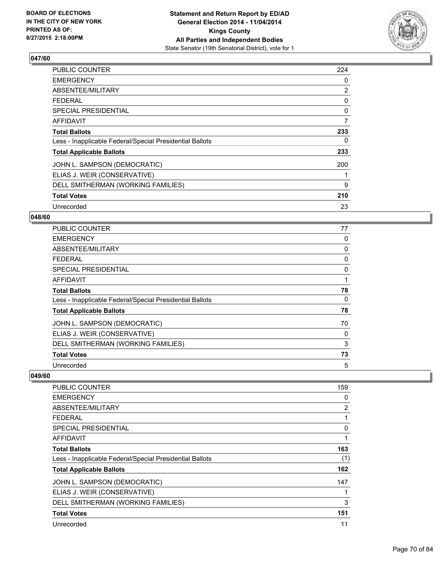

| <b>PUBLIC COUNTER</b>                                    | 224 |
|----------------------------------------------------------|-----|
| <b>EMERGENCY</b>                                         | 0   |
| ABSENTEE/MILITARY                                        | 2   |
| <b>FEDERAL</b>                                           | 0   |
| <b>SPECIAL PRESIDENTIAL</b>                              | 0   |
| <b>AFFIDAVIT</b>                                         | 7   |
| <b>Total Ballots</b>                                     | 233 |
| Less - Inapplicable Federal/Special Presidential Ballots | 0   |
| <b>Total Applicable Ballots</b>                          | 233 |
| JOHN L. SAMPSON (DEMOCRATIC)                             | 200 |
| ELIAS J. WEIR (CONSERVATIVE)                             | 1   |
| DELL SMITHERMAN (WORKING FAMILIES)                       | 9   |
| <b>Total Votes</b>                                       | 210 |
| Unrecorded                                               | 23  |

# **048/60**

| PUBLIC COUNTER                                           | 77 |
|----------------------------------------------------------|----|
| <b>EMERGENCY</b>                                         | 0  |
| ABSENTEE/MILITARY                                        | 0  |
| <b>FEDERAL</b>                                           | 0  |
| <b>SPECIAL PRESIDENTIAL</b>                              | 0  |
| AFFIDAVIT                                                |    |
| <b>Total Ballots</b>                                     | 78 |
| Less - Inapplicable Federal/Special Presidential Ballots | 0  |
| <b>Total Applicable Ballots</b>                          | 78 |
| JOHN L. SAMPSON (DEMOCRATIC)                             | 70 |
| ELIAS J. WEIR (CONSERVATIVE)                             | 0  |
| DELL SMITHERMAN (WORKING FAMILIES)                       | 3  |
| <b>Total Votes</b>                                       | 73 |
| Unrecorded                                               | 5  |

| <b>PUBLIC COUNTER</b>                                    | 159 |
|----------------------------------------------------------|-----|
| <b>EMERGENCY</b>                                         | 0   |
| ABSENTEE/MILITARY                                        | 2   |
| <b>FEDERAL</b>                                           | 1   |
| <b>SPECIAL PRESIDENTIAL</b>                              | 0   |
| AFFIDAVIT                                                | 1   |
| <b>Total Ballots</b>                                     | 163 |
| Less - Inapplicable Federal/Special Presidential Ballots | (1) |
| <b>Total Applicable Ballots</b>                          | 162 |
| JOHN L. SAMPSON (DEMOCRATIC)                             | 147 |
| ELIAS J. WEIR (CONSERVATIVE)                             | 1   |
| DELL SMITHERMAN (WORKING FAMILIES)                       | 3   |
| <b>Total Votes</b>                                       | 151 |
| Unrecorded                                               | 11  |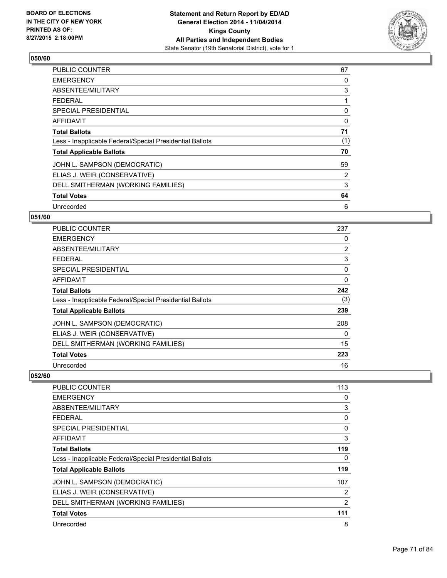

| <b>PUBLIC COUNTER</b>                                    | 67  |
|----------------------------------------------------------|-----|
| <b>EMERGENCY</b>                                         | 0   |
| ABSENTEE/MILITARY                                        | 3   |
| <b>FEDERAL</b>                                           | 1   |
| <b>SPECIAL PRESIDENTIAL</b>                              | 0   |
| AFFIDAVIT                                                | 0   |
| <b>Total Ballots</b>                                     | 71  |
| Less - Inapplicable Federal/Special Presidential Ballots | (1) |
| <b>Total Applicable Ballots</b>                          | 70  |
| JOHN L. SAMPSON (DEMOCRATIC)                             | 59  |
| ELIAS J. WEIR (CONSERVATIVE)                             | 2   |
| DELL SMITHERMAN (WORKING FAMILIES)                       | 3   |
| <b>Total Votes</b>                                       | 64  |
| Unrecorded                                               | 6   |

# **051/60**

| <b>PUBLIC COUNTER</b>                                    | 237            |
|----------------------------------------------------------|----------------|
| <b>EMERGENCY</b>                                         | 0              |
| ABSENTEE/MILITARY                                        | $\overline{2}$ |
| <b>FEDERAL</b>                                           | 3              |
| <b>SPECIAL PRESIDENTIAL</b>                              | 0              |
| <b>AFFIDAVIT</b>                                         | 0              |
| <b>Total Ballots</b>                                     | 242            |
| Less - Inapplicable Federal/Special Presidential Ballots | (3)            |
| <b>Total Applicable Ballots</b>                          | 239            |
| JOHN L. SAMPSON (DEMOCRATIC)                             | 208            |
| ELIAS J. WEIR (CONSERVATIVE)                             | 0              |
| DELL SMITHERMAN (WORKING FAMILIES)                       | 15             |
| <b>Total Votes</b>                                       | 223            |
| Unrecorded                                               | 16             |

| <b>PUBLIC COUNTER</b>                                    | 113            |
|----------------------------------------------------------|----------------|
| <b>EMERGENCY</b>                                         | 0              |
| ABSENTEE/MILITARY                                        | 3              |
| <b>FEDERAL</b>                                           | 0              |
| <b>SPECIAL PRESIDENTIAL</b>                              | 0              |
| AFFIDAVIT                                                | 3              |
| <b>Total Ballots</b>                                     | 119            |
| Less - Inapplicable Federal/Special Presidential Ballots | 0              |
| <b>Total Applicable Ballots</b>                          | 119            |
| JOHN L. SAMPSON (DEMOCRATIC)                             | 107            |
| ELIAS J. WEIR (CONSERVATIVE)                             | 2              |
| DELL SMITHERMAN (WORKING FAMILIES)                       | $\overline{2}$ |
| <b>Total Votes</b>                                       | 111            |
| Unrecorded                                               | 8              |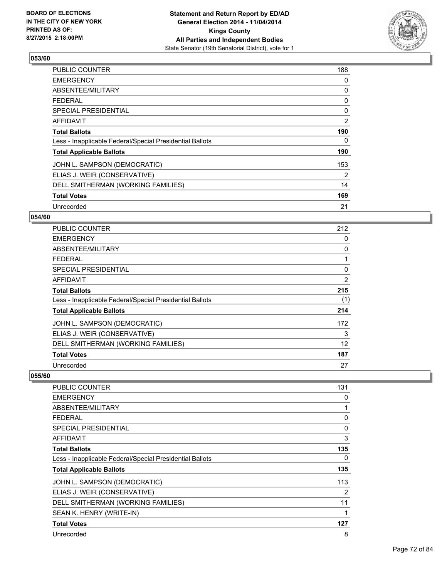

| <b>PUBLIC COUNTER</b>                                    | 188 |
|----------------------------------------------------------|-----|
| <b>EMERGENCY</b>                                         | 0   |
| ABSENTEE/MILITARY                                        | 0   |
| <b>FEDERAL</b>                                           | 0   |
| <b>SPECIAL PRESIDENTIAL</b>                              | 0   |
| <b>AFFIDAVIT</b>                                         | 2   |
| <b>Total Ballots</b>                                     | 190 |
| Less - Inapplicable Federal/Special Presidential Ballots | 0   |
| <b>Total Applicable Ballots</b>                          | 190 |
| JOHN L. SAMPSON (DEMOCRATIC)                             | 153 |
| ELIAS J. WEIR (CONSERVATIVE)                             | 2   |
| DELL SMITHERMAN (WORKING FAMILIES)                       | 14  |
| <b>Total Votes</b>                                       | 169 |
| Unrecorded                                               | 21  |

# **054/60**

| PUBLIC COUNTER                                           | 212            |
|----------------------------------------------------------|----------------|
| <b>EMERGENCY</b>                                         | 0              |
| ABSENTEE/MILITARY                                        | 0              |
| <b>FEDERAL</b>                                           |                |
| <b>SPECIAL PRESIDENTIAL</b>                              | 0              |
| <b>AFFIDAVIT</b>                                         | $\overline{2}$ |
| <b>Total Ballots</b>                                     | 215            |
| Less - Inapplicable Federal/Special Presidential Ballots | (1)            |
| <b>Total Applicable Ballots</b>                          | 214            |
| JOHN L. SAMPSON (DEMOCRATIC)                             | 172            |
| ELIAS J. WEIR (CONSERVATIVE)                             | 3              |
| DELL SMITHERMAN (WORKING FAMILIES)                       | 12             |
| <b>Total Votes</b>                                       | 187            |
| Unrecorded                                               | 27             |

| PUBLIC COUNTER                                           | 131 |
|----------------------------------------------------------|-----|
| <b>EMERGENCY</b>                                         | 0   |
| ABSENTEE/MILITARY                                        | 1   |
| <b>FEDERAL</b>                                           | 0   |
| <b>SPECIAL PRESIDENTIAL</b>                              | 0   |
| AFFIDAVIT                                                | 3   |
| <b>Total Ballots</b>                                     | 135 |
| Less - Inapplicable Federal/Special Presidential Ballots | 0   |
| <b>Total Applicable Ballots</b>                          | 135 |
| JOHN L. SAMPSON (DEMOCRATIC)                             | 113 |
| ELIAS J. WEIR (CONSERVATIVE)                             | 2   |
| DELL SMITHERMAN (WORKING FAMILIES)                       | 11  |
| SEAN K. HENRY (WRITE-IN)                                 | 1   |
| <b>Total Votes</b>                                       | 127 |
| Unrecorded                                               | 8   |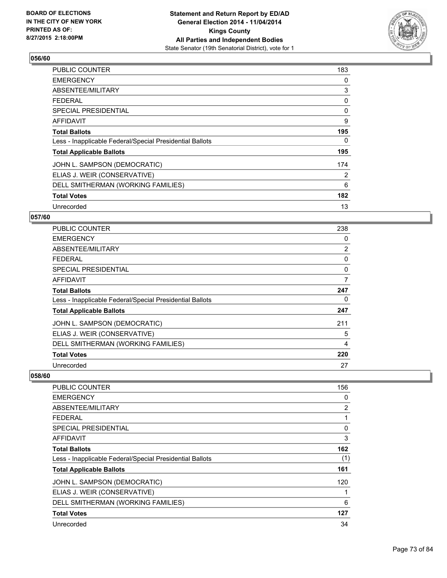

| <b>PUBLIC COUNTER</b>                                    | 183 |
|----------------------------------------------------------|-----|
| <b>EMERGENCY</b>                                         | 0   |
| ABSENTEE/MILITARY                                        | 3   |
| <b>FEDERAL</b>                                           | 0   |
| SPECIAL PRESIDENTIAL                                     | 0   |
| <b>AFFIDAVIT</b>                                         | 9   |
| <b>Total Ballots</b>                                     | 195 |
| Less - Inapplicable Federal/Special Presidential Ballots | 0   |
| <b>Total Applicable Ballots</b>                          | 195 |
| JOHN L. SAMPSON (DEMOCRATIC)                             | 174 |
| ELIAS J. WEIR (CONSERVATIVE)                             | 2   |
| DELL SMITHERMAN (WORKING FAMILIES)                       | 6   |
| <b>Total Votes</b>                                       | 182 |
| Unrecorded                                               | 13  |

### **057/60**

| PUBLIC COUNTER                                           | 238            |
|----------------------------------------------------------|----------------|
| <b>EMERGENCY</b>                                         | 0              |
| ABSENTEE/MILITARY                                        | $\overline{2}$ |
| <b>FEDERAL</b>                                           | 0              |
| <b>SPECIAL PRESIDENTIAL</b>                              | 0              |
| AFFIDAVIT                                                | 7              |
| <b>Total Ballots</b>                                     | 247            |
| Less - Inapplicable Federal/Special Presidential Ballots | 0              |
| <b>Total Applicable Ballots</b>                          | 247            |
| JOHN L. SAMPSON (DEMOCRATIC)                             | 211            |
| ELIAS J. WEIR (CONSERVATIVE)                             | 5              |
| DELL SMITHERMAN (WORKING FAMILIES)                       | 4              |
| <b>Total Votes</b>                                       | 220            |
| Unrecorded                                               | 27             |

| <b>PUBLIC COUNTER</b>                                    | 156            |
|----------------------------------------------------------|----------------|
| <b>EMERGENCY</b>                                         | 0              |
| ABSENTEE/MILITARY                                        | $\overline{2}$ |
| <b>FEDERAL</b>                                           |                |
| <b>SPECIAL PRESIDENTIAL</b>                              | 0              |
| AFFIDAVIT                                                | 3              |
| <b>Total Ballots</b>                                     | 162            |
| Less - Inapplicable Federal/Special Presidential Ballots | (1)            |
| <b>Total Applicable Ballots</b>                          | 161            |
| JOHN L. SAMPSON (DEMOCRATIC)                             | 120            |
| ELIAS J. WEIR (CONSERVATIVE)                             |                |
| DELL SMITHERMAN (WORKING FAMILIES)                       | 6              |
| <b>Total Votes</b>                                       | 127            |
| Unrecorded                                               | 34             |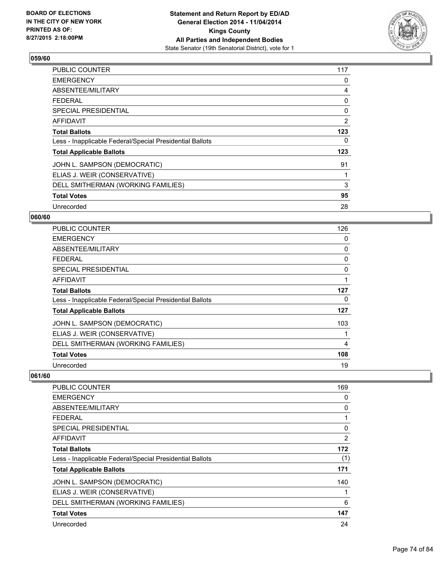

| <b>PUBLIC COUNTER</b>                                    | 117 |
|----------------------------------------------------------|-----|
| <b>EMERGENCY</b>                                         | 0   |
| ABSENTEE/MILITARY                                        | 4   |
| <b>FEDERAL</b>                                           | 0   |
| <b>SPECIAL PRESIDENTIAL</b>                              | 0   |
| <b>AFFIDAVIT</b>                                         | 2   |
| <b>Total Ballots</b>                                     | 123 |
| Less - Inapplicable Federal/Special Presidential Ballots | 0   |
| <b>Total Applicable Ballots</b>                          | 123 |
| JOHN L. SAMPSON (DEMOCRATIC)                             | 91  |
| ELIAS J. WEIR (CONSERVATIVE)                             | 1   |
| DELL SMITHERMAN (WORKING FAMILIES)                       | 3   |
| <b>Total Votes</b>                                       | 95  |
| Unrecorded                                               | 28  |

# **060/60**

| PUBLIC COUNTER                                           | 126      |
|----------------------------------------------------------|----------|
| <b>EMERGENCY</b>                                         | 0        |
| ABSENTEE/MILITARY                                        | 0        |
| <b>FEDERAL</b>                                           | 0        |
| <b>SPECIAL PRESIDENTIAL</b>                              | $\Omega$ |
| <b>AFFIDAVIT</b>                                         |          |
| <b>Total Ballots</b>                                     | 127      |
| Less - Inapplicable Federal/Special Presidential Ballots | 0        |
| <b>Total Applicable Ballots</b>                          | 127      |
| JOHN L. SAMPSON (DEMOCRATIC)                             | 103      |
| ELIAS J. WEIR (CONSERVATIVE)                             |          |
| DELL SMITHERMAN (WORKING FAMILIES)                       | 4        |
| <b>Total Votes</b>                                       | 108      |
| Unrecorded                                               | 19       |

| <b>PUBLIC COUNTER</b>                                    | 169 |
|----------------------------------------------------------|-----|
| <b>EMERGENCY</b>                                         | 0   |
| ABSENTEE/MILITARY                                        | 0   |
| <b>FEDERAL</b>                                           | 1   |
| <b>SPECIAL PRESIDENTIAL</b>                              | 0   |
| AFFIDAVIT                                                | 2   |
| <b>Total Ballots</b>                                     | 172 |
| Less - Inapplicable Federal/Special Presidential Ballots | (1) |
| <b>Total Applicable Ballots</b>                          | 171 |
| JOHN L. SAMPSON (DEMOCRATIC)                             | 140 |
| ELIAS J. WEIR (CONSERVATIVE)                             | 1   |
| DELL SMITHERMAN (WORKING FAMILIES)                       | 6   |
| <b>Total Votes</b>                                       | 147 |
| Unrecorded                                               | 24  |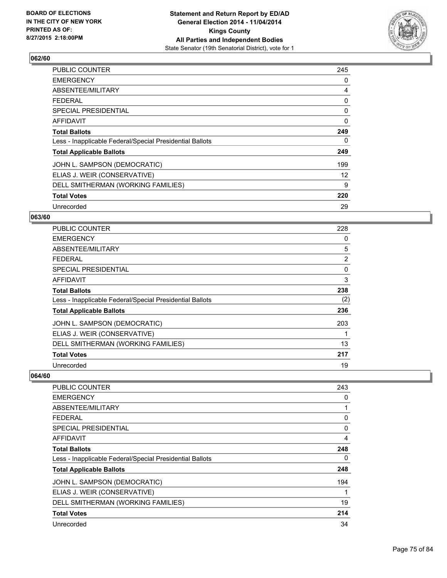

| <b>PUBLIC COUNTER</b>                                    | 245 |
|----------------------------------------------------------|-----|
| <b>EMERGENCY</b>                                         | 0   |
| ABSENTEE/MILITARY                                        | 4   |
| <b>FEDERAL</b>                                           | 0   |
| SPECIAL PRESIDENTIAL                                     | 0   |
| AFFIDAVIT                                                | 0   |
| <b>Total Ballots</b>                                     | 249 |
| Less - Inapplicable Federal/Special Presidential Ballots | 0   |
| <b>Total Applicable Ballots</b>                          | 249 |
| JOHN L. SAMPSON (DEMOCRATIC)                             | 199 |
| ELIAS J. WEIR (CONSERVATIVE)                             | 12  |
| DELL SMITHERMAN (WORKING FAMILIES)                       | 9   |
| <b>Total Votes</b>                                       | 220 |
| Unrecorded                                               | 29  |

# **063/60**

| <b>PUBLIC COUNTER</b>                                    | 228            |
|----------------------------------------------------------|----------------|
| <b>EMERGENCY</b>                                         | 0              |
| ABSENTEE/MILITARY                                        | 5              |
| <b>FEDERAL</b>                                           | $\overline{2}$ |
| <b>SPECIAL PRESIDENTIAL</b>                              | 0              |
| AFFIDAVIT                                                | 3              |
| <b>Total Ballots</b>                                     | 238            |
| Less - Inapplicable Federal/Special Presidential Ballots | (2)            |
| <b>Total Applicable Ballots</b>                          | 236            |
| JOHN L. SAMPSON (DEMOCRATIC)                             | 203            |
| ELIAS J. WEIR (CONSERVATIVE)                             |                |
| DELL SMITHERMAN (WORKING FAMILIES)                       | 13             |
| <b>Total Votes</b>                                       | 217            |
| Unrecorded                                               | 19             |

| <b>PUBLIC COUNTER</b>                                    | 243 |
|----------------------------------------------------------|-----|
| <b>EMERGENCY</b>                                         | 0   |
| ABSENTEE/MILITARY                                        |     |
| <b>FEDERAL</b>                                           | 0   |
| <b>SPECIAL PRESIDENTIAL</b>                              | 0   |
| <b>AFFIDAVIT</b>                                         | 4   |
| <b>Total Ballots</b>                                     | 248 |
| Less - Inapplicable Federal/Special Presidential Ballots | 0   |
| <b>Total Applicable Ballots</b>                          | 248 |
| JOHN L. SAMPSON (DEMOCRATIC)                             | 194 |
| ELIAS J. WEIR (CONSERVATIVE)                             |     |
| DELL SMITHERMAN (WORKING FAMILIES)                       | 19  |
| <b>Total Votes</b>                                       | 214 |
| Unrecorded                                               | 34  |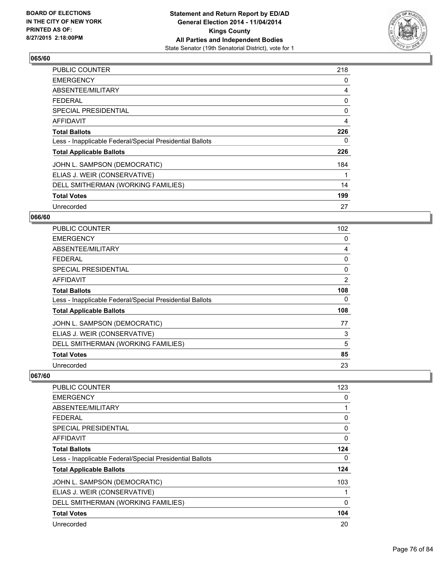

| <b>PUBLIC COUNTER</b>                                    | 218 |
|----------------------------------------------------------|-----|
| <b>EMERGENCY</b>                                         | 0   |
| ABSENTEE/MILITARY                                        | 4   |
| <b>FEDERAL</b>                                           | 0   |
| SPECIAL PRESIDENTIAL                                     | 0   |
| <b>AFFIDAVIT</b>                                         | 4   |
| <b>Total Ballots</b>                                     | 226 |
| Less - Inapplicable Federal/Special Presidential Ballots | 0   |
| <b>Total Applicable Ballots</b>                          | 226 |
| JOHN L. SAMPSON (DEMOCRATIC)                             | 184 |
| ELIAS J. WEIR (CONSERVATIVE)                             | 1   |
| DELL SMITHERMAN (WORKING FAMILIES)                       | 14  |
| <b>Total Votes</b>                                       | 199 |
| Unrecorded                                               | 27  |

### **066/60**

| PUBLIC COUNTER                                           | 102      |
|----------------------------------------------------------|----------|
| <b>EMERGENCY</b>                                         | 0        |
| ABSENTEE/MILITARY                                        | 4        |
| <b>FEDERAL</b>                                           | 0        |
| <b>SPECIAL PRESIDENTIAL</b>                              | $\Omega$ |
| <b>AFFIDAVIT</b>                                         | 2        |
| <b>Total Ballots</b>                                     | 108      |
| Less - Inapplicable Federal/Special Presidential Ballots | 0        |
| <b>Total Applicable Ballots</b>                          | 108      |
| JOHN L. SAMPSON (DEMOCRATIC)                             | 77       |
| ELIAS J. WEIR (CONSERVATIVE)                             | 3        |
| DELL SMITHERMAN (WORKING FAMILIES)                       | 5        |
| <b>Total Votes</b>                                       | 85       |
| Unrecorded                                               | 23       |

| <b>PUBLIC COUNTER</b>                                    | 123 |
|----------------------------------------------------------|-----|
| <b>EMERGENCY</b>                                         | 0   |
| ABSENTEE/MILITARY                                        |     |
| <b>FEDERAL</b>                                           | 0   |
| SPECIAL PRESIDENTIAL                                     | 0   |
| AFFIDAVIT                                                | 0   |
| <b>Total Ballots</b>                                     | 124 |
| Less - Inapplicable Federal/Special Presidential Ballots | 0   |
| <b>Total Applicable Ballots</b>                          | 124 |
| JOHN L. SAMPSON (DEMOCRATIC)                             | 103 |
| ELIAS J. WEIR (CONSERVATIVE)                             |     |
| DELL SMITHERMAN (WORKING FAMILIES)                       | 0   |
| <b>Total Votes</b>                                       | 104 |
| Unrecorded                                               | 20  |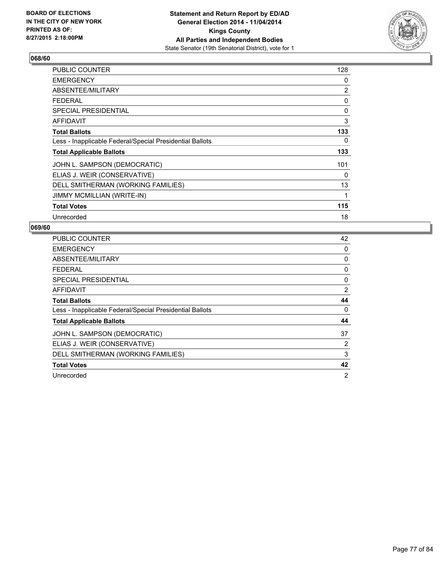

| <b>PUBLIC COUNTER</b>                                    | 128 |
|----------------------------------------------------------|-----|
| <b>EMERGENCY</b>                                         | 0   |
| ABSENTEE/MILITARY                                        | 2   |
| <b>FEDERAL</b>                                           | 0   |
| SPECIAL PRESIDENTIAL                                     | 0   |
| AFFIDAVIT                                                | 3   |
| <b>Total Ballots</b>                                     | 133 |
| Less - Inapplicable Federal/Special Presidential Ballots | 0   |
| <b>Total Applicable Ballots</b>                          | 133 |
| JOHN L. SAMPSON (DEMOCRATIC)                             | 101 |
| ELIAS J. WEIR (CONSERVATIVE)                             | 0   |
| DELL SMITHERMAN (WORKING FAMILIES)                       | 13  |
| JIMMY MCMILLIAN (WRITE-IN)                               | 1   |
| <b>Total Votes</b>                                       | 115 |
| Unrecorded                                               | 18  |

| PUBLIC COUNTER                                           | 42             |
|----------------------------------------------------------|----------------|
| <b>EMERGENCY</b>                                         | 0              |
| ABSENTEE/MILITARY                                        | 0              |
| FEDERAL                                                  | 0              |
| SPECIAL PRESIDENTIAL                                     | 0              |
| <b>AFFIDAVIT</b>                                         | 2              |
| <b>Total Ballots</b>                                     | 44             |
| Less - Inapplicable Federal/Special Presidential Ballots | 0              |
| <b>Total Applicable Ballots</b>                          | 44             |
| JOHN L. SAMPSON (DEMOCRATIC)                             | 37             |
| ELIAS J. WEIR (CONSERVATIVE)                             | 2              |
| DELL SMITHERMAN (WORKING FAMILIES)                       | 3              |
| <b>Total Votes</b>                                       | 42             |
| Unrecorded                                               | $\overline{2}$ |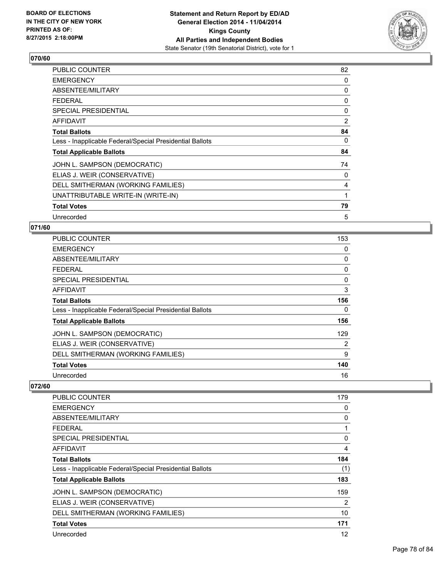

| PUBLIC COUNTER                                           | 82 |
|----------------------------------------------------------|----|
| <b>EMERGENCY</b>                                         | 0  |
| ABSENTEE/MILITARY                                        | 0  |
| <b>FEDERAL</b>                                           | 0  |
| SPECIAL PRESIDENTIAL                                     | 0  |
| AFFIDAVIT                                                | 2  |
| <b>Total Ballots</b>                                     | 84 |
| Less - Inapplicable Federal/Special Presidential Ballots | 0  |
| <b>Total Applicable Ballots</b>                          | 84 |
| JOHN L. SAMPSON (DEMOCRATIC)                             | 74 |
| ELIAS J. WEIR (CONSERVATIVE)                             | 0  |
| DELL SMITHERMAN (WORKING FAMILIES)                       | 4  |
| UNATTRIBUTABLE WRITE-IN (WRITE-IN)                       | 1  |
| <b>Total Votes</b>                                       | 79 |
| Unrecorded                                               | 5  |

### **071/60**

| <b>PUBLIC COUNTER</b>                                    | 153 |
|----------------------------------------------------------|-----|
| <b>EMERGENCY</b>                                         | 0   |
| ABSENTEE/MILITARY                                        | 0   |
| <b>FEDERAL</b>                                           | 0   |
| SPECIAL PRESIDENTIAL                                     | 0   |
| AFFIDAVIT                                                | 3   |
| <b>Total Ballots</b>                                     | 156 |
| Less - Inapplicable Federal/Special Presidential Ballots | 0   |
| <b>Total Applicable Ballots</b>                          | 156 |
| JOHN L. SAMPSON (DEMOCRATIC)                             | 129 |
| ELIAS J. WEIR (CONSERVATIVE)                             | 2   |
| DELL SMITHERMAN (WORKING FAMILIES)                       | 9   |
| <b>Total Votes</b>                                       | 140 |
| Unrecorded                                               | 16  |

| <b>PUBLIC COUNTER</b>                                    | 179 |
|----------------------------------------------------------|-----|
| <b>EMERGENCY</b>                                         | 0   |
| ABSENTEE/MILITARY                                        | 0   |
| <b>FEDERAL</b>                                           | 1   |
| SPECIAL PRESIDENTIAL                                     | 0   |
| AFFIDAVIT                                                | 4   |
| <b>Total Ballots</b>                                     | 184 |
| Less - Inapplicable Federal/Special Presidential Ballots | (1) |
| <b>Total Applicable Ballots</b>                          | 183 |
| JOHN L. SAMPSON (DEMOCRATIC)                             | 159 |
| ELIAS J. WEIR (CONSERVATIVE)                             | 2   |
| DELL SMITHERMAN (WORKING FAMILIES)                       | 10  |
| <b>Total Votes</b>                                       | 171 |
| Unrecorded                                               | 12  |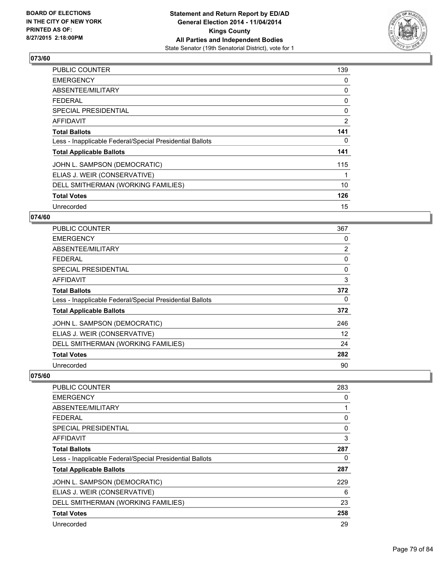

| <b>PUBLIC COUNTER</b>                                    | 139 |
|----------------------------------------------------------|-----|
| <b>EMERGENCY</b>                                         | 0   |
| ABSENTEE/MILITARY                                        | 0   |
| <b>FEDERAL</b>                                           | 0   |
| <b>SPECIAL PRESIDENTIAL</b>                              | 0   |
| <b>AFFIDAVIT</b>                                         | 2   |
| <b>Total Ballots</b>                                     | 141 |
| Less - Inapplicable Federal/Special Presidential Ballots | 0   |
| <b>Total Applicable Ballots</b>                          | 141 |
| JOHN L. SAMPSON (DEMOCRATIC)                             | 115 |
| ELIAS J. WEIR (CONSERVATIVE)                             | 1   |
| DELL SMITHERMAN (WORKING FAMILIES)                       | 10  |
| <b>Total Votes</b>                                       | 126 |
| Unrecorded                                               | 15  |

### **074/60**

| PUBLIC COUNTER                                           | 367            |
|----------------------------------------------------------|----------------|
| <b>EMERGENCY</b>                                         | 0              |
| ABSENTEE/MILITARY                                        | $\overline{2}$ |
| <b>FEDERAL</b>                                           | 0              |
| <b>SPECIAL PRESIDENTIAL</b>                              | 0              |
| AFFIDAVIT                                                | 3              |
| <b>Total Ballots</b>                                     | 372            |
| Less - Inapplicable Federal/Special Presidential Ballots | 0              |
| <b>Total Applicable Ballots</b>                          | 372            |
| JOHN L. SAMPSON (DEMOCRATIC)                             | 246            |
| ELIAS J. WEIR (CONSERVATIVE)                             | 12             |
| DELL SMITHERMAN (WORKING FAMILIES)                       | 24             |
| <b>Total Votes</b>                                       | 282            |
| Unrecorded                                               | 90             |

| <b>PUBLIC COUNTER</b>                                    | 283 |
|----------------------------------------------------------|-----|
| <b>EMERGENCY</b>                                         | 0   |
| ABSENTEE/MILITARY                                        |     |
| <b>FEDERAL</b>                                           | 0   |
| SPECIAL PRESIDENTIAL                                     | 0   |
| AFFIDAVIT                                                | 3   |
| <b>Total Ballots</b>                                     | 287 |
| Less - Inapplicable Federal/Special Presidential Ballots | 0   |
| <b>Total Applicable Ballots</b>                          | 287 |
| JOHN L. SAMPSON (DEMOCRATIC)                             | 229 |
| ELIAS J. WEIR (CONSERVATIVE)                             | 6   |
| DELL SMITHERMAN (WORKING FAMILIES)                       | 23  |
| <b>Total Votes</b>                                       | 258 |
| Unrecorded                                               | 29  |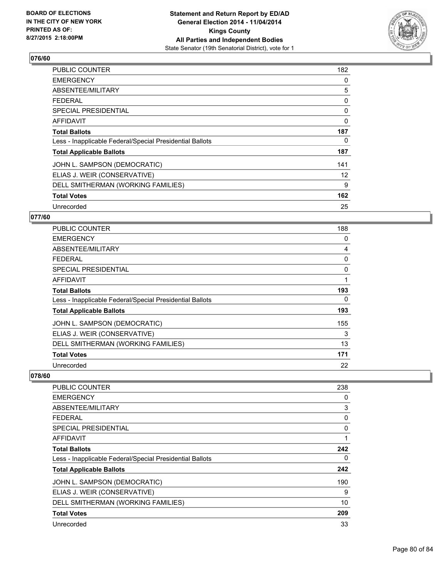

| <b>PUBLIC COUNTER</b>                                    | 182 |
|----------------------------------------------------------|-----|
| <b>EMERGENCY</b>                                         | 0   |
| ABSENTEE/MILITARY                                        | 5   |
| <b>FEDERAL</b>                                           | 0   |
| <b>SPECIAL PRESIDENTIAL</b>                              | 0   |
| AFFIDAVIT                                                | 0   |
| <b>Total Ballots</b>                                     | 187 |
| Less - Inapplicable Federal/Special Presidential Ballots | 0   |
| <b>Total Applicable Ballots</b>                          | 187 |
| JOHN L. SAMPSON (DEMOCRATIC)                             | 141 |
| ELIAS J. WEIR (CONSERVATIVE)                             | 12  |
| DELL SMITHERMAN (WORKING FAMILIES)                       | 9   |
| <b>Total Votes</b>                                       | 162 |
| Unrecorded                                               | 25  |

# **077/60**

| <b>PUBLIC COUNTER</b>                                    | 188      |
|----------------------------------------------------------|----------|
| <b>EMERGENCY</b>                                         | 0        |
| ABSENTEE/MILITARY                                        | 4        |
| <b>FEDERAL</b>                                           | 0        |
| <b>SPECIAL PRESIDENTIAL</b>                              | $\Omega$ |
| <b>AFFIDAVIT</b>                                         | 1        |
| <b>Total Ballots</b>                                     | 193      |
| Less - Inapplicable Federal/Special Presidential Ballots | 0        |
| <b>Total Applicable Ballots</b>                          | 193      |
| JOHN L. SAMPSON (DEMOCRATIC)                             | 155      |
| ELIAS J. WEIR (CONSERVATIVE)                             | 3        |
| DELL SMITHERMAN (WORKING FAMILIES)                       | 13       |
| <b>Total Votes</b>                                       | 171      |
| Unrecorded                                               | 22       |

| <b>PUBLIC COUNTER</b>                                    | 238 |
|----------------------------------------------------------|-----|
| <b>EMERGENCY</b>                                         | 0   |
| ABSENTEE/MILITARY                                        | 3   |
| FEDERAL                                                  | 0   |
| <b>SPECIAL PRESIDENTIAL</b>                              | 0   |
| AFFIDAVIT                                                |     |
| <b>Total Ballots</b>                                     | 242 |
| Less - Inapplicable Federal/Special Presidential Ballots | 0   |
| <b>Total Applicable Ballots</b>                          | 242 |
| JOHN L. SAMPSON (DEMOCRATIC)                             | 190 |
| ELIAS J. WEIR (CONSERVATIVE)                             | 9   |
| DELL SMITHERMAN (WORKING FAMILIES)                       | 10  |
| <b>Total Votes</b>                                       | 209 |
| Unrecorded                                               | 33  |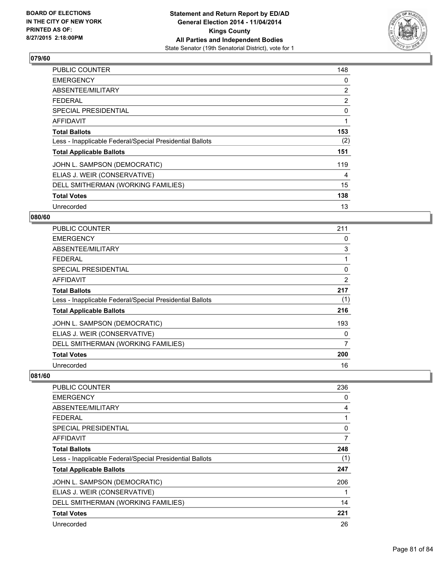

| <b>PUBLIC COUNTER</b>                                    | 148 |
|----------------------------------------------------------|-----|
| <b>EMERGENCY</b>                                         | 0   |
| ABSENTEE/MILITARY                                        | 2   |
| <b>FEDERAL</b>                                           | 2   |
| <b>SPECIAL PRESIDENTIAL</b>                              | 0   |
| <b>AFFIDAVIT</b>                                         | 1   |
| <b>Total Ballots</b>                                     | 153 |
| Less - Inapplicable Federal/Special Presidential Ballots | (2) |
| <b>Total Applicable Ballots</b>                          | 151 |
| JOHN L. SAMPSON (DEMOCRATIC)                             | 119 |
| ELIAS J. WEIR (CONSERVATIVE)                             | 4   |
| DELL SMITHERMAN (WORKING FAMILIES)                       | 15  |
| <b>Total Votes</b>                                       | 138 |
| Unrecorded                                               | 13  |

### **080/60**

| PUBLIC COUNTER                                           | 211 |
|----------------------------------------------------------|-----|
| <b>EMERGENCY</b>                                         | 0   |
| ABSENTEE/MILITARY                                        | 3   |
| <b>FEDERAL</b>                                           |     |
| <b>SPECIAL PRESIDENTIAL</b>                              | 0   |
| AFFIDAVIT                                                | 2   |
| <b>Total Ballots</b>                                     | 217 |
| Less - Inapplicable Federal/Special Presidential Ballots | (1) |
| <b>Total Applicable Ballots</b>                          | 216 |
| JOHN L. SAMPSON (DEMOCRATIC)                             | 193 |
| ELIAS J. WEIR (CONSERVATIVE)                             | 0   |
| DELL SMITHERMAN (WORKING FAMILIES)                       | 7   |
| <b>Total Votes</b>                                       | 200 |
| Unrecorded                                               | 16  |

| <b>PUBLIC COUNTER</b>                                    | 236 |
|----------------------------------------------------------|-----|
| <b>EMERGENCY</b>                                         | 0   |
| ABSENTEE/MILITARY                                        | 4   |
| <b>FEDERAL</b>                                           | 1   |
| <b>SPECIAL PRESIDENTIAL</b>                              | 0   |
| AFFIDAVIT                                                | 7   |
| <b>Total Ballots</b>                                     | 248 |
| Less - Inapplicable Federal/Special Presidential Ballots | (1) |
| <b>Total Applicable Ballots</b>                          | 247 |
| JOHN L. SAMPSON (DEMOCRATIC)                             | 206 |
| ELIAS J. WEIR (CONSERVATIVE)                             |     |
| DELL SMITHERMAN (WORKING FAMILIES)                       | 14  |
| <b>Total Votes</b>                                       | 221 |
| Unrecorded                                               | 26  |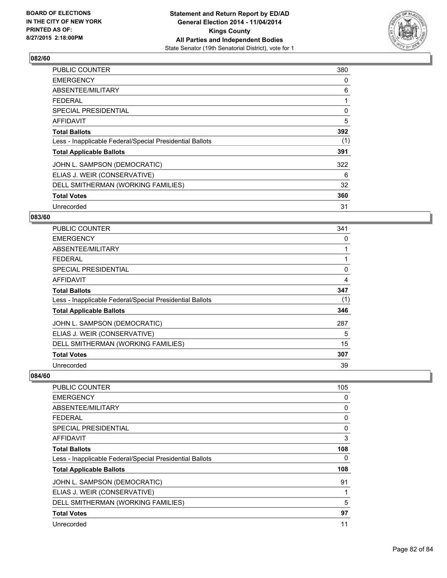

| <b>PUBLIC COUNTER</b>                                    | 380 |
|----------------------------------------------------------|-----|
| <b>EMERGENCY</b>                                         | 0   |
| ABSENTEE/MILITARY                                        | 6   |
| <b>FEDERAL</b>                                           |     |
| SPECIAL PRESIDENTIAL                                     | 0   |
| AFFIDAVIT                                                | 5   |
| <b>Total Ballots</b>                                     | 392 |
| Less - Inapplicable Federal/Special Presidential Ballots | (1) |
| <b>Total Applicable Ballots</b>                          | 391 |
| JOHN L. SAMPSON (DEMOCRATIC)                             | 322 |
| ELIAS J. WEIR (CONSERVATIVE)                             | 6   |
| DELL SMITHERMAN (WORKING FAMILIES)                       | 32  |
| <b>Total Votes</b>                                       | 360 |
| Unrecorded                                               | 31  |

# **083/60**

| PUBLIC COUNTER                                           | 341 |
|----------------------------------------------------------|-----|
| <b>EMERGENCY</b>                                         | 0   |
| ABSENTEE/MILITARY                                        |     |
| <b>FEDERAL</b>                                           |     |
| <b>SPECIAL PRESIDENTIAL</b>                              | 0   |
| AFFIDAVIT                                                | 4   |
| <b>Total Ballots</b>                                     | 347 |
| Less - Inapplicable Federal/Special Presidential Ballots | (1) |
| <b>Total Applicable Ballots</b>                          | 346 |
| JOHN L. SAMPSON (DEMOCRATIC)                             | 287 |
| ELIAS J. WEIR (CONSERVATIVE)                             | 5   |
| DELL SMITHERMAN (WORKING FAMILIES)                       | 15  |
| <b>Total Votes</b>                                       | 307 |
| Unrecorded                                               | 39  |

| <b>PUBLIC COUNTER</b>                                    | 105 |
|----------------------------------------------------------|-----|
| <b>EMERGENCY</b>                                         | 0   |
| ABSENTEE/MILITARY                                        | 0   |
| <b>FEDERAL</b>                                           | 0   |
| <b>SPECIAL PRESIDENTIAL</b>                              | 0   |
| AFFIDAVIT                                                | 3   |
| <b>Total Ballots</b>                                     | 108 |
| Less - Inapplicable Federal/Special Presidential Ballots | 0   |
| <b>Total Applicable Ballots</b>                          | 108 |
| JOHN L. SAMPSON (DEMOCRATIC)                             | 91  |
| ELIAS J. WEIR (CONSERVATIVE)                             |     |
| DELL SMITHERMAN (WORKING FAMILIES)                       | 5   |
| <b>Total Votes</b>                                       | 97  |
| Unrecorded                                               | 11  |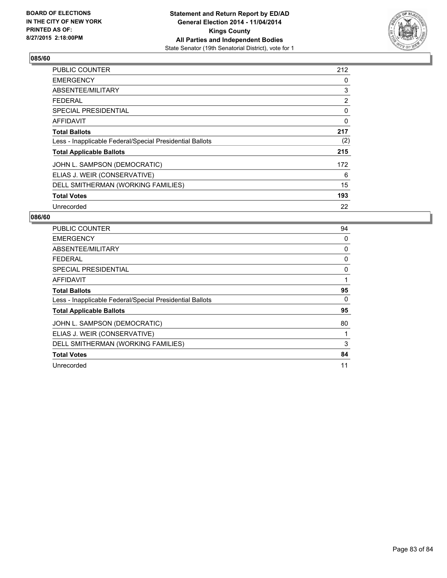

| <b>PUBLIC COUNTER</b>                                    | 212 |
|----------------------------------------------------------|-----|
| <b>EMERGENCY</b>                                         | 0   |
| ABSENTEE/MILITARY                                        | 3   |
| <b>FEDERAL</b>                                           | 2   |
| SPECIAL PRESIDENTIAL                                     | 0   |
| AFFIDAVIT                                                | 0   |
| <b>Total Ballots</b>                                     | 217 |
| Less - Inapplicable Federal/Special Presidential Ballots | (2) |
| <b>Total Applicable Ballots</b>                          | 215 |
| JOHN L. SAMPSON (DEMOCRATIC)                             | 172 |
| ELIAS J. WEIR (CONSERVATIVE)                             | 6   |
| DELL SMITHERMAN (WORKING FAMILIES)                       | 15  |
| <b>Total Votes</b>                                       | 193 |
| Unrecorded                                               | 22  |

| <b>PUBLIC COUNTER</b>                                    | 94 |
|----------------------------------------------------------|----|
| <b>EMERGENCY</b>                                         | 0  |
| ABSENTEE/MILITARY                                        | 0  |
| <b>FEDERAL</b>                                           | 0  |
| SPECIAL PRESIDENTIAL                                     | 0  |
| <b>AFFIDAVIT</b>                                         | 1  |
| <b>Total Ballots</b>                                     | 95 |
| Less - Inapplicable Federal/Special Presidential Ballots | 0  |
| <b>Total Applicable Ballots</b>                          | 95 |
| JOHN L. SAMPSON (DEMOCRATIC)                             | 80 |
| ELIAS J. WEIR (CONSERVATIVE)                             |    |
| DELL SMITHERMAN (WORKING FAMILIES)                       | 3  |
| <b>Total Votes</b>                                       | 84 |
| Unrecorded                                               | 11 |